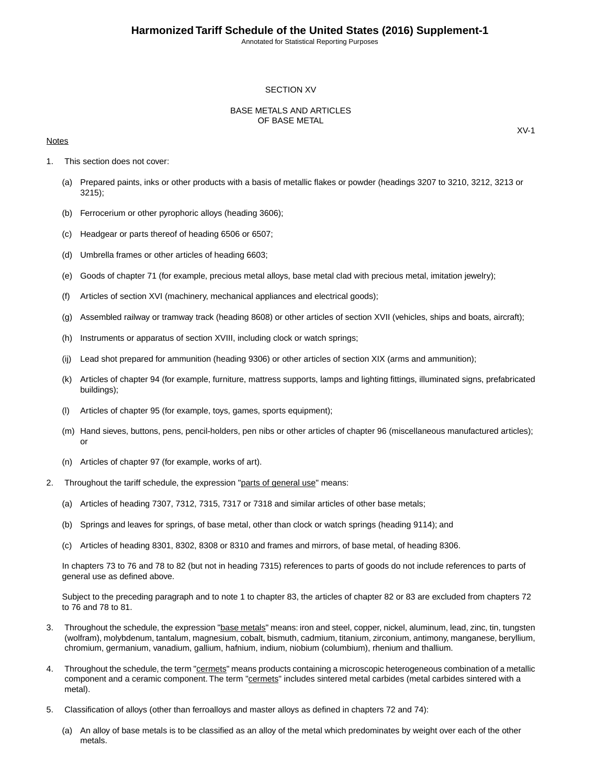#### SECTION XV

#### BASE METALS AND ARTICLES OF BASE METAL

#### **Notes**

- 1. This section does not cover:
	- (a) Prepared paints, inks or other products with a basis of metallic flakes or powder (headings 3207 to 3210, 3212, 3213 or 3215);
	- (b) Ferrocerium or other pyrophoric alloys (heading 3606);
	- (c) Headgear or parts thereof of heading 6506 or 6507;
	- (d) Umbrella frames or other articles of heading 6603;
	- (e) Goods of chapter 71 (for example, precious metal alloys, base metal clad with precious metal, imitation jewelry);
	- (f) Articles of section XVI (machinery, mechanical appliances and electrical goods);
	- (g) Assembled railway or tramway track (heading 8608) or other articles of section XVII (vehicles, ships and boats, aircraft);
	- (h) Instruments or apparatus of section XVIII, including clock or watch springs;
	- (ij) Lead shot prepared for ammunition (heading 9306) or other articles of section XIX (arms and ammunition);
	- (k) Articles of chapter 94 (for example, furniture, mattress supports, lamps and lighting fittings, illuminated signs, prefabricated buildings);
	- (l) Articles of chapter 95 (for example, toys, games, sports equipment);
	- (m) Hand sieves, buttons, pens, pencil-holders, pen nibs or other articles of chapter 96 (miscellaneous manufactured articles); or
	- (n) Articles of chapter 97 (for example, works of art).
- 2. Throughout the tariff schedule, the expression "parts of general use" means:
	- (a) Articles of heading 7307, 7312, 7315, 7317 or 7318 and similar articles of other base metals;
	- (b) Springs and leaves for springs, of base metal, other than clock or watch springs (heading 9114); and
	- (c) Articles of heading 8301, 8302, 8308 or 8310 and frames and mirrors, of base metal, of heading 8306.

In chapters 73 to 76 and 78 to 82 (but not in heading 7315) references to parts of goods do not include references to parts of general use as defined above.

Subject to the preceding paragraph and to note 1 to chapter 83, the articles of chapter 82 or 83 are excluded from chapters 72 to 76 and 78 to 81.

- 3. Throughout the schedule, the expression "base metals" means: iron and steel, copper, nickel, aluminum, lead, zinc, tin, tungsten (wolfram), molybdenum, tantalum, magnesium, cobalt, bismuth, cadmium, titanium, zirconium, antimony, manganese, beryllium, chromium, germanium, vanadium, gallium, hafnium, indium, niobium (columbium), rhenium and thallium.
- 4. Throughout the schedule, the term "cermets" means products containing a microscopic heterogeneous combination of a metallic component and a ceramic component. The term "cermets" includes sintered metal carbides (metal carbides sintered with a metal).
- 5. Classification of alloys (other than ferroalloys and master alloys as defined in chapters 72 and 74):
	- (a) An alloy of base metals is to be classified as an alloy of the metal which predominates by weight over each of the other metals.

XV-1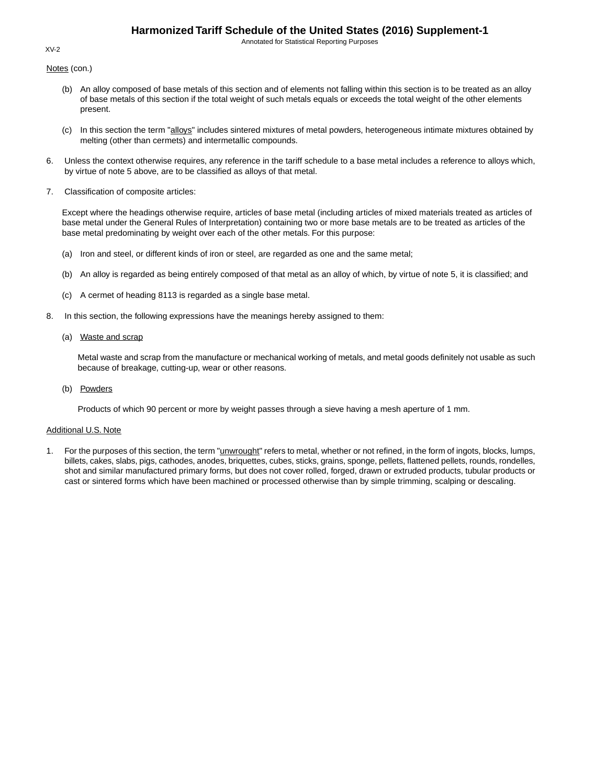Annotated for Statistical Reporting Purposes

Notes (con.)

- (b) An alloy composed of base metals of this section and of elements not falling within this section is to be treated as an alloy of base metals of this section if the total weight of such metals equals or exceeds the total weight of the other elements present.
- (c) In this section the term "alloys" includes sintered mixtures of metal powders, heterogeneous intimate mixtures obtained by melting (other than cermets) and intermetallic compounds.
- 6. Unless the context otherwise requires, any reference in the tariff schedule to a base metal includes a reference to alloys which, by virtue of note 5 above, are to be classified as alloys of that metal.
- 7. Classification of composite articles:

Except where the headings otherwise require, articles of base metal (including articles of mixed materials treated as articles of base metal under the General Rules of Interpretation) containing two or more base metals are to be treated as articles of the base metal predominating by weight over each of the other metals. For this purpose:

- (a) Iron and steel, or different kinds of iron or steel, are regarded as one and the same metal;
- (b) An alloy is regarded as being entirely composed of that metal as an alloy of which, by virtue of note 5, it is classified; and
- (c) A cermet of heading 8113 is regarded as a single base metal.
- 8. In this section, the following expressions have the meanings hereby assigned to them:
	- (a) Waste and scrap

Metal waste and scrap from the manufacture or mechanical working of metals, and metal goods definitely not usable as such because of breakage, cutting-up, wear or other reasons.

(b) Powders

Products of which 90 percent or more by weight passes through a sieve having a mesh aperture of 1 mm.

#### Additional U.S. Note

1. For the purposes of this section, the term "*unwrought*" refers to metal, whether or not refined, in the form of ingots, blocks, lumps, billets, cakes, slabs, pigs, cathodes, anodes, briquettes, cubes, sticks, grains, sponge, pellets, flattened pellets, rounds, rondelles, shot and similar manufactured primary forms, but does not cover rolled, forged, drawn or extruded products, tubular products or cast or sintered forms which have been machined or processed otherwise than by simple trimming, scalping or descaling.

#### XV-2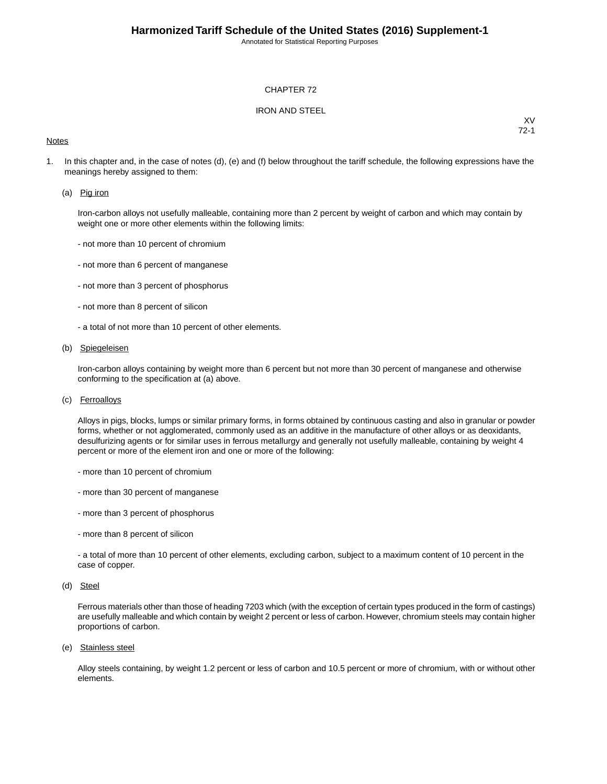#### CHAPTER 72

#### IRON AND STEEL

#### **Notes**

XV 72-1

1. In this chapter and, in the case of notes (d), (e) and (f) below throughout the tariff schedule, the following expressions have the meanings hereby assigned to them:

#### (a) Pig iron

Iron-carbon alloys not usefully malleable, containing more than 2 percent by weight of carbon and which may contain by weight one or more other elements within the following limits:

- not more than 10 percent of chromium
- not more than 6 percent of manganese
- not more than 3 percent of phosphorus
- not more than 8 percent of silicon
- a total of not more than 10 percent of other elements.

#### (b) Spiegeleisen

Iron-carbon alloys containing by weight more than 6 percent but not more than 30 percent of manganese and otherwise conforming to the specification at (a) above.

(c) Ferroalloys

Alloys in pigs, blocks, lumps or similar primary forms, in forms obtained by continuous casting and also in granular or powder forms, whether or not agglomerated, commonly used as an additive in the manufacture of other alloys or as deoxidants, desulfurizing agents or for similar uses in ferrous metallurgy and generally not usefully malleable, containing by weight 4 percent or more of the element iron and one or more of the following:

- more than 10 percent of chromium
- more than 30 percent of manganese
- more than 3 percent of phosphorus
- more than 8 percent of silicon

- a total of more than 10 percent of other elements, excluding carbon, subject to a maximum content of 10 percent in the case of copper.

(d) Steel

Ferrous materials other than those of heading 7203 which (with the exception of certain types produced in the form of castings) are usefully malleable and which contain by weight 2 percent or less of carbon. However, chromium steels may contain higher proportions of carbon.

(e) Stainless steel

Alloy steels containing, by weight 1.2 percent or less of carbon and 10.5 percent or more of chromium, with or without other elements.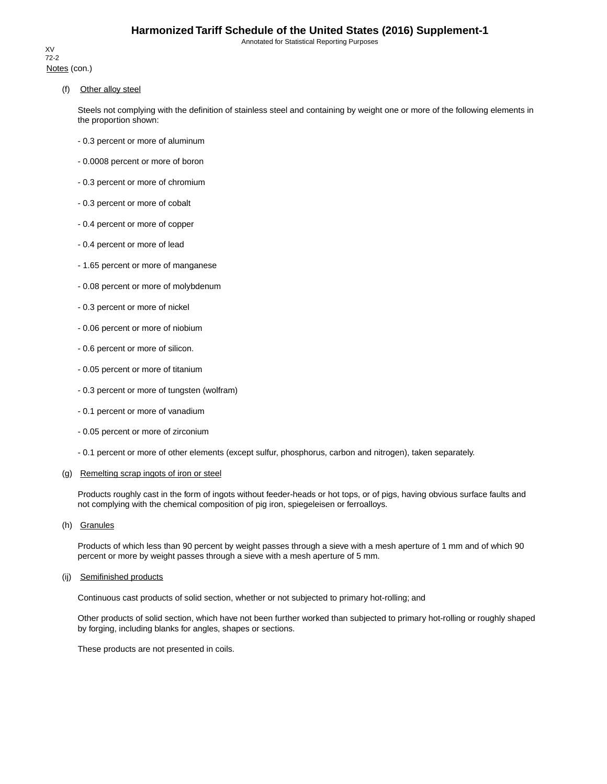Notes (con.) XV 72-2

(f) Other alloy steel

Steels not complying with the definition of stainless steel and containing by weight one or more of the following elements in the proportion shown:

- 0.3 percent or more of aluminum
- 0.0008 percent or more of boron
- 0.3 percent or more of chromium
- 0.3 percent or more of cobalt
- 0.4 percent or more of copper
- 0.4 percent or more of lead
- 1.65 percent or more of manganese
- 0.08 percent or more of molybdenum
- 0.3 percent or more of nickel
- 0.06 percent or more of niobium
- 0.6 percent or more of silicon.
- 0.05 percent or more of titanium
- 0.3 percent or more of tungsten (wolfram)
- 0.1 percent or more of vanadium
- 0.05 percent or more of zirconium
- 0.1 percent or more of other elements (except sulfur, phosphorus, carbon and nitrogen), taken separately.

#### (g) Remelting scrap ingots of iron or steel

Products roughly cast in the form of ingots without feeder-heads or hot tops, or of pigs, having obvious surface faults and not complying with the chemical composition of pig iron, spiegeleisen or ferroalloys.

(h) Granules

Products of which less than 90 percent by weight passes through a sieve with a mesh aperture of 1 mm and of which 90 percent or more by weight passes through a sieve with a mesh aperture of 5 mm.

#### (ij) Semifinished products

Continuous cast products of solid section, whether or not subjected to primary hot-rolling; and

Other products of solid section, which have not been further worked than subjected to primary hot-rolling or roughly shaped by forging, including blanks for angles, shapes or sections.

These products are not presented in coils.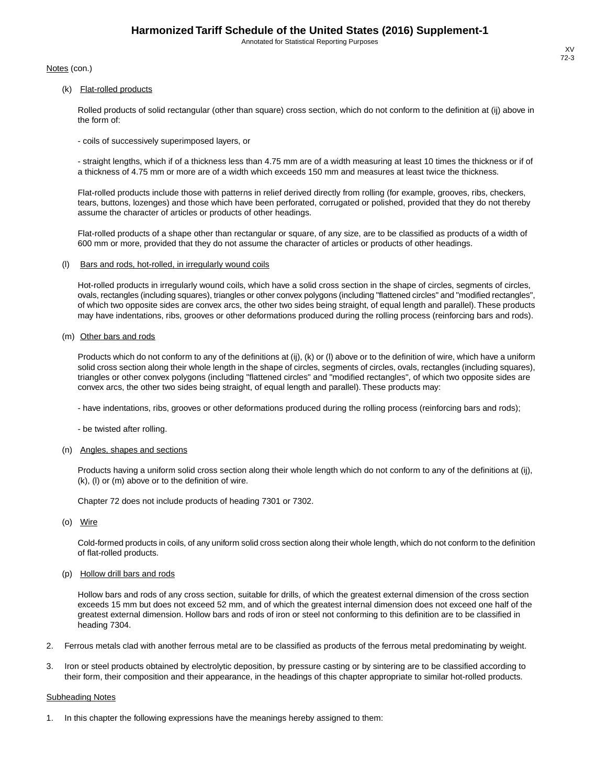Notes (con.)

(k) Flat-rolled products

Rolled products of solid rectangular (other than square) cross section, which do not conform to the definition at (ij) above in the form of:

- coils of successively superimposed layers, or

- straight lengths, which if of a thickness less than 4.75 mm are of a width measuring at least 10 times the thickness or if of a thickness of 4.75 mm or more are of a width which exceeds 150 mm and measures at least twice the thickness.

Flat-rolled products include those with patterns in relief derived directly from rolling (for example, grooves, ribs, checkers, tears, buttons, lozenges) and those which have been perforated, corrugated or polished, provided that they do not thereby assume the character of articles or products of other headings.

Flat-rolled products of a shape other than rectangular or square, of any size, are to be classified as products of a width of 600 mm or more, provided that they do not assume the character of articles or products of other headings.

#### (l) Bars and rods, hot-rolled, in irregularly wound coils

Hot-rolled products in irregularly wound coils, which have a solid cross section in the shape of circles, segments of circles, ovals, rectangles (including squares), triangles or other convex polygons (including "flattened circles" and "modified rectangles", of which two opposite sides are convex arcs, the other two sides being straight, of equal length and parallel).These products may have indentations, ribs, grooves or other deformations produced during the rolling process (reinforcing bars and rods).

#### (m) Other bars and rods

Products which do not conform to any of the definitions at (ij), (k) or (l) above or to the definition of wire, which have a uniform solid cross section along their whole length in the shape of circles, segments of circles, ovals, rectangles (including squares), triangles or other convex polygons (including "flattened circles" and "modified rectangles", of which two opposite sides are convex arcs, the other two sides being straight, of equal length and parallel). These products may:

- have indentations, ribs, grooves or other deformations produced during the rolling process (reinforcing bars and rods);

- be twisted after rolling.

#### (n) Angles, shapes and sections

Products having a uniform solid cross section along their whole length which do not conform to any of the definitions at (ij), (k), (l) or (m) above or to the definition of wire.

Chapter 72 does not include products of heading 7301 or 7302.

(o) Wire

Cold-formed products in coils, of any uniform solid cross section along their whole length, which do not conform to the definition of flat-rolled products.

(p) Hollow drill bars and rods

Hollow bars and rods of any cross section, suitable for drills, of which the greatest external dimension of the cross section exceeds 15 mm but does not exceed 52 mm, and of which the greatest internal dimension does not exceed one half of the greatest external dimension. Hollow bars and rods of iron or steel not conforming to this definition are to be classified in heading 7304.

- 2. Ferrous metals clad with another ferrous metal are to be classified as products of the ferrous metal predominating by weight.
- 3. Iron or steel products obtained by electrolytic deposition, by pressure casting or by sintering are to be classified according to their form, their composition and their appearance, in the headings of this chapter appropriate to similar hot-rolled products.

#### Subheading Notes

In this chapter the following expressions have the meanings hereby assigned to them: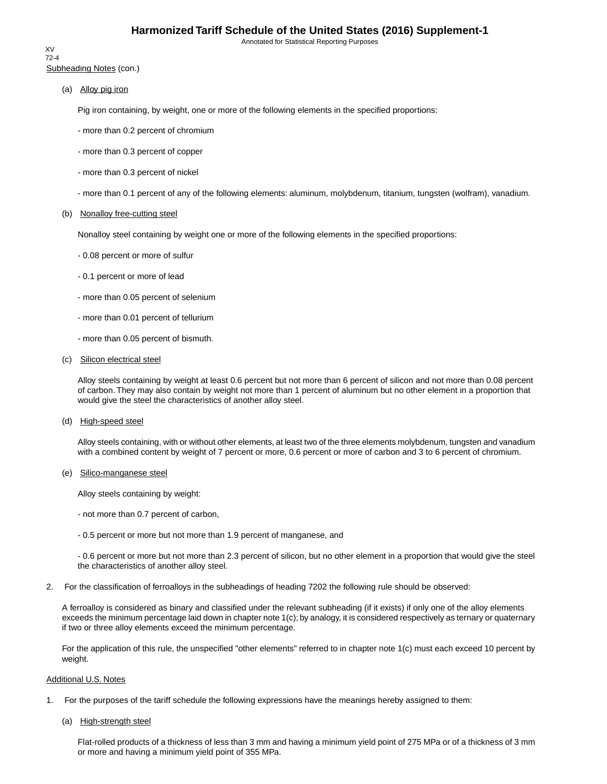Subheading Notes (con.) XV 72-4

(a) Alloy pig iron

Pig iron containing, by weight, one or more of the following elements in the specified proportions:

- more than 0.2 percent of chromium
- more than 0.3 percent of copper
- more than 0.3 percent of nickel
- more than 0.1 percent of any of the following elements: aluminum, molybdenum, titanium, tungsten (wolfram), vanadium.

#### (b) Nonalloy free-cutting steel

Nonalloy steel containing by weight one or more of the following elements in the specified proportions:

- 0.08 percent or more of sulfur
- 0.1 percent or more of lead
- more than 0.05 percent of selenium
- more than 0.01 percent of tellurium
- more than 0.05 percent of bismuth.
- (c) Silicon electrical steel

Alloy steels containing by weight at least 0.6 percent but not more than 6 percent of silicon and not more than 0.08 percent of carbon. They may also contain by weight not more than 1 percent of aluminum but no other element in a proportion that would give the steel the characteristics of another alloy steel.

(d) High-speed steel

Alloy steels containing, with or without other elements, at least two of the three elements molybdenum, tungsten and vanadium with a combined content by weight of 7 percent or more, 0.6 percent or more of carbon and 3 to 6 percent of chromium.

(e) Silico-manganese steel

Alloy steels containing by weight:

- not more than 0.7 percent of carbon,
- 0.5 percent or more but not more than 1.9 percent of manganese, and

- 0.6 percent or more but not more than 2.3 percent of silicon, but no other element in a proportion that would give the steel the characteristics of another alloy steel.

2. For the classification of ferroalloys in the subheadings of heading 7202 the following rule should be observed:

A ferroalloy is considered as binary and classified under the relevant subheading (if it exists) if only one of the alloy elements exceeds the minimum percentage laid down in chapter note 1(c); by analogy, it is considered respectively as ternary or quaternary if two or three alloy elements exceed the minimum percentage.

For the application of this rule, the unspecified "other elements" referred to in chapter note 1(c) must each exceed 10 percent by weight.

#### Additional U.S. Notes

- 1. For the purposes of the tariff schedule the following expressions have the meanings hereby assigned to them:
	- (a) High-strength steel

Flat-rolled products of a thickness of less than 3 mm and having a minimum yield point of 275 MPa or of a thickness of 3 mm or more and having a minimum yield point of 355 MPa.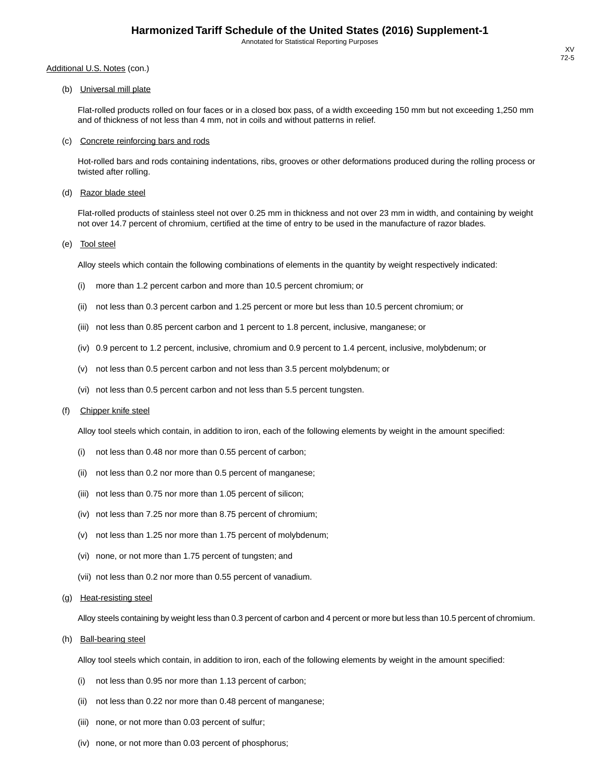# Additional U.S. Notes (con.)

(b) Universal mill plate

Flat-rolled products rolled on four faces or in a closed box pass, of a width exceeding 150 mm but not exceeding 1,250 mm and of thickness of not less than 4 mm, not in coils and without patterns in relief.

#### (c) Concrete reinforcing bars and rods

Hot-rolled bars and rods containing indentations, ribs, grooves or other deformations produced during the rolling process or twisted after rolling.

(d) Razor blade steel

Flat-rolled products of stainless steel not over 0.25 mm in thickness and not over 23 mm in width, and containing by weight not over 14.7 percent of chromium, certified at the time of entry to be used in the manufacture of razor blades.

(e) Tool steel

Alloy steels which contain the following combinations of elements in the quantity by weight respectively indicated:

- (i) more than 1.2 percent carbon and more than 10.5 percent chromium; or
- (ii) not less than 0.3 percent carbon and 1.25 percent or more but less than 10.5 percent chromium; or
- (iii) not less than 0.85 percent carbon and 1 percent to 1.8 percent, inclusive, manganese; or
- (iv) 0.9 percent to 1.2 percent, inclusive, chromium and 0.9 percent to 1.4 percent, inclusive, molybdenum; or
- (v) not less than 0.5 percent carbon and not less than 3.5 percent molybdenum; or
- (vi) not less than 0.5 percent carbon and not less than 5.5 percent tungsten.

#### (f) Chipper knife steel

Alloy tool steels which contain, in addition to iron, each of the following elements by weight in the amount specified:

- (i) not less than 0.48 nor more than 0.55 percent of carbon;
- (ii) not less than 0.2 nor more than 0.5 percent of manganese;
- (iii) not less than 0.75 nor more than 1.05 percent of silicon;
- (iv) not less than 7.25 nor more than 8.75 percent of chromium;
- (v) not less than 1.25 nor more than 1.75 percent of molybdenum;
- (vi) none, or not more than 1.75 percent of tungsten; and
- (vii) not less than 0.2 nor more than 0.55 percent of vanadium.
- (g) Heat-resisting steel

Alloy steels containing by weight less than 0.3 percent of carbon and 4 percent or more but less than 10.5 percent of chromium.

(h) Ball-bearing steel

Alloy tool steels which contain, in addition to iron, each of the following elements by weight in the amount specified:

- (i) not less than 0.95 nor more than 1.13 percent of carbon;
- (ii) not less than 0.22 nor more than 0.48 percent of manganese;
- (iii) none, or not more than 0.03 percent of sulfur;
- (iv) none, or not more than 0.03 percent of phosphorus;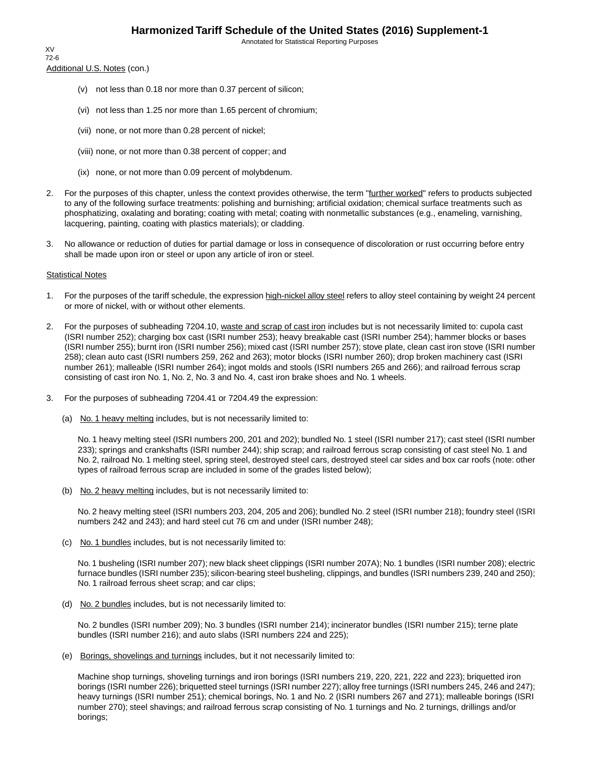Additional U.S. Notes (con.) XV 72-6

- (v) not less than 0.18 nor more than 0.37 percent of silicon;
- (vi) not less than 1.25 nor more than 1.65 percent of chromium;
- (vii) none, or not more than 0.28 percent of nickel;
- (viii) none, or not more than 0.38 percent of copper; and
- (ix) none, or not more than 0.09 percent of molybdenum.
- 2. For the purposes of this chapter, unless the context provides otherwise, the term "further worked" refers to products subjected to any of the following surface treatments: polishing and burnishing; artificial oxidation; chemical surface treatments such as phosphatizing, oxalating and borating; coating with metal; coating with nonmetallic substances (e.g., enameling, varnishing, lacquering, painting, coating with plastics materials); or cladding.
- 3. No allowance or reduction of duties for partial damage or loss in consequence of discoloration or rust occurring before entry shall be made upon iron or steel or upon any article of iron or steel.

#### Statistical Notes

- 1. For the purposes of the tariff schedule, the expression high-nickel alloy steel refers to alloy steel containing by weight 24 percent or more of nickel, with or without other elements.
- 2. For the purposes of subheading 7204.10, waste and scrap of cast iron includes but is not necessarily limited to: cupola cast (ISRI number 252); charging box cast (ISRI number 253); heavy breakable cast (ISRI number 254); hammer blocks or bases (ISRI number 255); burnt iron (ISRI number 256); mixed cast (ISRI number 257); stove plate, clean cast iron stove (ISRI number 258); clean auto cast (ISRI numbers 259, 262 and 263); motor blocks (ISRI number 260); drop broken machinery cast (ISRI number 261); malleable (ISRI number 264); ingot molds and stools (ISRI numbers 265 and 266); and railroad ferrous scrap consisting of cast iron No. 1, No. 2, No. 3 and No. 4, cast iron brake shoes and No. 1 wheels.
- 3. For the purposes of subheading 7204.41 or 7204.49 the expression:
	- (a) No. 1 heavy melting includes, but is not necessarily limited to:

No. 1 heavy melting steel (ISRI numbers 200, 201 and 202); bundled No. 1 steel (ISRI number 217); cast steel (ISRI number 233); springs and crankshafts (ISRI number 244); ship scrap; and railroad ferrous scrap consisting of cast steel No. 1 and No. 2, railroad No. 1 melting steel, spring steel, destroyed steel cars, destroyed steel car sides and box car roofs (note: other types of railroad ferrous scrap are included in some of the grades listed below);

(b) No. 2 heavy melting includes, but is not necessarily limited to:

No. 2 heavy melting steel (ISRI numbers 203, 204, 205 and 206); bundled No. 2 steel (ISRI number 218); foundry steel (ISRI numbers 242 and 243); and hard steel cut 76 cm and under (ISRI number 248);

(c) No. 1 bundles includes, but is not necessarily limited to:

No. 1 busheling (ISRI number 207); new black sheet clippings (ISRI number 207A); No. 1 bundles (ISRI number 208); electric furnace bundles (ISRI number 235); silicon-bearing steel busheling, clippings, and bundles (ISRI numbers 239, 240 and 250); No. 1 railroad ferrous sheet scrap; and car clips;

(d) No. 2 bundles includes, but is not necessarily limited to:

No. 2 bundles (ISRI number 209); No. 3 bundles (ISRI number 214); incinerator bundles (ISRI number 215); terne plate bundles (ISRI number 216); and auto slabs (ISRI numbers 224 and 225);

(e) Borings, shovelings and turnings includes, but it not necessarily limited to:

Machine shop turnings, shoveling turnings and iron borings (ISRI numbers 219, 220, 221, 222 and 223); briquetted iron borings (ISRI number 226); briquetted steel turnings (ISRI number 227); alloy free turnings (ISRI numbers 245, 246 and 247); heavy turnings (ISRI number 251); chemical borings, No. 1 and No. 2 (ISRI numbers 267 and 271); malleable borings (ISRI number 270); steel shavings; and railroad ferrous scrap consisting of No. 1 turnings and No. 2 turnings, drillings and/or borings;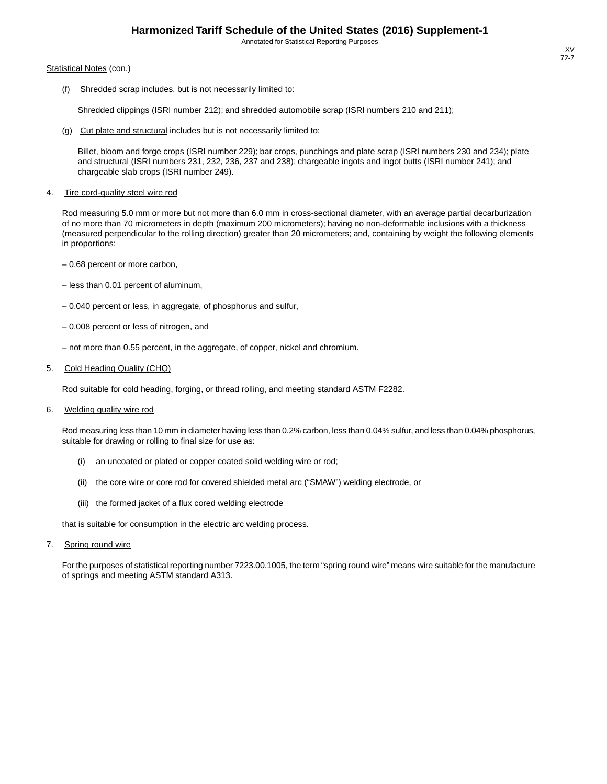#### Statistical Notes (con.)

(f) Shredded scrap includes, but is not necessarily limited to:

Shredded clippings (ISRI number 212); and shredded automobile scrap (ISRI numbers 210 and 211);

(g) Cut plate and structural includes but is not necessarily limited to:

Billet, bloom and forge crops (ISRI number 229); bar crops, punchings and plate scrap (ISRI numbers 230 and 234); plate and structural (ISRI numbers 231, 232, 236, 237 and 238); chargeable ingots and ingot butts (ISRI number 241); and chargeable slab crops (ISRI number 249).

4. Tire cord-quality steel wire rod

Rod measuring 5.0 mm or more but not more than 6.0 mm in cross-sectional diameter, with an average partial decarburization of no more than 70 micrometers in depth (maximum 200 micrometers); having no non-deformable inclusions with a thickness (measured perpendicular to the rolling direction) greater than 20 micrometers; and, containing by weight the following elements in proportions:

- 0.68 percent or more carbon,
- less than 0.01 percent of aluminum,
- 0.040 percent or less, in aggregate, of phosphorus and sulfur,
- 0.008 percent or less of nitrogen, and
- not more than 0.55 percent, in the aggregate, of copper, nickel and chromium.

#### 5. Cold Heading Quality (CHQ)

Rod suitable for cold heading, forging, or thread rolling, and meeting standard ASTM F2282.

6. Welding quality wire rod

Rod measuring less than 10 mm in diameter having less than 0.2% carbon, less than 0.04% sulfur, and less than 0.04% phosphorus, suitable for drawing or rolling to final size for use as:

- (i) an uncoated or plated or copper coated solid welding wire or rod;
- (ii) the core wire or core rod for covered shielded metal arc ("SMAW") welding electrode, or
- (iii) the formed jacket of a flux cored welding electrode

that is suitable for consumption in the electric arc welding process.

7. Spring round wire

For the purposes of statistical reporting number 7223.00.1005, the term "spring round wire" means wire suitable for the manufacture of springs and meeting ASTM standard A313.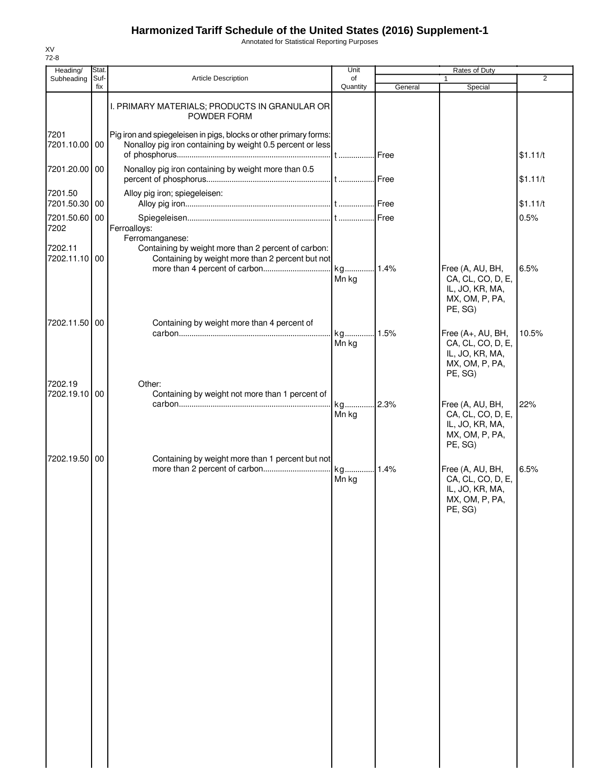Annotated for Statistical Reporting Purposes

| Stat.<br>Unit<br>Rates of Duty<br>Heading/<br>$\overline{2}$<br>Suf-<br>Article Description<br>of<br>Subheading<br>Quantity<br>fix<br>General<br>Special<br>I. PRIMARY MATERIALS; PRODUCTS IN GRANULAR OR<br>POWDER FORM<br>Pig iron and spiegeleisen in pigs, blocks or other primary forms:<br>7201<br>Nonalloy pig iron containing by weight 0.5 percent or less<br>7201.10.00 00<br>\$1.11/t<br>Nonalloy pig iron containing by weight more than 0.5<br>7201.20.00 00<br>\$1.11/t<br>Alloy pig iron; spiegeleisen:<br>7201.50<br>7201.50.30 00<br>\$1.11/t<br>7201.50.60 00<br>0.5%<br>Ferroalloys:<br>7202<br>Ferromanganese:<br>Containing by weight more than 2 percent of carbon:<br>7202.11<br>7202.11.10 00<br>Containing by weight more than 2 percent but not<br>more than 4 percent of carbon<br>kg 1.4%<br>6.5%<br>Free (A, AU, BH,<br>CA, CL, CO, D, E,<br>Mn kg<br>IL, JO, KR, MA,<br>MX, OM, P, PA,<br>PE, SG)<br>7202.11.50 00<br>Containing by weight more than 4 percent of<br>Free (A+, AU, BH,<br>10.5%<br>Mn kg<br>CA, CL, CO, D, E,<br>IL, JO, KR, MA,<br>MX, OM, P, PA,<br>PE, SG)<br>7202.19<br>Other:<br>7202.19.10 00<br>Containing by weight not more than 1 percent of<br>kg 2.3%<br>Free (A, AU, BH,<br>22%<br>CA, CL, CO, D, E,<br>Mn kg<br>IL, JO, KR, MA,<br>MX, OM, P, PA,<br>PE, SG)<br>7202.19.50 00<br>Containing by weight more than 1 percent but not<br>6.5%<br>kg 1.4%<br>Free (A, AU, BH,<br>CA, CL, CO, D, E,<br>Mn kg<br>IL, JO, KR, MA,<br>MX, OM, P, PA,<br>PE, SG) |  |  |  |  |
|--------------------------------------------------------------------------------------------------------------------------------------------------------------------------------------------------------------------------------------------------------------------------------------------------------------------------------------------------------------------------------------------------------------------------------------------------------------------------------------------------------------------------------------------------------------------------------------------------------------------------------------------------------------------------------------------------------------------------------------------------------------------------------------------------------------------------------------------------------------------------------------------------------------------------------------------------------------------------------------------------------------------------------------------------------------------------------------------------------------------------------------------------------------------------------------------------------------------------------------------------------------------------------------------------------------------------------------------------------------------------------------------------------------------------------------------------------------------------------------------------------------------|--|--|--|--|
|                                                                                                                                                                                                                                                                                                                                                                                                                                                                                                                                                                                                                                                                                                                                                                                                                                                                                                                                                                                                                                                                                                                                                                                                                                                                                                                                                                                                                                                                                                                    |  |  |  |  |
|                                                                                                                                                                                                                                                                                                                                                                                                                                                                                                                                                                                                                                                                                                                                                                                                                                                                                                                                                                                                                                                                                                                                                                                                                                                                                                                                                                                                                                                                                                                    |  |  |  |  |
|                                                                                                                                                                                                                                                                                                                                                                                                                                                                                                                                                                                                                                                                                                                                                                                                                                                                                                                                                                                                                                                                                                                                                                                                                                                                                                                                                                                                                                                                                                                    |  |  |  |  |
|                                                                                                                                                                                                                                                                                                                                                                                                                                                                                                                                                                                                                                                                                                                                                                                                                                                                                                                                                                                                                                                                                                                                                                                                                                                                                                                                                                                                                                                                                                                    |  |  |  |  |
|                                                                                                                                                                                                                                                                                                                                                                                                                                                                                                                                                                                                                                                                                                                                                                                                                                                                                                                                                                                                                                                                                                                                                                                                                                                                                                                                                                                                                                                                                                                    |  |  |  |  |
|                                                                                                                                                                                                                                                                                                                                                                                                                                                                                                                                                                                                                                                                                                                                                                                                                                                                                                                                                                                                                                                                                                                                                                                                                                                                                                                                                                                                                                                                                                                    |  |  |  |  |
|                                                                                                                                                                                                                                                                                                                                                                                                                                                                                                                                                                                                                                                                                                                                                                                                                                                                                                                                                                                                                                                                                                                                                                                                                                                                                                                                                                                                                                                                                                                    |  |  |  |  |
|                                                                                                                                                                                                                                                                                                                                                                                                                                                                                                                                                                                                                                                                                                                                                                                                                                                                                                                                                                                                                                                                                                                                                                                                                                                                                                                                                                                                                                                                                                                    |  |  |  |  |
|                                                                                                                                                                                                                                                                                                                                                                                                                                                                                                                                                                                                                                                                                                                                                                                                                                                                                                                                                                                                                                                                                                                                                                                                                                                                                                                                                                                                                                                                                                                    |  |  |  |  |
|                                                                                                                                                                                                                                                                                                                                                                                                                                                                                                                                                                                                                                                                                                                                                                                                                                                                                                                                                                                                                                                                                                                                                                                                                                                                                                                                                                                                                                                                                                                    |  |  |  |  |
|                                                                                                                                                                                                                                                                                                                                                                                                                                                                                                                                                                                                                                                                                                                                                                                                                                                                                                                                                                                                                                                                                                                                                                                                                                                                                                                                                                                                                                                                                                                    |  |  |  |  |
|                                                                                                                                                                                                                                                                                                                                                                                                                                                                                                                                                                                                                                                                                                                                                                                                                                                                                                                                                                                                                                                                                                                                                                                                                                                                                                                                                                                                                                                                                                                    |  |  |  |  |
|                                                                                                                                                                                                                                                                                                                                                                                                                                                                                                                                                                                                                                                                                                                                                                                                                                                                                                                                                                                                                                                                                                                                                                                                                                                                                                                                                                                                                                                                                                                    |  |  |  |  |
|                                                                                                                                                                                                                                                                                                                                                                                                                                                                                                                                                                                                                                                                                                                                                                                                                                                                                                                                                                                                                                                                                                                                                                                                                                                                                                                                                                                                                                                                                                                    |  |  |  |  |
|                                                                                                                                                                                                                                                                                                                                                                                                                                                                                                                                                                                                                                                                                                                                                                                                                                                                                                                                                                                                                                                                                                                                                                                                                                                                                                                                                                                                                                                                                                                    |  |  |  |  |
|                                                                                                                                                                                                                                                                                                                                                                                                                                                                                                                                                                                                                                                                                                                                                                                                                                                                                                                                                                                                                                                                                                                                                                                                                                                                                                                                                                                                                                                                                                                    |  |  |  |  |
|                                                                                                                                                                                                                                                                                                                                                                                                                                                                                                                                                                                                                                                                                                                                                                                                                                                                                                                                                                                                                                                                                                                                                                                                                                                                                                                                                                                                                                                                                                                    |  |  |  |  |
|                                                                                                                                                                                                                                                                                                                                                                                                                                                                                                                                                                                                                                                                                                                                                                                                                                                                                                                                                                                                                                                                                                                                                                                                                                                                                                                                                                                                                                                                                                                    |  |  |  |  |
|                                                                                                                                                                                                                                                                                                                                                                                                                                                                                                                                                                                                                                                                                                                                                                                                                                                                                                                                                                                                                                                                                                                                                                                                                                                                                                                                                                                                                                                                                                                    |  |  |  |  |
|                                                                                                                                                                                                                                                                                                                                                                                                                                                                                                                                                                                                                                                                                                                                                                                                                                                                                                                                                                                                                                                                                                                                                                                                                                                                                                                                                                                                                                                                                                                    |  |  |  |  |
|                                                                                                                                                                                                                                                                                                                                                                                                                                                                                                                                                                                                                                                                                                                                                                                                                                                                                                                                                                                                                                                                                                                                                                                                                                                                                                                                                                                                                                                                                                                    |  |  |  |  |
|                                                                                                                                                                                                                                                                                                                                                                                                                                                                                                                                                                                                                                                                                                                                                                                                                                                                                                                                                                                                                                                                                                                                                                                                                                                                                                                                                                                                                                                                                                                    |  |  |  |  |
|                                                                                                                                                                                                                                                                                                                                                                                                                                                                                                                                                                                                                                                                                                                                                                                                                                                                                                                                                                                                                                                                                                                                                                                                                                                                                                                                                                                                                                                                                                                    |  |  |  |  |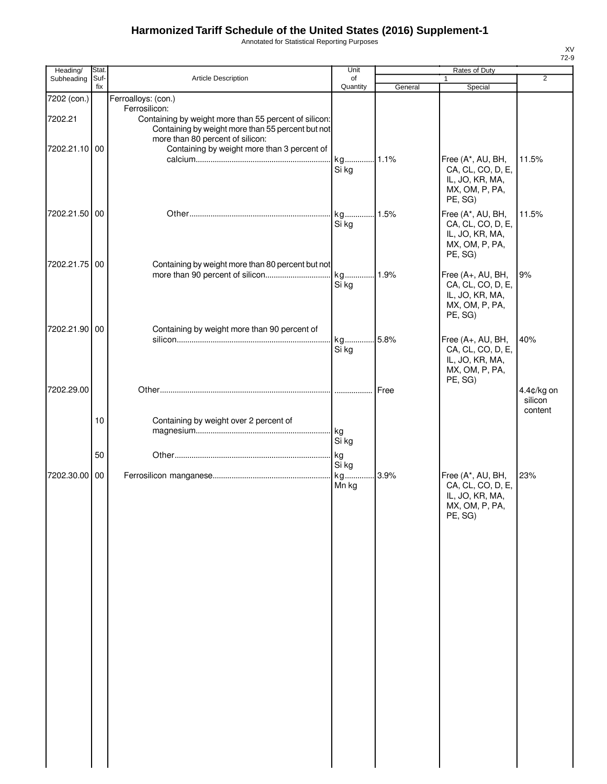Annotated for Statistical Reporting Purposes

| Heading/               | Stat.       |                                                                                                                                      | Unit           | Rates of Duty |                                                                                        |                                  |
|------------------------|-------------|--------------------------------------------------------------------------------------------------------------------------------------|----------------|---------------|----------------------------------------------------------------------------------------|----------------------------------|
| Subheading             | Suf-<br>fix | Article Description                                                                                                                  | of<br>Quantity | General       | 1<br>Special                                                                           | $\overline{2}$                   |
| 7202 (con.)<br>7202.21 |             | Ferroalloys: (con.)<br>Ferrosilicon:<br>Containing by weight more than 55 percent of silicon:                                        |                |               |                                                                                        |                                  |
| 7202.21.10 00          |             | Containing by weight more than 55 percent but not<br>more than 80 percent of silicon:<br>Containing by weight more than 3 percent of | kg<br>Si kg    | $.11\%$       | Free (A*, AU, BH,<br>CA, CL, CO, D, E,                                                 | 11.5%                            |
| 7202.21.50 00          |             |                                                                                                                                      |                |               | IL, JO, KR, MA,<br>MX, OM, P, PA,<br>PE, SG)<br>Free (A*, AU, BH,                      | 11.5%                            |
|                        |             |                                                                                                                                      | Si kg          |               | CA, CL, CO, D, E,<br>IL, JO, KR, MA,<br>MX, OM, P, PA,<br>PE, SG)                      |                                  |
| 7202.21.75 00          |             | Containing by weight more than 80 percent but not<br>more than 90 percent of silicon                                                 | kg<br>Si kg    | .1.9%         | Free (A+, AU, BH,<br>CA, CL, CO, D, E,<br>IL, JO, KR, MA,<br>MX, OM, P, PA,<br>PE, SG) | 9%                               |
| 7202.21.90 00          |             | Containing by weight more than 90 percent of                                                                                         | kg<br>Si kg    | .5.8%         | Free (A+, AU, BH,<br>CA, CL, CO, D, E,<br>IL, JO, KR, MA,<br>MX, OM, P, PA,<br>PE, SG) | 40%                              |
| 7202.29.00             |             |                                                                                                                                      |                | Free          |                                                                                        | 4.4¢/kg on<br>silicon<br>content |
|                        | 10          | Containing by weight over 2 percent of                                                                                               | kg<br>Si kg    |               |                                                                                        |                                  |
|                        | 50          |                                                                                                                                      | kg<br>Si kg    |               |                                                                                        |                                  |
| 7202.30.00 00          |             |                                                                                                                                      | kg<br>Mn kg    | 3.9%          | Free (A*, AU, BH,<br>CA, CL, CO, D, E,<br>IL, JO, KR, MA,<br>MX, OM, P, PA,<br>PE, SG) | 23%                              |
|                        |             |                                                                                                                                      |                |               |                                                                                        |                                  |
|                        |             |                                                                                                                                      |                |               |                                                                                        |                                  |
|                        |             |                                                                                                                                      |                |               |                                                                                        |                                  |
|                        |             |                                                                                                                                      |                |               |                                                                                        |                                  |
|                        |             |                                                                                                                                      |                |               |                                                                                        |                                  |
|                        |             |                                                                                                                                      |                |               |                                                                                        |                                  |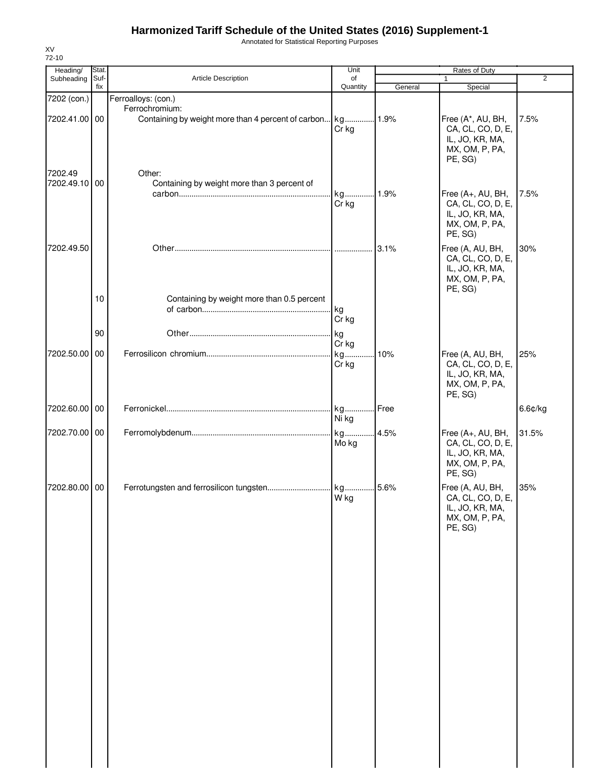Annotated for Statistical Reporting Purposes

| Heading/<br>Subheading       | Stat.<br>Suf- | Article Description                                   | Unit<br>of       |         | Rates of Duty<br>$\mathbf{1}$                                                          | $\overline{2}$ |
|------------------------------|---------------|-------------------------------------------------------|------------------|---------|----------------------------------------------------------------------------------------|----------------|
|                              | fix           |                                                       | Quantity         | General | Special                                                                                |                |
| 7202 (con.)<br>7202.41.00 00 |               | Ferroalloys: (con.)<br>Ferrochromium:                 | Cr kg            |         | Free (A*, AU, BH,<br>CA, CL, CO, D, E,<br>IL, JO, KR, MA,<br>MX, OM, P, PA,<br>PE, SG) | 7.5%           |
| 7202.49<br>7202.49.10 00     |               | Other:<br>Containing by weight more than 3 percent of | kg 1.9%<br>Cr kg |         | Free (A+, AU, BH,<br>CA, CL, CO, D, E,<br>IL, JO, KR, MA,<br>MX, OM, P, PA,<br>PE, SG) | 7.5%           |
| 7202.49.50                   | 10            | Containing by weight more than 0.5 percent            |                  |         | Free (A, AU, BH,<br>CA, CL, CO, D, E,<br>IL, JO, KR, MA,<br>MX, OM, P, PA,<br>PE, SG)  | 30%            |
|                              |               |                                                       | kg<br>Cr kg      |         |                                                                                        |                |
|                              | 90            |                                                       | kg<br>Cr kg      |         |                                                                                        |                |
| 7202.50.00 00                |               |                                                       | kg<br>Cr kg      | 10%     | Free (A, AU, BH,<br>CA, CL, CO, D, E,<br>IL, JO, KR, MA,<br>MX, OM, P, PA,<br>PE, SG)  | 25%            |
| 7202.60.00 00                |               |                                                       | kg Free<br>Ni kg |         |                                                                                        | 6.6¢/kg        |
| 7202.70.00 00                |               |                                                       | Mo kg            |         | Free (A+, AU, BH,<br>CA, CL, CO, D, E,<br>IL, JO, KR, MA,<br>MX, OM, P, PA,<br>PE, SG) | 31.5%          |
| 7202.80.00 00                |               |                                                       | W kg             |         | Free (A, AU, BH,<br>CA, CL, CO, D, E,<br>IL, JO, KR, MA,<br>MX, OM, P, PA,<br>PE, SG)  | 35%            |

XV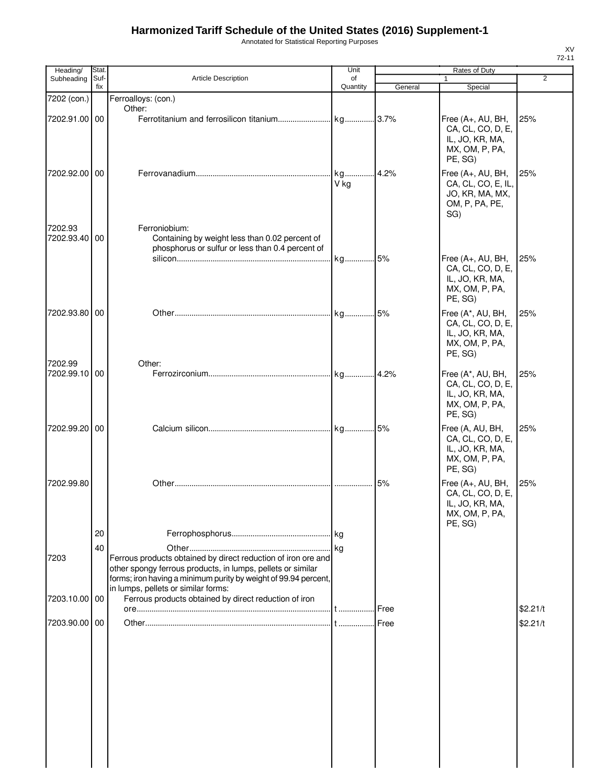Annotated for Statistical Reporting Purposes

| Heading/                 | Stat.       |                                                                                                                                                                                                                                        | Unit           |         | Rates of Duty                                                                                     |          |
|--------------------------|-------------|----------------------------------------------------------------------------------------------------------------------------------------------------------------------------------------------------------------------------------------|----------------|---------|---------------------------------------------------------------------------------------------------|----------|
| Subheading               | Suf-<br>fix | <b>Article Description</b>                                                                                                                                                                                                             | of<br>Quantity | General | $\mathbf{1}$<br>Special                                                                           | 2        |
| 7202 (con.)              |             | Ferroalloys: (con.)                                                                                                                                                                                                                    |                |         |                                                                                                   |          |
| 7202.91.00 00            |             | Other:                                                                                                                                                                                                                                 |                |         | Free (A+, AU, BH,<br>CA, CL, CO, D, E,<br>IL, JO, KR, MA,<br>MX, OM, P, PA,<br>PE, SG)            | 25%      |
| 7202.92.00 00            |             |                                                                                                                                                                                                                                        | V ka           | 4.2%    | Free (A+, AU, BH,<br>CA, CL, CO, E, IL,<br>JO, KR, MA, MX,<br>OM, P, PA, PE,<br>SG)               | 25%      |
| 7202.93<br>7202.93.40    | 00          | Ferroniobium:<br>Containing by weight less than 0.02 percent of<br>phosphorus or sulfur or less than 0.4 percent of                                                                                                                    | kg 5%          |         | Free (A+, AU, BH,<br>CA, CL, CO, D, E,<br>IL, JO, KR, MA,<br>MX, OM, P, PA,                       | 25%      |
| 7202.93.80 00            |             |                                                                                                                                                                                                                                        |                |         | PE, SG)<br>Free (A*, AU, BH,<br>CA, CL, CO, D, E,<br>IL, JO, KR, MA,<br>MX, OM, P, PA,<br>PE, SG) | 25%      |
| 7202.99<br>7202.99.10 00 |             | Other:                                                                                                                                                                                                                                 |                |         | Free (A*, AU, BH,<br>CA, CL, CO, D, E,<br>IL, JO, KR, MA,<br>MX, OM, P, PA,<br>PE, SG)            | 25%      |
| 7202.99.20 00            |             |                                                                                                                                                                                                                                        |                |         | Free (A, AU, BH,<br>CA, CL, CO, D, E,<br>IL, JO, KR, MA,<br>MX, OM, P, PA,<br>PE, SG)             | 25%      |
| 7202.99.80               |             |                                                                                                                                                                                                                                        | .              | 5%      | Free (A+, AU, BH,<br>CA, CL, CO, D, E,<br>IL, JO, KR, MA,<br>MX, OM, P, PA,<br>PE, SG)            | 25%      |
|                          | 20          |                                                                                                                                                                                                                                        |                |         |                                                                                                   |          |
| 7203                     | 40          | Ferrous products obtained by direct reduction of iron ore and<br>other spongy ferrous products, in lumps, pellets or similar<br>forms; iron having a minimum purity by weight of 99.94 percent,<br>in lumps, pellets or similar forms: |                |         |                                                                                                   |          |
| 7203.10.00 00            |             | Ferrous products obtained by direct reduction of iron                                                                                                                                                                                  |                | .l Free |                                                                                                   | \$2.21/t |
| 7203.90.00 00            |             |                                                                                                                                                                                                                                        |                |         |                                                                                                   | \$2.21/t |
|                          |             |                                                                                                                                                                                                                                        |                |         |                                                                                                   |          |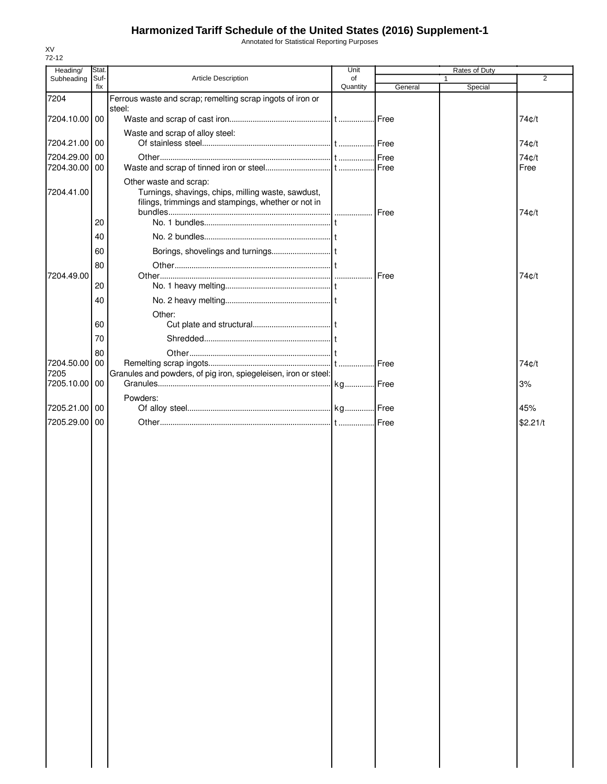Annotated for Statistical Reporting Purposes

| Heading/              | Stat.       |                                                                                                                                     | Unit           |         | Rates of Duty |                |
|-----------------------|-------------|-------------------------------------------------------------------------------------------------------------------------------------|----------------|---------|---------------|----------------|
| Subheading            | Suf-<br>fix | Article Description                                                                                                                 | of<br>Quantity | General | 1<br>Special  | $\overline{2}$ |
| 7204                  |             | Ferrous waste and scrap; remelting scrap ingots of iron or                                                                          |                |         |               |                |
|                       |             | steel:                                                                                                                              |                |         |               |                |
| 7204.10.00 00         |             |                                                                                                                                     |                |         |               | 74¢/t          |
| 7204.21.00 00         |             | Waste and scrap of alloy steel:                                                                                                     |                | .I Free |               | 74¢/t          |
| 7204.29.00            | 00          |                                                                                                                                     |                |         |               | 74¢/t          |
| 7204.30.00            | 00          |                                                                                                                                     |                |         |               | Free           |
| 7204.41.00            |             | Other waste and scrap:<br>Turnings, shavings, chips, milling waste, sawdust,<br>filings, trimmings and stampings, whether or not in |                | Free    |               | 74¢/t          |
|                       | 20          |                                                                                                                                     |                |         |               |                |
|                       | 40          |                                                                                                                                     |                |         |               |                |
|                       | 60          |                                                                                                                                     |                |         |               |                |
|                       | 80          |                                                                                                                                     |                |         |               |                |
| 7204.49.00            | 20          |                                                                                                                                     |                | Free    |               | 74¢/t          |
|                       | 40          |                                                                                                                                     |                |         |               |                |
|                       |             | Other:                                                                                                                              |                |         |               |                |
|                       | 60          |                                                                                                                                     |                |         |               |                |
|                       | 70          |                                                                                                                                     |                |         |               |                |
|                       | 80          |                                                                                                                                     |                |         |               |                |
| 7204.50.00            | 00          |                                                                                                                                     |                | Free    |               | 74¢/t          |
| 7205<br>7205.10.00 00 |             | Granules and powders, of pig iron, spiegeleisen, iron or steel:                                                                     |                |         |               | 3%             |
|                       |             | Powders:                                                                                                                            |                |         |               |                |
| 7205.21.00 00         |             |                                                                                                                                     |                |         |               | 45%            |
| 7205.29.00            | 00          |                                                                                                                                     |                |         |               | \$2.21/t       |
|                       |             |                                                                                                                                     |                |         |               |                |
|                       |             |                                                                                                                                     |                |         |               |                |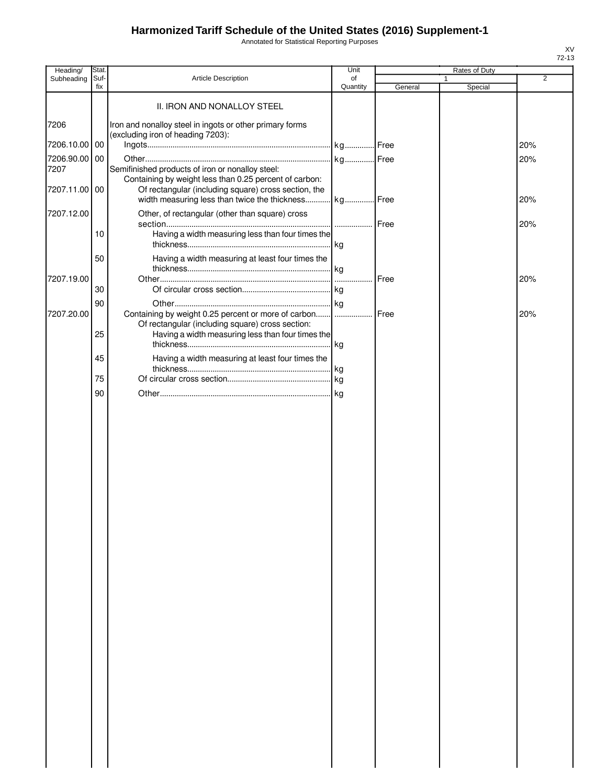Annotated for Statistical Reporting Purposes

| Heading/      | Stat.       |                                                                                                               | Unit           |         | Rates of Duty |                |
|---------------|-------------|---------------------------------------------------------------------------------------------------------------|----------------|---------|---------------|----------------|
| Subheading    | Suf-<br>fix | Article Description                                                                                           | of<br>Quantity | General | 1<br>Special  | $\overline{2}$ |
|               |             | II. IRON AND NONALLOY STEEL                                                                                   |                |         |               |                |
| 7206          |             | Iron and nonalloy steel in ingots or other primary forms<br>(excluding iron of heading 7203):                 |                |         |               |                |
| 7206.10.00 00 |             |                                                                                                               |                |         |               | 20%            |
| 7206.90.00    | 00          |                                                                                                               |                |         |               | 20%            |
| 7207          |             | Semifinished products of iron or nonalloy steel:<br>Containing by weight less than 0.25 percent of carbon:    |                |         |               |                |
| 7207.11.00 00 |             | Of rectangular (including square) cross section, the<br>width measuring less than twice the thickness kg Free |                |         |               | 20%            |
| 7207.12.00    |             | Other, of rectangular (other than square) cross                                                               | <b>Free</b>    |         |               | 20%            |
|               | 10          | Having a width measuring less than four times the                                                             |                |         |               |                |
|               | 50          | Having a width measuring at least four times the                                                              |                |         |               |                |
| 7207.19.00    |             |                                                                                                               |                | Free    |               | 20%            |
|               | 30          |                                                                                                               |                |         |               |                |
|               | 90          |                                                                                                               |                |         |               |                |
| 7207.20.00    |             | Containing by weight 0.25 percent or more of carbon                                                           | .              | Free    |               | 20%            |
|               | 25          | Of rectangular (including square) cross section:<br>Having a width measuring less than four times the         |                |         |               |                |
|               | 45          | Having a width measuring at least four times the                                                              |                |         |               |                |
|               | 75          |                                                                                                               |                |         |               |                |
|               | 90          |                                                                                                               |                |         |               |                |
|               |             |                                                                                                               |                |         |               |                |
|               |             |                                                                                                               |                |         |               |                |
|               |             |                                                                                                               |                |         |               |                |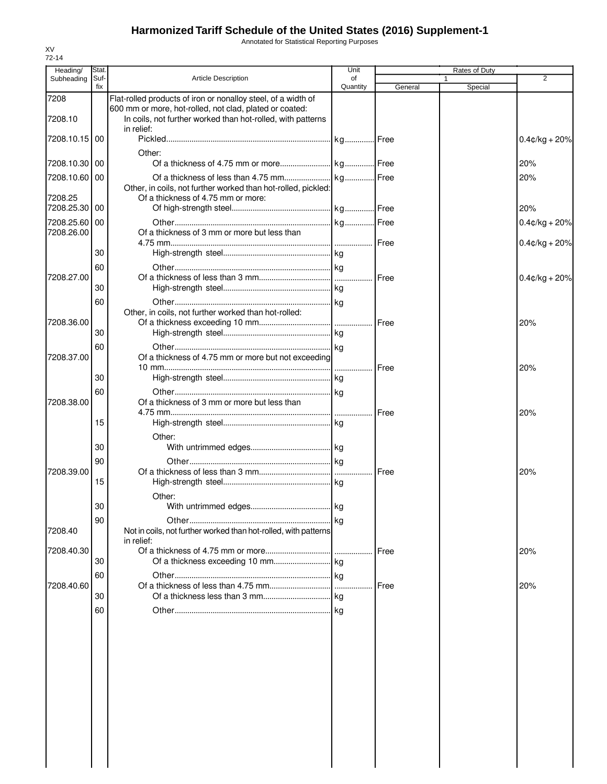Annotated for Statistical Reporting Purposes

| Heading/                    | <b>Stat</b> |                                                                                                                                      | Unit           |               | Rates of Duty           |                                      |
|-----------------------------|-------------|--------------------------------------------------------------------------------------------------------------------------------------|----------------|---------------|-------------------------|--------------------------------------|
| Subheading                  | Suf-<br>fix | <b>Article Description</b>                                                                                                           | of<br>Quantity | General       | $\mathbf{1}$<br>Special | 2                                    |
| 7208                        |             | Flat-rolled products of iron or nonalloy steel, of a width of                                                                        |                |               |                         |                                      |
| 7208.10                     |             | 600 mm or more, hot-rolled, not clad, plated or coated:<br>In coils, not further worked than hot-rolled, with patterns<br>in relief: |                |               |                         |                                      |
| 7208.10.15 00               |             |                                                                                                                                      |                |               |                         | $0.4$ ¢/kg + 20%                     |
| 7208.10.30 00               |             | Other:                                                                                                                               |                |               |                         | 20%                                  |
| 7208.10.60 00<br>7208.25    |             | Other, in coils, not further worked than hot-rolled, pickled:<br>Of a thickness of 4.75 mm or more:                                  |                |               |                         | 20%                                  |
| 7208.25.30 00               |             |                                                                                                                                      |                |               |                         | 20%                                  |
| 7208.25.60 00<br>7208.26.00 |             | Of a thickness of 3 mm or more but less than                                                                                         |                |               |                         | $0.4$ ¢/kg + 20%<br>$0.4$ ¢/kg + 20% |
|                             | 30          |                                                                                                                                      |                |               |                         |                                      |
|                             | 60          |                                                                                                                                      |                |               |                         |                                      |
| 7208.27.00                  | 30          |                                                                                                                                      |                | Free          |                         | $0.4$ ¢/kg + 20%                     |
|                             | 60          |                                                                                                                                      |                |               |                         |                                      |
|                             |             | Other, in coils, not further worked than hot-rolled:                                                                                 |                |               |                         |                                      |
| 7208.36.00                  |             |                                                                                                                                      |                |               |                         | 20%                                  |
|                             | 30          |                                                                                                                                      |                |               |                         |                                      |
|                             | 60          | Of a thickness of 4.75 mm or more but not exceeding                                                                                  |                |               |                         |                                      |
| 7208.37.00                  |             |                                                                                                                                      | .              | <b>I</b> Free |                         | 20%                                  |
|                             | 30          |                                                                                                                                      |                |               |                         |                                      |
|                             | 60          |                                                                                                                                      |                |               |                         |                                      |
| 7208.38.00                  |             | Of a thickness of 3 mm or more but less than                                                                                         |                |               |                         |                                      |
|                             | 15          |                                                                                                                                      |                | Free          |                         | 20%                                  |
|                             |             | Other:                                                                                                                               |                |               |                         |                                      |
|                             | 30          |                                                                                                                                      |                |               |                         |                                      |
|                             | 90          |                                                                                                                                      |                |               |                         |                                      |
| 7208.39.00                  |             |                                                                                                                                      |                |               |                         | 20%                                  |
|                             | 15          |                                                                                                                                      |                |               |                         |                                      |
|                             |             | Other:                                                                                                                               |                |               |                         |                                      |
|                             | 30          |                                                                                                                                      |                |               |                         |                                      |
| 7208.40                     | 90          | Not in coils, not further worked than hot-rolled, with patterns<br>in relief:                                                        |                |               |                         |                                      |
| 7208.40.30                  |             |                                                                                                                                      |                | Free          |                         | 20%                                  |
|                             | 30          |                                                                                                                                      |                |               |                         |                                      |
| 7208.40.60                  | 60          |                                                                                                                                      |                | Free          |                         | 20%                                  |
|                             | 30          |                                                                                                                                      |                |               |                         |                                      |
|                             | 60          |                                                                                                                                      |                |               |                         |                                      |
|                             |             |                                                                                                                                      |                |               |                         |                                      |
|                             |             |                                                                                                                                      |                |               |                         |                                      |
|                             |             |                                                                                                                                      |                |               |                         |                                      |
|                             |             |                                                                                                                                      |                |               |                         |                                      |
|                             |             |                                                                                                                                      |                |               |                         |                                      |
|                             |             |                                                                                                                                      |                |               |                         |                                      |
|                             |             |                                                                                                                                      |                |               |                         |                                      |
|                             |             |                                                                                                                                      |                |               |                         |                                      |
|                             |             |                                                                                                                                      |                |               |                         |                                      |
|                             |             |                                                                                                                                      |                |               |                         |                                      |
|                             |             |                                                                                                                                      |                |               |                         |                                      |
|                             |             |                                                                                                                                      |                |               |                         |                                      |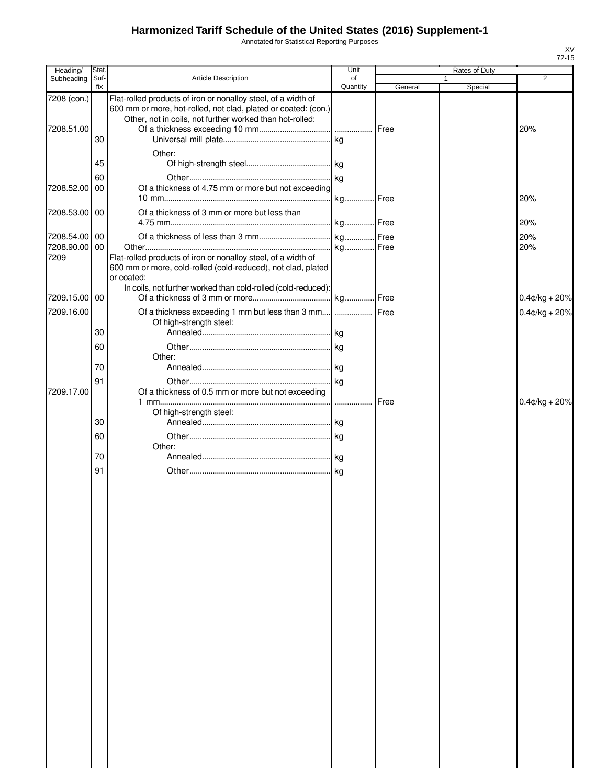Annotated for Statistical Reporting Purposes

| Heading/<br>Subheading    | Stat<br>Suf- | <b>Article Description</b>                                                                                                                                                                  | Unit<br>of |              | Rates of Duty<br>1 | 2                |
|---------------------------|--------------|---------------------------------------------------------------------------------------------------------------------------------------------------------------------------------------------|------------|--------------|--------------------|------------------|
|                           | fix          |                                                                                                                                                                                             | Quantity   | General      | Special            |                  |
| 7208 (con.)<br>7208.51.00 |              | Flat-rolled products of iron or nonalloy steel, of a width of<br>600 mm or more, hot-rolled, not clad, plated or coated: (con.)<br>Other, not in coils, not further worked than hot-rolled: |            |              |                    | 20%              |
|                           | 30           |                                                                                                                                                                                             |            |              |                    |                  |
|                           | 45           | Other:                                                                                                                                                                                      |            |              |                    |                  |
|                           | 60           |                                                                                                                                                                                             |            |              |                    |                  |
| 7208.52.00 00             |              | Of a thickness of 4.75 mm or more but not exceeding                                                                                                                                         |            |              |                    | 20%              |
| 7208.53.00 00             |              | Of a thickness of 3 mm or more but less than                                                                                                                                                |            |              |                    | 20%              |
| 7208.54.00 00             |              |                                                                                                                                                                                             |            |              |                    | 20%              |
| 7208.90.00<br>7209        | 00           | Flat-rolled products of iron or nonalloy steel, of a width of<br>600 mm or more, cold-rolled (cold-reduced), not clad, plated<br>or coated:                                                 |            |              |                    | 20%              |
| 7209.15.00 00             |              | In coils, not further worked than cold-rolled (cold-reduced):                                                                                                                               |            |              |                    | $0.4$ ¢/kg + 20% |
| 7209.16.00                |              | Of a thickness exceeding 1 mm but less than 3 mm    Free<br>Of high-strength steel:                                                                                                         |            |              |                    | $0.4$ ¢/kg + 20% |
|                           | 30           |                                                                                                                                                                                             |            |              |                    |                  |
|                           | 60           | Other:                                                                                                                                                                                      |            |              |                    |                  |
|                           | 70           |                                                                                                                                                                                             |            |              |                    |                  |
| 7209.17.00                | 91           | Of a thickness of 0.5 mm or more but not exceeding                                                                                                                                          |            |              |                    |                  |
|                           |              | Of high-strength steel:                                                                                                                                                                     |            | <b>IFree</b> |                    | $0.4$ ¢/kg + 20% |
|                           | 30<br>60     |                                                                                                                                                                                             |            |              |                    |                  |
|                           |              | Other:                                                                                                                                                                                      |            |              |                    |                  |
|                           | 70           |                                                                                                                                                                                             |            |              |                    |                  |
|                           | 91           |                                                                                                                                                                                             |            |              |                    |                  |
|                           |              |                                                                                                                                                                                             |            |              |                    |                  |
|                           |              |                                                                                                                                                                                             |            |              |                    |                  |
|                           |              |                                                                                                                                                                                             |            |              |                    |                  |
|                           |              |                                                                                                                                                                                             |            |              |                    |                  |
|                           |              |                                                                                                                                                                                             |            |              |                    |                  |
|                           |              |                                                                                                                                                                                             |            |              |                    |                  |
|                           |              |                                                                                                                                                                                             |            |              |                    |                  |
|                           |              |                                                                                                                                                                                             |            |              |                    |                  |
|                           |              |                                                                                                                                                                                             |            |              |                    |                  |
|                           |              |                                                                                                                                                                                             |            |              |                    |                  |
|                           |              |                                                                                                                                                                                             |            |              |                    |                  |
|                           |              |                                                                                                                                                                                             |            |              |                    |                  |
|                           |              |                                                                                                                                                                                             |            |              |                    |                  |
|                           |              |                                                                                                                                                                                             |            |              |                    |                  |
|                           |              |                                                                                                                                                                                             |            |              |                    |                  |
|                           |              |                                                                                                                                                                                             |            |              |                    |                  |
|                           |              |                                                                                                                                                                                             |            |              |                    |                  |
|                           |              |                                                                                                                                                                                             |            |              |                    |                  |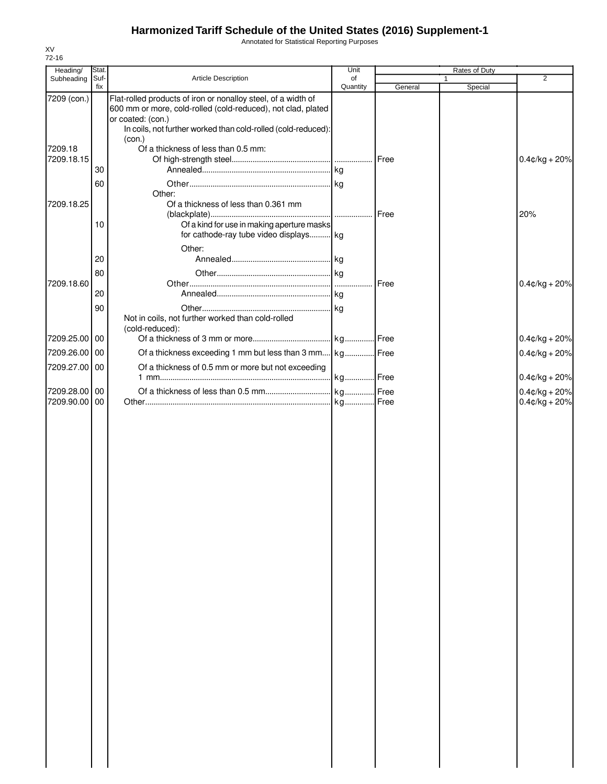Annotated for Statistical Reporting Purposes

| Heading/                       | Stat.<br>Suf- | Article Description                                                                                                                                | Unit<br>of |         | Rates of Duty<br>$\mathbf{1}$ | $\overline{2}$   |
|--------------------------------|---------------|----------------------------------------------------------------------------------------------------------------------------------------------------|------------|---------|-------------------------------|------------------|
| Subheading                     | fix           |                                                                                                                                                    | Quantity   | General | Special                       |                  |
| 7209 (con.)                    |               | Flat-rolled products of iron or nonalloy steel, of a width of<br>600 mm or more, cold-rolled (cold-reduced), not clad, plated<br>or coated: (con.) |            |         |                               |                  |
|                                |               | In coils, not further worked than cold-rolled (cold-reduced):<br>(con.)                                                                            |            |         |                               |                  |
| 7209.18                        |               | Of a thickness of less than 0.5 mm:                                                                                                                |            |         |                               |                  |
| 7209.18.15                     | 30            |                                                                                                                                                    |            |         |                               | $0.4$ ¢/kg + 20% |
|                                | 60            |                                                                                                                                                    |            |         |                               |                  |
|                                |               | Other:                                                                                                                                             |            |         |                               |                  |
| 7209.18.25                     |               | Of a thickness of less than 0.361 mm                                                                                                               |            | Free    |                               | 20%              |
|                                | 10            | Of a kind for use in making aperture masks<br>for cathode-ray tube video displays kg                                                               |            |         |                               |                  |
|                                |               | Other:                                                                                                                                             |            |         |                               |                  |
|                                | 20            |                                                                                                                                                    |            |         |                               |                  |
|                                | 80            |                                                                                                                                                    |            |         |                               |                  |
| 7209.18.60                     |               |                                                                                                                                                    |            |         |                               | $0.4$ ¢/kg + 20% |
|                                | 20            |                                                                                                                                                    |            |         |                               |                  |
|                                | 90            | Not in coils, not further worked than cold-rolled                                                                                                  |            |         |                               |                  |
| 7209.25.00 00                  |               | (cold-reduced):                                                                                                                                    |            |         |                               | $0.4$ ¢/kg + 20% |
|                                |               |                                                                                                                                                    |            |         |                               |                  |
| 7209.26.00 00<br>7209.27.00 00 |               | Of a thickness exceeding 1 mm but less than 3 mm kg Free<br>Of a thickness of 0.5 mm or more but not exceeding                                     |            |         |                               | $0.4$ ¢/kg + 20% |
|                                |               |                                                                                                                                                    |            |         |                               | $0.4$ ¢/kg + 20% |
| 7209.28.00 00                  |               |                                                                                                                                                    |            |         |                               | $0.4$ ¢/kg + 20% |
| 7209.90.00 00                  |               |                                                                                                                                                    |            |         |                               | $0.4$ ¢/kg + 20% |
|                                |               |                                                                                                                                                    |            |         |                               |                  |
|                                |               |                                                                                                                                                    |            |         |                               |                  |
|                                |               |                                                                                                                                                    |            |         |                               |                  |
|                                |               |                                                                                                                                                    |            |         |                               |                  |
|                                |               |                                                                                                                                                    |            |         |                               |                  |
|                                |               |                                                                                                                                                    |            |         |                               |                  |
|                                |               |                                                                                                                                                    |            |         |                               |                  |
|                                |               |                                                                                                                                                    |            |         |                               |                  |
|                                |               |                                                                                                                                                    |            |         |                               |                  |
|                                |               |                                                                                                                                                    |            |         |                               |                  |
|                                |               |                                                                                                                                                    |            |         |                               |                  |
|                                |               |                                                                                                                                                    |            |         |                               |                  |
|                                |               |                                                                                                                                                    |            |         |                               |                  |
|                                |               |                                                                                                                                                    |            |         |                               |                  |
|                                |               |                                                                                                                                                    |            |         |                               |                  |
|                                |               |                                                                                                                                                    |            |         |                               |                  |
|                                |               |                                                                                                                                                    |            |         |                               |                  |
|                                |               |                                                                                                                                                    |            |         |                               |                  |
|                                |               |                                                                                                                                                    |            |         |                               |                  |
|                                |               |                                                                                                                                                    |            |         |                               |                  |
|                                |               |                                                                                                                                                    |            |         |                               |                  |
|                                |               |                                                                                                                                                    |            |         |                               |                  |
|                                |               |                                                                                                                                                    |            |         |                               |                  |
|                                |               |                                                                                                                                                    |            |         |                               |                  |
|                                |               |                                                                                                                                                    |            |         |                               |                  |
|                                |               |                                                                                                                                                    |            |         |                               |                  |
|                                |               |                                                                                                                                                    |            |         |                               |                  |
|                                |               |                                                                                                                                                    |            |         |                               |                  |
|                                |               |                                                                                                                                                    |            |         |                               |                  |
|                                |               |                                                                                                                                                    |            |         |                               |                  |
|                                |               |                                                                                                                                                    |            |         |                               |                  |
|                                |               |                                                                                                                                                    |            |         |                               |                  |

XV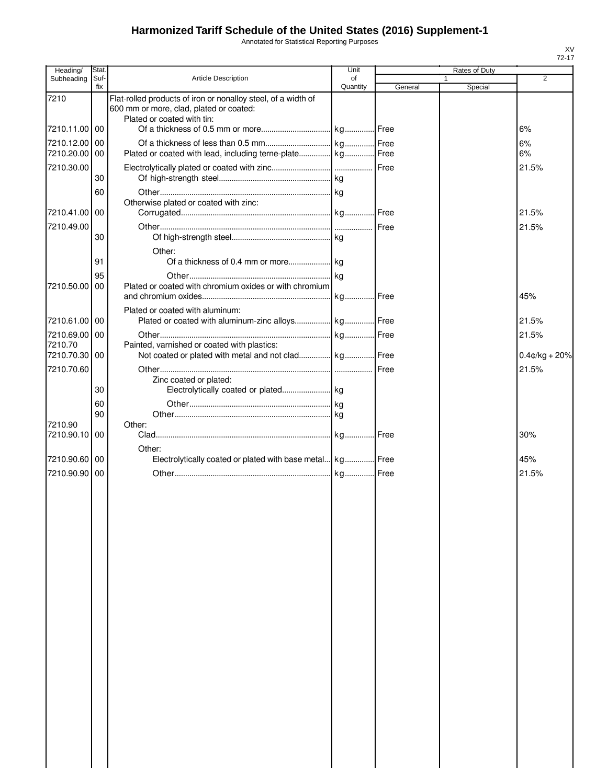Annotated for Statistical Reporting Purposes

| Heading/<br>Subheading         | <b>Stat</b><br>Suf- | <b>Article Description</b>                                                                                                             | Unit<br>of |         | Rates of Duty<br>1 | $\overline{2}$   |
|--------------------------------|---------------------|----------------------------------------------------------------------------------------------------------------------------------------|------------|---------|--------------------|------------------|
|                                | fix                 |                                                                                                                                        | Quantity   | General | Special            |                  |
| 7210                           |                     | Flat-rolled products of iron or nonalloy steel, of a width of<br>600 mm or more, clad, plated or coated:<br>Plated or coated with tin: |            |         |                    |                  |
| 7210.11.00 00                  |                     |                                                                                                                                        |            |         |                    | 6%               |
| 7210.12.00 00                  |                     |                                                                                                                                        |            |         |                    | 6%               |
| 7210.20.00 00                  |                     | Plated or coated with lead, including terne-plate kg Free                                                                              |            |         |                    | 6%               |
| 7210.30.00                     | 30                  |                                                                                                                                        |            |         |                    | 21.5%            |
|                                | 60                  | Otherwise plated or coated with zinc:                                                                                                  |            |         |                    |                  |
| 7210.41.00 00                  |                     |                                                                                                                                        |            |         |                    | 21.5%            |
| 7210.49.00                     |                     |                                                                                                                                        |            |         |                    | 21.5%            |
|                                | 30                  |                                                                                                                                        |            |         |                    |                  |
|                                | 91                  | Other:                                                                                                                                 |            |         |                    |                  |
|                                | 95                  |                                                                                                                                        |            |         |                    |                  |
| 7210.50.00   00                |                     | Plated or coated with chromium oxides or with chromium                                                                                 |            |         |                    |                  |
|                                |                     |                                                                                                                                        |            |         |                    | 45%              |
|                                |                     | Plated or coated with aluminum:                                                                                                        |            |         |                    |                  |
| 7210.61.00 00<br>7210.69.00 00 |                     | Plated or coated with aluminum-zinc alloys kg Free                                                                                     |            |         |                    | 21.5%<br>21.5%   |
| 7210.70                        |                     | Painted, varnished or coated with plastics:                                                                                            |            |         |                    |                  |
| 7210.70.30 00                  |                     | Not coated or plated with metal and not clad kg Free                                                                                   |            |         |                    | $0.4$ ¢/kg + 20% |
| 7210.70.60                     |                     |                                                                                                                                        |            |         |                    | 21.5%            |
|                                | 30                  | Zinc coated or plated:                                                                                                                 |            |         |                    |                  |
|                                | 60                  |                                                                                                                                        |            |         |                    |                  |
|                                | 90                  |                                                                                                                                        |            |         |                    |                  |
| 7210.90<br>7210.90.10 00       |                     | Other:                                                                                                                                 |            |         |                    | 30%              |
| 7210.90.60 00                  |                     | Other:<br>Electrolytically coated or plated with base metal kg Free                                                                    |            |         |                    | 45%              |
| 7210.90.90 00                  |                     |                                                                                                                                        |            |         |                    | 21.5%            |
|                                |                     |                                                                                                                                        |            |         |                    |                  |
|                                |                     |                                                                                                                                        |            |         |                    |                  |
|                                |                     |                                                                                                                                        |            |         |                    |                  |
|                                |                     |                                                                                                                                        |            |         |                    |                  |
|                                |                     |                                                                                                                                        |            |         |                    |                  |
|                                |                     |                                                                                                                                        |            |         |                    |                  |
|                                |                     |                                                                                                                                        |            |         |                    |                  |
|                                |                     |                                                                                                                                        |            |         |                    |                  |
|                                |                     |                                                                                                                                        |            |         |                    |                  |
|                                |                     |                                                                                                                                        |            |         |                    |                  |
|                                |                     |                                                                                                                                        |            |         |                    |                  |
|                                |                     |                                                                                                                                        |            |         |                    |                  |
|                                |                     |                                                                                                                                        |            |         |                    |                  |
|                                |                     |                                                                                                                                        |            |         |                    |                  |
|                                |                     |                                                                                                                                        |            |         |                    |                  |
|                                |                     |                                                                                                                                        |            |         |                    |                  |
|                                |                     |                                                                                                                                        |            |         |                    |                  |
|                                |                     |                                                                                                                                        |            |         |                    |                  |
|                                |                     |                                                                                                                                        |            |         |                    |                  |
|                                |                     |                                                                                                                                        |            |         |                    |                  |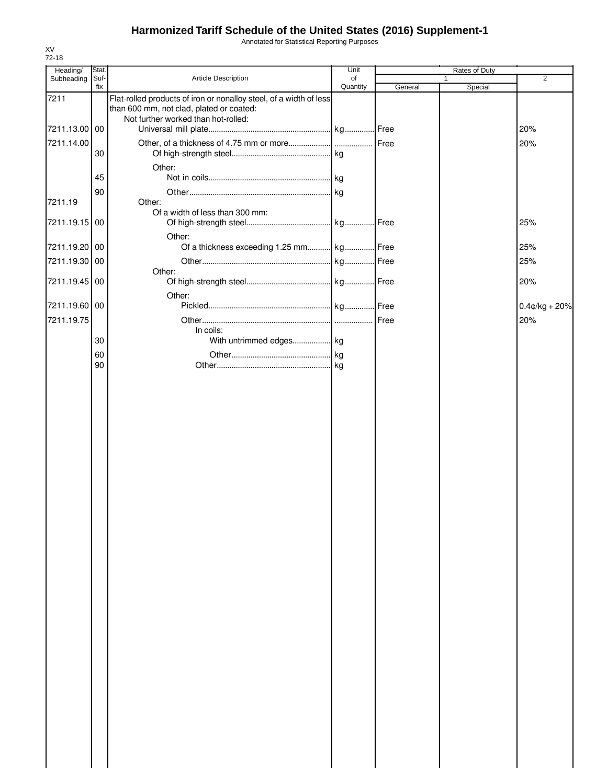Annotated for Statistical Reporting Purposes

| Heading/      | Stat. |                                                                                                                | Unit     |         | Rates of Duty |                  |
|---------------|-------|----------------------------------------------------------------------------------------------------------------|----------|---------|---------------|------------------|
| Subheading    | Suf-  | Article Description                                                                                            | of       |         | $\mathbf{1}$  | $\overline{2}$   |
| 7211          | fix   | Flat-rolled products of iron or nonalloy steel, of a width of less<br>than 600 mm, not clad, plated or coated: | Quantity | General | Special       |                  |
|               |       | Not further worked than hot-rolled:                                                                            |          |         |               |                  |
| 7211.13.00    | 00    |                                                                                                                |          |         |               | 20%              |
| 7211.14.00    |       |                                                                                                                |          |         |               | 20%              |
|               | 30    |                                                                                                                |          |         |               |                  |
|               |       | Other:                                                                                                         |          |         |               |                  |
|               | 45    |                                                                                                                |          |         |               |                  |
|               | 90    | Other:                                                                                                         |          |         |               |                  |
| 7211.19       |       | Of a width of less than 300 mm:                                                                                |          |         |               |                  |
| 7211.19.15    | 00    |                                                                                                                |          |         |               | 25%              |
|               |       | Other:                                                                                                         |          |         |               |                  |
| 7211.19.20    | 00    | Of a thickness exceeding 1.25 mm kg Free                                                                       |          |         |               | 25%              |
| 7211.19.30    | 00    |                                                                                                                |          |         |               | 25%              |
|               |       | Other:                                                                                                         |          |         |               |                  |
| 7211.19.45 00 |       |                                                                                                                |          |         |               | 20%              |
| 7211.19.60    | 00    | Other:                                                                                                         |          |         |               | $0.4$ ¢/kg + 20% |
| 7211.19.75    |       |                                                                                                                |          | Free    |               | 20%              |
|               |       | In coils:                                                                                                      |          |         |               |                  |
|               | 30    | With untrimmed edges kg                                                                                        |          |         |               |                  |
|               | 60    |                                                                                                                |          |         |               |                  |
|               | 90    |                                                                                                                |          |         |               |                  |
|               |       |                                                                                                                |          |         |               |                  |
|               |       |                                                                                                                |          |         |               |                  |
|               |       |                                                                                                                |          |         |               |                  |
|               |       |                                                                                                                |          |         |               |                  |
|               |       |                                                                                                                |          |         |               |                  |
|               |       |                                                                                                                |          |         |               |                  |
|               |       |                                                                                                                |          |         |               |                  |
|               |       |                                                                                                                |          |         |               |                  |
|               |       |                                                                                                                |          |         |               |                  |
|               |       |                                                                                                                |          |         |               |                  |
|               |       |                                                                                                                |          |         |               |                  |
|               |       |                                                                                                                |          |         |               |                  |
|               |       |                                                                                                                |          |         |               |                  |
|               |       |                                                                                                                |          |         |               |                  |
|               |       |                                                                                                                |          |         |               |                  |
|               |       |                                                                                                                |          |         |               |                  |
|               |       |                                                                                                                |          |         |               |                  |
|               |       |                                                                                                                |          |         |               |                  |
|               |       |                                                                                                                |          |         |               |                  |
|               |       |                                                                                                                |          |         |               |                  |
|               |       |                                                                                                                |          |         |               |                  |
|               |       |                                                                                                                |          |         |               |                  |
|               |       |                                                                                                                |          |         |               |                  |
|               |       |                                                                                                                |          |         |               |                  |
|               |       |                                                                                                                |          |         |               |                  |
|               |       |                                                                                                                |          |         |               |                  |
|               |       |                                                                                                                |          |         |               |                  |
|               |       |                                                                                                                |          |         |               |                  |
|               |       |                                                                                                                |          |         |               |                  |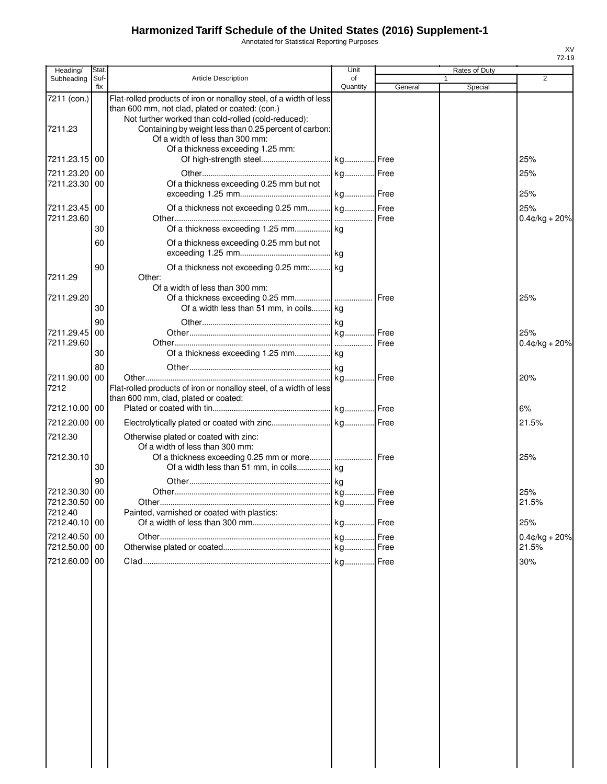Annotated for Statistical Reporting Purposes

| Heading/                    | Stat.       |                                                                                                                                                                              | Unit           |         | Rates of Duty |                         |
|-----------------------------|-------------|------------------------------------------------------------------------------------------------------------------------------------------------------------------------------|----------------|---------|---------------|-------------------------|
| Subheading                  | Suf-<br>fix | <b>Article Description</b>                                                                                                                                                   | of<br>Quantity | General | Special       | $\overline{2}$          |
| 7211 (con.)                 |             | Flat-rolled products of iron or nonalloy steel, of a width of less<br>than 600 mm, not clad, plated or coated: (con.)<br>Not further worked than cold-rolled (cold-reduced): |                |         |               |                         |
| 7211.23                     |             | Containing by weight less than 0.25 percent of carbon:<br>Of a width of less than 300 mm:<br>Of a thickness exceeding 1.25 mm:                                               |                |         |               |                         |
| 7211.23.15 00               |             |                                                                                                                                                                              |                |         |               | 25%                     |
| 7211.23.20                  | 00          |                                                                                                                                                                              |                |         |               | 25%                     |
| 7211.23.30 00               |             | Of a thickness exceeding 0.25 mm but not                                                                                                                                     |                |         |               | 25%                     |
| 7211.23.45 00<br>7211.23.60 |             | Of a thickness not exceeding 0.25 mm kg Free                                                                                                                                 |                |         |               | 25%<br>$0.4$ ¢/kg + 20% |
|                             | 30          |                                                                                                                                                                              |                |         |               |                         |
|                             | 60          | Of a thickness exceeding 0.25 mm but not                                                                                                                                     |                |         |               |                         |
| 7211.29                     | 90          | Of a thickness not exceeding 0.25 mm: kg<br>Other:                                                                                                                           |                |         |               |                         |
|                             |             | Of a width of less than 300 mm:                                                                                                                                              |                |         |               |                         |
| 7211.29.20                  |             |                                                                                                                                                                              |                |         |               | 25%                     |
|                             | 30<br>90    | Of a width less than 51 mm, in coils kg                                                                                                                                      |                |         |               |                         |
| 7211.29.45                  | 00          |                                                                                                                                                                              |                |         |               | 25%                     |
| 7211.29.60                  |             |                                                                                                                                                                              |                |         |               | $0.4$ ¢/kg + 20%        |
|                             | 30          |                                                                                                                                                                              |                |         |               |                         |
| 7211.90.00                  | 80<br>00    |                                                                                                                                                                              |                |         |               | 20%                     |
| 7212                        |             | Flat-rolled products of iron or nonalloy steel, of a width of less<br>than 600 mm, clad, plated or coated:                                                                   |                |         |               |                         |
| 7212.10.00 00               |             |                                                                                                                                                                              |                |         |               | 6%                      |
| 7212.20.00 00               |             |                                                                                                                                                                              |                |         |               | 21.5%                   |
| 7212.30<br>7212.30.10       |             | Otherwise plated or coated with zinc:<br>Of a width of less than 300 mm:                                                                                                     |                |         |               | 25%                     |
|                             | 30          |                                                                                                                                                                              |                |         |               |                         |
| 7212.30.30 00               | 90          |                                                                                                                                                                              |                |         |               | 25%                     |
| 7212.30.50 00               |             |                                                                                                                                                                              |                |         |               | 21.5%                   |
| 7212.40<br>7212.40.10 00    |             | Painted, varnished or coated with plastics:                                                                                                                                  |                |         |               | 25%                     |
| 7212.40.50 00               |             |                                                                                                                                                                              |                | Free    |               | $0.4$ ¢/kg + 20%        |
| 7212.50.00 00               |             |                                                                                                                                                                              |                |         |               | 21.5%                   |
| 7212.60.00 00               |             |                                                                                                                                                                              |                | Free    |               | 30%                     |
|                             |             |                                                                                                                                                                              |                |         |               |                         |
|                             |             |                                                                                                                                                                              |                |         |               |                         |
|                             |             |                                                                                                                                                                              |                |         |               |                         |
|                             |             |                                                                                                                                                                              |                |         |               |                         |
|                             |             |                                                                                                                                                                              |                |         |               |                         |
|                             |             |                                                                                                                                                                              |                |         |               |                         |
|                             |             |                                                                                                                                                                              |                |         |               |                         |
|                             |             |                                                                                                                                                                              |                |         |               |                         |
|                             |             |                                                                                                                                                                              |                |         |               |                         |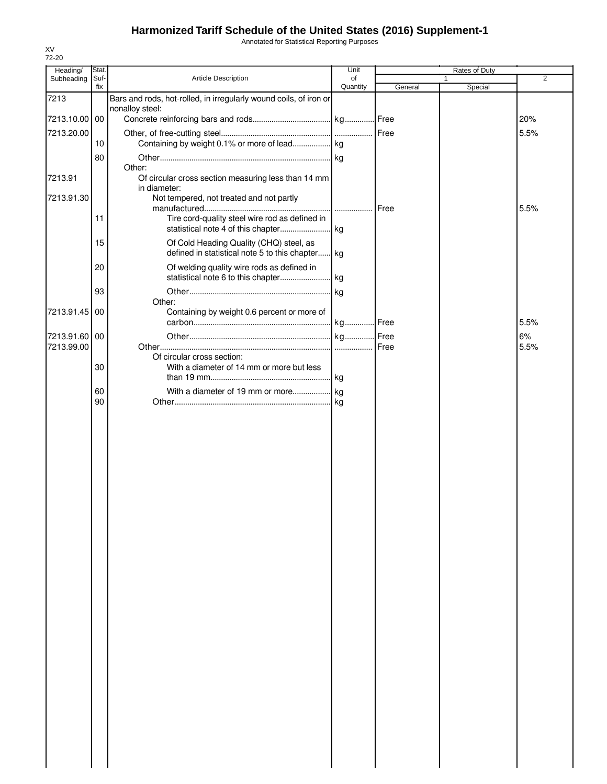Annotated for Statistical Reporting Purposes

| Heading/      | Stat.       |                                                                   | Unit           |         | Rates of Duty |                |
|---------------|-------------|-------------------------------------------------------------------|----------------|---------|---------------|----------------|
| Subheading    | Suf-<br>fix | Article Description                                               | of<br>Quantity | General | 1<br>Special  | $\overline{2}$ |
| 7213          |             | Bars and rods, hot-rolled, in irregularly wound coils, of iron or |                |         |               |                |
|               |             | nonalloy steel:                                                   |                |         |               |                |
| 7213.10.00 00 |             |                                                                   |                |         |               | 20%            |
| 7213.20.00    |             |                                                                   |                |         |               | 5.5%           |
|               | 10          |                                                                   |                |         |               |                |
|               | 80          |                                                                   |                |         |               |                |
| 7213.91       |             | Other:<br>Of circular cross section measuring less than 14 mm     |                |         |               |                |
|               |             | in diameter:                                                      |                |         |               |                |
| 7213.91.30    |             | Not tempered, not treated and not partly                          |                |         |               | 5.5%           |
|               | 11          | Tire cord-quality steel wire rod as defined in                    |                |         |               |                |
|               | 15          | Of Cold Heading Quality (CHQ) steel, as                           |                |         |               |                |
|               |             | defined in statistical note 5 to this chapter kg                  |                |         |               |                |
|               | 20          | Of welding quality wire rods as defined in                        |                |         |               |                |
|               |             |                                                                   |                |         |               |                |
|               | 93          | Other:                                                            |                |         |               |                |
| 7213.91.45    | 00          | Containing by weight 0.6 percent or more of                       |                |         |               |                |
|               |             |                                                                   |                |         |               | 5.5%           |
| 7213.91.60    | 00          |                                                                   |                |         |               | 6%             |
| 7213.99.00    |             |                                                                   |                | Free    |               | 5.5%           |
|               |             | Of circular cross section:                                        |                |         |               |                |
|               | 30          | With a diameter of 14 mm or more but less                         |                |         |               |                |
|               | 60          |                                                                   |                |         |               |                |
|               | 90          |                                                                   |                |         |               |                |
|               |             |                                                                   |                |         |               |                |
|               |             |                                                                   |                |         |               |                |
|               |             |                                                                   |                |         |               |                |
|               |             |                                                                   |                |         |               |                |
|               |             |                                                                   |                |         |               |                |
|               |             |                                                                   |                |         |               |                |
|               |             |                                                                   |                |         |               |                |
|               |             |                                                                   |                |         |               |                |
|               |             |                                                                   |                |         |               |                |
|               |             |                                                                   |                |         |               |                |
|               |             |                                                                   |                |         |               |                |
|               |             |                                                                   |                |         |               |                |
|               |             |                                                                   |                |         |               |                |
|               |             |                                                                   |                |         |               |                |
|               |             |                                                                   |                |         |               |                |
|               |             |                                                                   |                |         |               |                |
|               |             |                                                                   |                |         |               |                |
|               |             |                                                                   |                |         |               |                |
|               |             |                                                                   |                |         |               |                |
|               |             |                                                                   |                |         |               |                |
|               |             |                                                                   |                |         |               |                |
|               |             |                                                                   |                |         |               |                |
|               |             |                                                                   |                |         |               |                |
|               |             |                                                                   |                |         |               |                |
|               |             |                                                                   |                |         |               |                |
|               |             |                                                                   |                |         |               |                |
|               |             |                                                                   |                |         |               |                |
|               |             |                                                                   |                |         |               |                |
|               |             |                                                                   |                |         |               |                |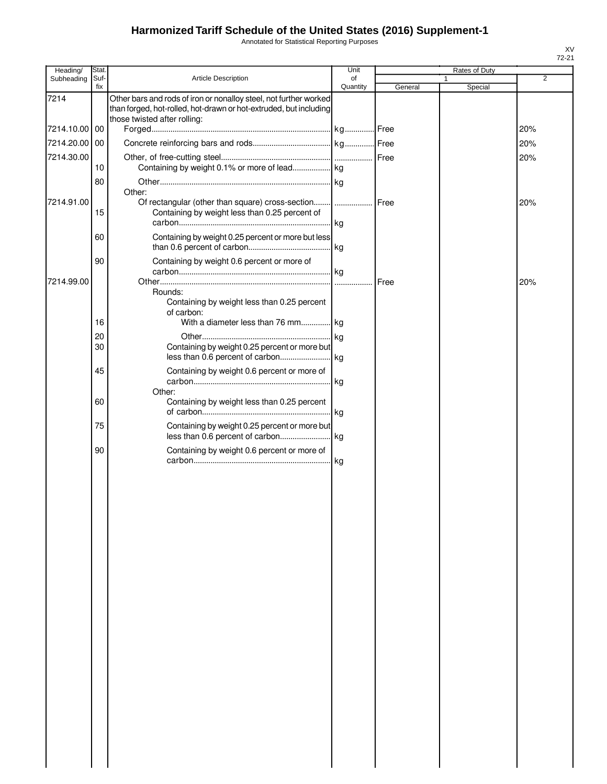Annotated for Statistical Reporting Purposes

| Heading/      | Stat.    |                                                                                                                                        | Unit     |              | Rates of Duty |     |
|---------------|----------|----------------------------------------------------------------------------------------------------------------------------------------|----------|--------------|---------------|-----|
| Subheading    | Suf-     | <b>Article Description</b>                                                                                                             | of       |              |               | 2   |
| 7214          | fix      | Other bars and rods of iron or nonalloy steel, not further worked<br>than forged, hot-rolled, hot-drawn or hot-extruded, but including | Quantity | General      | Special       |     |
|               |          | those twisted after rolling:                                                                                                           |          |              |               |     |
| 7214.10.00 00 |          |                                                                                                                                        |          |              |               | 20% |
| 7214.20.00    | 00       |                                                                                                                                        |          |              |               | 20% |
| 7214.30.00    |          |                                                                                                                                        |          |              |               | 20% |
|               | 10       | Containing by weight 0.1% or more of lead kg                                                                                           |          |              |               |     |
|               | 80       |                                                                                                                                        |          |              |               |     |
|               |          | Other:                                                                                                                                 |          |              |               |     |
| 7214.91.00    | 15       | Of rectangular (other than square) cross-section<br>Containing by weight less than 0.25 percent of                                     |          | <b>IFree</b> |               | 20% |
|               | 60       | Containing by weight 0.25 percent or more but less                                                                                     |          |              |               |     |
|               | 90       | Containing by weight 0.6 percent or more of                                                                                            |          |              |               |     |
| 7214.99.00    |          |                                                                                                                                        |          | Free         |               | 20% |
|               |          | Rounds:<br>Containing by weight less than 0.25 percent<br>of carbon:                                                                   |          |              |               |     |
|               | 16       | With a diameter less than 76 mm kg                                                                                                     |          |              |               |     |
|               | 20<br>30 | Containing by weight 0.25 percent or more but                                                                                          |          |              |               |     |
|               | 45       | Containing by weight 0.6 percent or more of                                                                                            |          |              |               |     |
|               | 60       | Other:<br>Containing by weight less than 0.25 percent                                                                                  |          |              |               |     |
|               | 75       | Containing by weight 0.25 percent or more but                                                                                          |          |              |               |     |
|               | 90       | Containing by weight 0.6 percent or more of                                                                                            |          |              |               |     |
|               |          |                                                                                                                                        |          |              |               |     |
|               |          |                                                                                                                                        |          |              |               |     |
|               |          |                                                                                                                                        |          |              |               |     |
|               |          |                                                                                                                                        |          |              |               |     |
|               |          |                                                                                                                                        |          |              |               |     |
|               |          |                                                                                                                                        |          |              |               |     |
|               |          |                                                                                                                                        |          |              |               |     |
|               |          |                                                                                                                                        |          |              |               |     |
|               |          |                                                                                                                                        |          |              |               |     |
|               |          |                                                                                                                                        |          |              |               |     |
|               |          |                                                                                                                                        |          |              |               |     |
|               |          |                                                                                                                                        |          |              |               |     |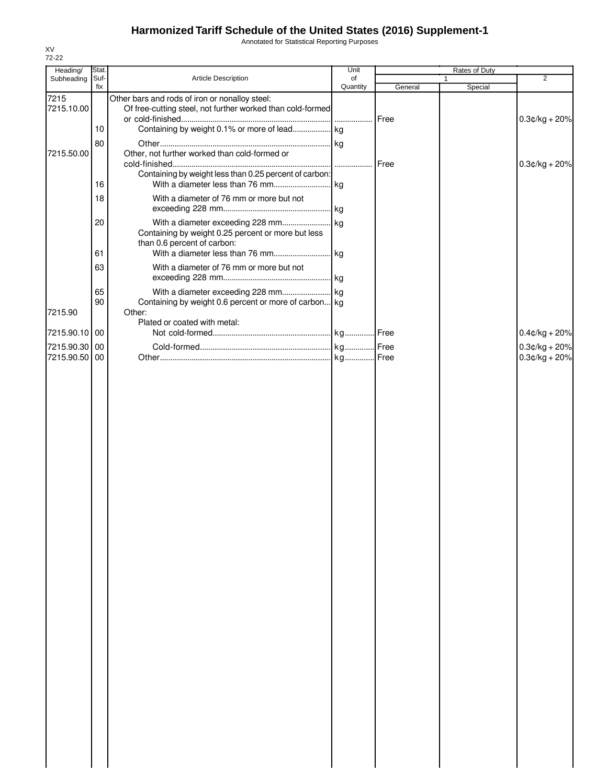Annotated for Statistical Reporting Purposes

| Heading/                       | Stat.       |                                                                                                              | Unit           |         | Rates of Duty |                                      |
|--------------------------------|-------------|--------------------------------------------------------------------------------------------------------------|----------------|---------|---------------|--------------------------------------|
| Subheading                     | Suf-<br>fix | Article Description                                                                                          | of<br>Quantity | General | 1<br>Special  | 2                                    |
| 7215<br>7215.10.00             |             | Other bars and rods of iron or nonalloy steel:<br>Of free-cutting steel, not further worked than cold-formed |                | Free    |               | $0.3$ ¢/kg + 20%                     |
| 7215.50.00                     | 10<br>80    | Other, not further worked than cold-formed or                                                                |                |         |               |                                      |
|                                | 16          | Containing by weight less than 0.25 percent of carbon:                                                       |                |         |               | $0.3$ ¢/kg + 20%                     |
|                                | 18          | With a diameter of 76 mm or more but not                                                                     |                |         |               |                                      |
|                                | 20          | Containing by weight 0.25 percent or more but less<br>than 0.6 percent of carbon:                            |                |         |               |                                      |
|                                | 61<br>63    | With a diameter of 76 mm or more but not                                                                     |                |         |               |                                      |
|                                | 65          |                                                                                                              |                |         |               |                                      |
| 7215.90                        | 90          | Containing by weight 0.6 percent or more of carbon kg<br>Other:<br>Plated or coated with metal:              |                |         |               |                                      |
| 7215.90.10 00                  |             |                                                                                                              |                |         |               | $0.4$ ¢/kg + 20%                     |
| 7215.90.30 00<br>7215.90.50 00 |             |                                                                                                              |                |         |               | $0.3$ ¢/kg + 20%<br>$0.3$ ¢/kg + 20% |
|                                |             |                                                                                                              |                |         |               |                                      |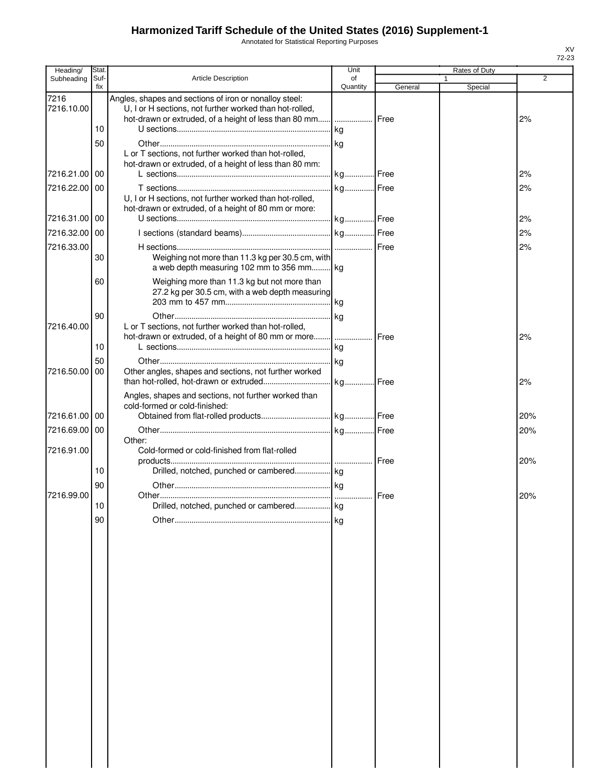Annotated for Statistical Reporting Purposes

| Heading/           | Stat.       |                                                                                                                                                                                  | Unit           |         | Rates of Duty |                |
|--------------------|-------------|----------------------------------------------------------------------------------------------------------------------------------------------------------------------------------|----------------|---------|---------------|----------------|
| Subheading         | Suf-<br>fix | <b>Article Description</b>                                                                                                                                                       | of<br>Quantity | General | Special       | $\overline{2}$ |
| 7216<br>7216.10.00 | 10          | Angles, shapes and sections of iron or nonalloy steel:<br>U, I or H sections, not further worked than hot-rolled,<br>hot-drawn or extruded, of a height of less than 80 mm  Free | kg             |         |               | 2%             |
|                    | 50          | L or T sections, not further worked than hot-rolled,<br>hot-drawn or extruded, of a height of less than 80 mm:                                                                   |                |         |               |                |
| 7216.21.00 00      |             |                                                                                                                                                                                  | kg Free        |         |               | 2%             |
| 7216.22.00 00      |             | U, I or H sections, not further worked than hot-rolled,<br>hot-drawn or extruded, of a height of 80 mm or more:                                                                  |                |         |               | 2%             |
| 7216.31.00         | 00          |                                                                                                                                                                                  |                |         |               | 2%             |
| 7216.32.00 00      |             |                                                                                                                                                                                  |                |         |               | 2%             |
| 7216.33.00         | 30          | Weighing not more than 11.3 kg per 30.5 cm, with<br>a web depth measuring 102 mm to 356 mm kg                                                                                    |                |         |               | 2%             |
|                    | 60          | Weighing more than 11.3 kg but not more than<br>27.2 kg per 30.5 cm, with a web depth measuring                                                                                  | kg             |         |               |                |
| 7216.40.00         | 90          | L or T sections, not further worked than hot-rolled,<br>hot-drawn or extruded, of a height of 80 mm or more     Free                                                             |                |         |               | 2%             |
|                    | 10<br>50    |                                                                                                                                                                                  | kg             |         |               |                |
| 7216.50.00         | 00          | Other angles, shapes and sections, not further worked                                                                                                                            |                |         |               | 2%             |
| 7216.61.00 00      |             | Angles, shapes and sections, not further worked than<br>cold-formed or cold-finished:                                                                                            |                |         |               | 20%            |
| 7216.69.00         |             |                                                                                                                                                                                  |                |         |               |                |
| 7216.91.00         | 00          | Other:<br>Cold-formed or cold-finished from flat-rolled                                                                                                                          |                |         |               | 20%            |
|                    | 10<br>90    |                                                                                                                                                                                  |                |         |               | 20%            |
| 7216.99.00         |             |                                                                                                                                                                                  |                |         |               | 20%            |
|                    | $10$        | Drilled, notched, punched or cambered kg                                                                                                                                         |                |         |               |                |
|                    | 90          |                                                                                                                                                                                  |                |         |               |                |
|                    |             |                                                                                                                                                                                  |                |         |               |                |
|                    |             |                                                                                                                                                                                  |                |         |               |                |
|                    |             |                                                                                                                                                                                  |                |         |               |                |
|                    |             |                                                                                                                                                                                  |                |         |               |                |
|                    |             |                                                                                                                                                                                  |                |         |               |                |
|                    |             |                                                                                                                                                                                  |                |         |               |                |
|                    |             |                                                                                                                                                                                  |                |         |               |                |
|                    |             |                                                                                                                                                                                  |                |         |               |                |
|                    |             |                                                                                                                                                                                  |                |         |               |                |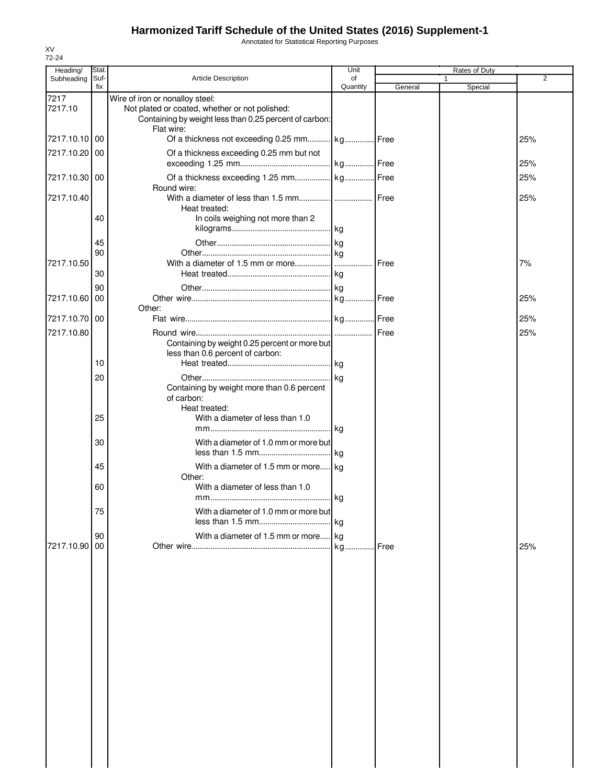Annotated for Statistical Reporting Purposes

| Heading/        | Stat.       |                                                                                                                                                           | Unit           |         | <b>Rates of Duty</b>    |     |
|-----------------|-------------|-----------------------------------------------------------------------------------------------------------------------------------------------------------|----------------|---------|-------------------------|-----|
| Subheading      | Suf-<br>fix | <b>Article Description</b>                                                                                                                                | of<br>Quantity | General | $\mathbf{1}$<br>Special | 2   |
| 7217<br>7217.10 |             | Wire of iron or nonalloy steel:<br>Not plated or coated, whether or not polished:<br>Containing by weight less than 0.25 percent of carbon:<br>Flat wire: |                |         |                         |     |
| 7217.10.10      | 00          | Of a thickness not exceeding 0.25 mm kg Free                                                                                                              |                |         |                         | 25% |
| 7217.10.20 00   |             | Of a thickness exceeding 0.25 mm but not                                                                                                                  |                |         |                         | 25% |
| 7217.10.30 00   |             | Round wire:                                                                                                                                               |                |         |                         | 25% |
| 7217.10.40      |             | Heat treated:                                                                                                                                             |                |         |                         | 25% |
|                 | 40          | In coils weighing not more than 2                                                                                                                         |                |         |                         |     |
|                 | 45          |                                                                                                                                                           |                |         |                         |     |
|                 | 90          |                                                                                                                                                           |                |         |                         |     |
| 7217.10.50      |             |                                                                                                                                                           |                |         |                         | 7%  |
|                 | 30          |                                                                                                                                                           |                |         |                         |     |
| 7217.10.60 00   | 90          |                                                                                                                                                           |                |         |                         |     |
|                 |             | Other:                                                                                                                                                    |                |         |                         | 25% |
| 7217.10.70 00   |             |                                                                                                                                                           |                |         |                         | 25% |
| 7217.10.80      |             |                                                                                                                                                           |                |         |                         | 25% |
|                 |             | Containing by weight 0.25 percent or more but<br>less than 0.6 percent of carbon:                                                                         |                |         |                         |     |
|                 | 10          |                                                                                                                                                           |                |         |                         |     |
|                 | 20          |                                                                                                                                                           |                |         |                         |     |
|                 | 25          | Containing by weight more than 0.6 percent<br>of carbon:<br>Heat treated:<br>With a diameter of less than 1.0                                             |                |         |                         |     |
|                 | 30          | With a diameter of 1.0 mm or more but                                                                                                                     |                |         |                         |     |
|                 |             |                                                                                                                                                           |                |         |                         |     |
|                 | 45          | With a diameter of 1.5 mm or more kg<br>Other:                                                                                                            |                |         |                         |     |
|                 | 60          | With a diameter of less than 1.0                                                                                                                          | <b>kg</b>      |         |                         |     |
|                 | 75          | With a diameter of 1.0 mm or more but                                                                                                                     |                |         |                         |     |
|                 |             |                                                                                                                                                           | <b>k</b> q     |         |                         |     |
|                 | 90          | With a diameter of 1.5 mm or more kg                                                                                                                      |                |         |                         |     |
| 7217.10.90      | 00          |                                                                                                                                                           |                |         |                         | 25% |
|                 |             |                                                                                                                                                           |                |         |                         |     |
|                 |             |                                                                                                                                                           |                |         |                         |     |
|                 |             |                                                                                                                                                           |                |         |                         |     |
|                 |             |                                                                                                                                                           |                |         |                         |     |
|                 |             |                                                                                                                                                           |                |         |                         |     |
|                 |             |                                                                                                                                                           |                |         |                         |     |
|                 |             |                                                                                                                                                           |                |         |                         |     |
|                 |             |                                                                                                                                                           |                |         |                         |     |
|                 |             |                                                                                                                                                           |                |         |                         |     |
|                 |             |                                                                                                                                                           |                |         |                         |     |
|                 |             |                                                                                                                                                           |                |         |                         |     |
|                 |             |                                                                                                                                                           |                |         |                         |     |
|                 |             |                                                                                                                                                           |                |         |                         |     |
|                 |             |                                                                                                                                                           |                |         |                         |     |
|                 |             |                                                                                                                                                           |                |         |                         |     |
|                 |             |                                                                                                                                                           |                |         |                         |     |
|                 |             |                                                                                                                                                           |                |         |                         |     |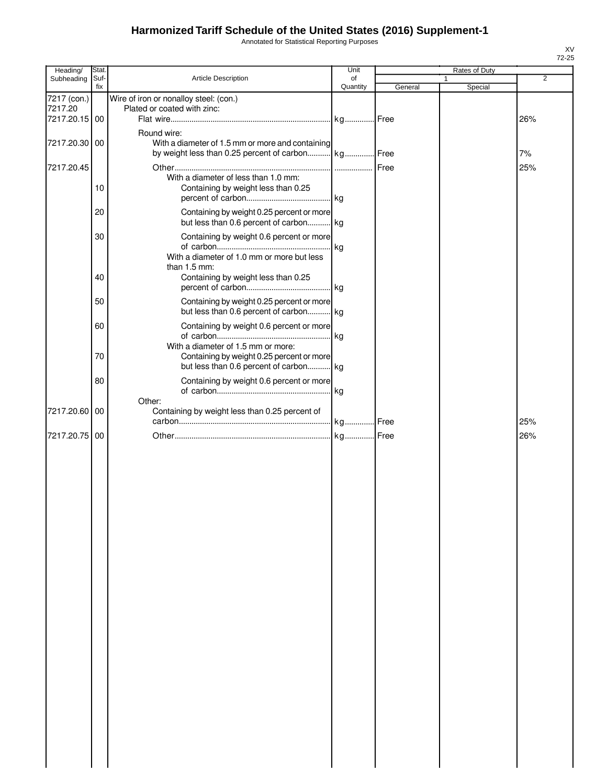Annotated for Statistical Reporting Purposes

| Heading/      | Stat. |                                                    | Unit     |         | Rates of Duty |                |
|---------------|-------|----------------------------------------------------|----------|---------|---------------|----------------|
| Subheading    | Suf-  | Article Description                                | of       |         | $\mathbf{1}$  | $\overline{2}$ |
|               | fix   |                                                    | Quantity | General | Special       |                |
| 7217 (con.)   |       | Wire of iron or nonalloy steel: (con.)             |          |         |               |                |
| 7217.20       |       | Plated or coated with zinc:                        |          |         |               |                |
| 7217.20.15 00 |       |                                                    |          |         |               | 26%            |
|               |       |                                                    |          |         |               |                |
|               |       | Round wire:                                        |          |         |               |                |
| 7217.20.30 00 |       | With a diameter of 1.5 mm or more and containing   |          |         |               |                |
|               |       | by weight less than 0.25 percent of carbon kg Free |          |         |               | 7%             |
| 7217.20.45    |       |                                                    |          | Free    |               | 25%            |
|               |       | With a diameter of less than 1.0 mm:               |          |         |               |                |
|               | 10    | Containing by weight less than 0.25                |          |         |               |                |
|               |       |                                                    |          |         |               |                |
|               |       |                                                    |          |         |               |                |
|               | 20    | Containing by weight 0.25 percent or more          |          |         |               |                |
|               |       | but less than 0.6 percent of carbon kg             |          |         |               |                |
|               |       |                                                    |          |         |               |                |
|               | 30    | Containing by weight 0.6 percent or more           |          |         |               |                |
|               |       |                                                    | kg       |         |               |                |
|               |       | With a diameter of 1.0 mm or more but less         |          |         |               |                |
|               |       | than 1.5 mm:                                       |          |         |               |                |
|               | 40    | Containing by weight less than 0.25                |          |         |               |                |
|               |       |                                                    |          |         |               |                |
|               | 50    | Containing by weight 0.25 percent or more          |          |         |               |                |
|               |       |                                                    |          |         |               |                |
|               |       | but less than 0.6 percent of carbon kg             |          |         |               |                |
|               | 60    | Containing by weight 0.6 percent or more           |          |         |               |                |
|               |       |                                                    | kg       |         |               |                |
|               |       | With a diameter of 1.5 mm or more:                 |          |         |               |                |
|               | 70    | Containing by weight 0.25 percent or more          |          |         |               |                |
|               |       | but less than 0.6 percent of carbon kg             |          |         |               |                |
|               |       |                                                    |          |         |               |                |
|               | 80    | Containing by weight 0.6 percent or more           |          |         |               |                |
|               |       |                                                    |          |         |               |                |
|               |       | Other:                                             |          |         |               |                |
| 7217.20.60    | 00    | Containing by weight less than 0.25 percent of     |          |         |               |                |
|               |       |                                                    |          |         |               | 25%            |
| 7217.20.75 00 |       |                                                    |          |         |               | 26%            |
|               |       |                                                    |          |         |               |                |
|               |       |                                                    |          |         |               |                |
|               |       |                                                    |          |         |               |                |
|               |       |                                                    |          |         |               |                |
|               |       |                                                    |          |         |               |                |
|               |       |                                                    |          |         |               |                |
|               |       |                                                    |          |         |               |                |
|               |       |                                                    |          |         |               |                |
|               |       |                                                    |          |         |               |                |
|               |       |                                                    |          |         |               |                |
|               |       |                                                    |          |         |               |                |
|               |       |                                                    |          |         |               |                |
|               |       |                                                    |          |         |               |                |
|               |       |                                                    |          |         |               |                |
|               |       |                                                    |          |         |               |                |
|               |       |                                                    |          |         |               |                |
|               |       |                                                    |          |         |               |                |
|               |       |                                                    |          |         |               |                |
|               |       |                                                    |          |         |               |                |
|               |       |                                                    |          |         |               |                |
|               |       |                                                    |          |         |               |                |
|               |       |                                                    |          |         |               |                |
|               |       |                                                    |          |         |               |                |
|               |       |                                                    |          |         |               |                |
|               |       |                                                    |          |         |               |                |
|               |       |                                                    |          |         |               |                |
|               |       |                                                    |          |         |               |                |
|               |       |                                                    |          |         |               |                |
|               |       |                                                    |          |         |               |                |
|               |       |                                                    |          |         |               |                |
|               |       |                                                    |          |         |               |                |
|               |       |                                                    |          |         |               |                |
|               |       |                                                    |          |         |               |                |
|               |       |                                                    |          |         |               |                |
|               |       |                                                    |          |         |               |                |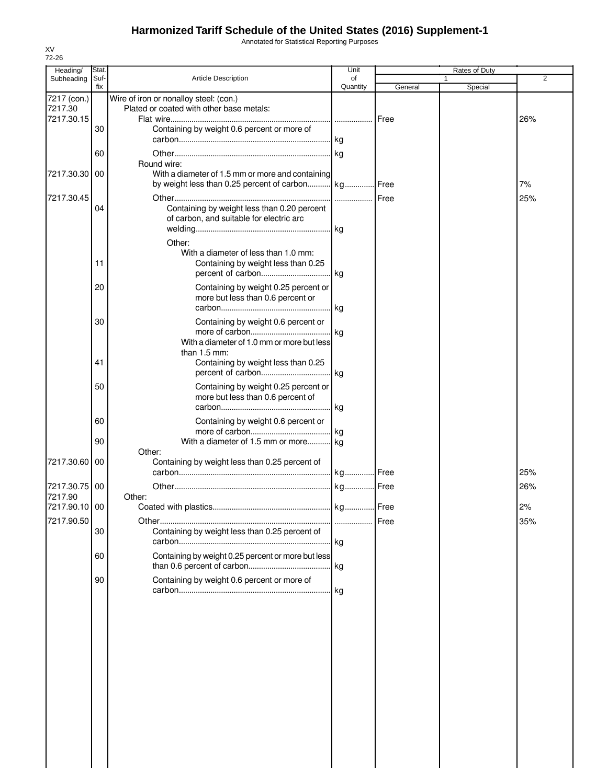Annotated for Statistical Reporting Purposes

| 72-26<br>Heading/ | Stat. |                                                    | Unit      |         | <b>Rates of Duty</b> |                |
|-------------------|-------|----------------------------------------------------|-----------|---------|----------------------|----------------|
| Subheading        | Suf-  | <b>Article Description</b>                         | of        |         |                      | $\overline{2}$ |
| 7217 (con.)       | fix   | Wire of iron or nonalloy steel: (con.)             | Quantity  | General | Special              |                |
| 7217.30           |       | Plated or coated with other base metals:           |           |         |                      |                |
| 7217.30.15        |       |                                                    |           | Free    |                      | 26%            |
|                   | 30    | Containing by weight 0.6 percent or more of        |           |         |                      |                |
|                   |       |                                                    |           |         |                      |                |
|                   | 60    | Round wire:                                        | . kg      |         |                      |                |
| 7217.30.30        | 00    | With a diameter of 1.5 mm or more and containing   |           |         |                      |                |
|                   |       | by weight less than 0.25 percent of carbon kg Free |           |         |                      | 7%             |
| 7217.30.45        |       |                                                    |           |         |                      | 25%            |
|                   | 04    | Containing by weight less than 0.20 percent        |           |         |                      |                |
|                   |       | of carbon, and suitable for electric arc           |           |         |                      |                |
|                   |       |                                                    |           |         |                      |                |
|                   |       | Other:<br>With a diameter of less than 1.0 mm:     |           |         |                      |                |
|                   | 11    | Containing by weight less than 0.25                |           |         |                      |                |
|                   |       |                                                    |           |         |                      |                |
|                   | 20    | Containing by weight 0.25 percent or               |           |         |                      |                |
|                   |       | more but less than 0.6 percent or                  |           |         |                      |                |
|                   |       |                                                    | l kg      |         |                      |                |
|                   | 30    | Containing by weight 0.6 percent or                |           |         |                      |                |
|                   |       | With a diameter of 1.0 mm or more but less         |           |         |                      |                |
|                   |       | than $1.5$ mm:                                     |           |         |                      |                |
|                   | 41    | Containing by weight less than 0.25                | . kg      |         |                      |                |
|                   | 50    | Containing by weight 0.25 percent or               |           |         |                      |                |
|                   |       | more but less than 0.6 percent of                  |           |         |                      |                |
|                   |       |                                                    | kg        |         |                      |                |
|                   | 60    | Containing by weight 0.6 percent or                |           |         |                      |                |
|                   |       |                                                    | kg        |         |                      |                |
|                   | 90    | With a diameter of 1.5 mm or more kg<br>Other:     |           |         |                      |                |
| 7217.30.60        | 00    | Containing by weight less than 0.25 percent of     |           |         |                      |                |
|                   |       |                                                    |           |         |                      | 25%            |
| 7217.30.75        | 00    |                                                    |           |         |                      | 26%            |
| 7217.90           |       | Other:                                             |           |         |                      |                |
| 7217.90.10 00     |       |                                                    | . kg Free |         |                      | 2%             |
| 7217.90.50        | 30    | Containing by weight less than 0.25 percent of     |           | Free    |                      | 35%            |
|                   |       |                                                    | . kg      |         |                      |                |
|                   | 60    | Containing by weight 0.25 percent or more but less |           |         |                      |                |
|                   |       |                                                    |           |         |                      |                |
|                   | 90    | Containing by weight 0.6 percent or more of        |           |         |                      |                |
|                   |       |                                                    |           |         |                      |                |
|                   |       |                                                    |           |         |                      |                |
|                   |       |                                                    |           |         |                      |                |
|                   |       |                                                    |           |         |                      |                |
|                   |       |                                                    |           |         |                      |                |
|                   |       |                                                    |           |         |                      |                |
|                   |       |                                                    |           |         |                      |                |
|                   |       |                                                    |           |         |                      |                |
|                   |       |                                                    |           |         |                      |                |
|                   |       |                                                    |           |         |                      |                |
|                   |       |                                                    |           |         |                      |                |
|                   |       |                                                    |           |         |                      |                |
|                   |       |                                                    |           |         |                      |                |
|                   |       |                                                    |           |         |                      |                |

XV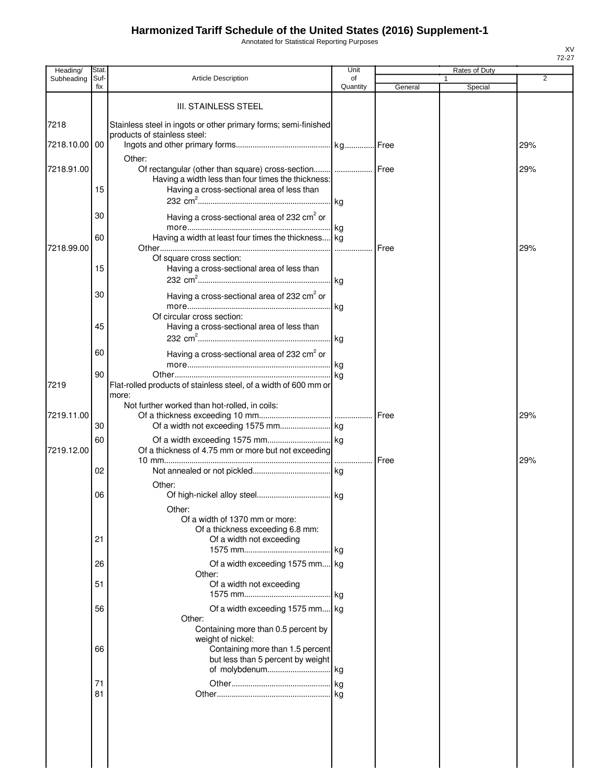Annotated for Statistical Reporting Purposes

| Heading/      | Stat.       |                                                                                                 | Unit           |         | Rates of Duty |     |
|---------------|-------------|-------------------------------------------------------------------------------------------------|----------------|---------|---------------|-----|
| Subheading    | Suf-<br>fix | <b>Article Description</b>                                                                      | of<br>Quantity | General | 1<br>Special  | 2   |
|               |             |                                                                                                 |                |         |               |     |
|               |             | <b>III. STAINLESS STEEL</b>                                                                     |                |         |               |     |
|               |             |                                                                                                 |                |         |               |     |
| 7218          |             | Stainless steel in ingots or other primary forms; semi-finished<br>products of stainless steel: |                |         |               |     |
| 7218.10.00 00 |             |                                                                                                 |                |         |               | 29% |
|               |             | Other:                                                                                          |                |         |               |     |
| 7218.91.00    |             | Of rectangular (other than square) cross-section    Free                                        |                |         |               | 29% |
|               |             | Having a width less than four times the thickness:                                              |                |         |               |     |
|               | 15          | Having a cross-sectional area of less than                                                      |                |         |               |     |
|               |             |                                                                                                 |                |         |               |     |
|               | 30          | Having a cross-sectional area of 232 cm <sup>2</sup> or                                         |                |         |               |     |
|               |             |                                                                                                 |                |         |               |     |
|               | 60          | Having a width at least four times the thickness kg                                             |                |         |               |     |
| 7218.99.00    |             |                                                                                                 |                |         |               | 29% |
|               |             | Of square cross section:                                                                        |                |         |               |     |
|               | 15          | Having a cross-sectional area of less than                                                      |                |         |               |     |
|               |             |                                                                                                 |                |         |               |     |
|               | 30          | Having a cross-sectional area of 232 cm <sup>2</sup> or                                         |                |         |               |     |
|               |             |                                                                                                 |                |         |               |     |
|               |             | Of circular cross section:                                                                      |                |         |               |     |
|               | 45          | Having a cross-sectional area of less than                                                      |                |         |               |     |
|               |             |                                                                                                 |                |         |               |     |
|               | 60          | Having a cross-sectional area of 232 $\text{cm}^2$ or                                           |                |         |               |     |
|               |             |                                                                                                 |                |         |               |     |
|               | 90          |                                                                                                 | ka             |         |               |     |
| 7219          |             | Flat-rolled products of stainless steel, of a width of 600 mm or                                |                |         |               |     |
|               |             | more:                                                                                           |                |         |               |     |
| 7219.11.00    |             | Not further worked than hot-rolled, in coils:                                                   |                |         |               | 29% |
|               | 30          |                                                                                                 |                |         |               |     |
|               | 60          |                                                                                                 |                |         |               |     |
| 7219.12.00    |             | Of a thickness of 4.75 mm or more but not exceeding                                             |                |         |               |     |
|               |             |                                                                                                 |                |         |               | 29% |
|               | 02          |                                                                                                 |                |         |               |     |
|               |             | Other:                                                                                          |                |         |               |     |
|               | 06          |                                                                                                 |                |         |               |     |
|               |             | Other:                                                                                          |                |         |               |     |
|               |             | Of a width of 1370 mm or more:                                                                  |                |         |               |     |
|               |             | Of a thickness exceeding 6.8 mm:                                                                |                |         |               |     |
|               | 21          | Of a width not exceeding                                                                        |                |         |               |     |
|               |             |                                                                                                 |                |         |               |     |
|               | 26          | Of a width exceeding 1575 mm kg                                                                 |                |         |               |     |
|               |             | Other:                                                                                          |                |         |               |     |
|               | 51          | Of a width not exceeding                                                                        |                |         |               |     |
|               |             |                                                                                                 |                |         |               |     |
|               | 56          | Of a width exceeding 1575 mm kg                                                                 |                |         |               |     |
|               |             | Other:                                                                                          |                |         |               |     |
|               |             | Containing more than 0.5 percent by<br>weight of nickel:                                        |                |         |               |     |
|               | 66          | Containing more than 1.5 percent                                                                |                |         |               |     |
|               |             | but less than 5 percent by weight                                                               |                |         |               |     |
|               |             | of molybdenum kg                                                                                |                |         |               |     |
|               | 71          |                                                                                                 |                |         |               |     |
|               | 81          |                                                                                                 |                |         |               |     |
|               |             |                                                                                                 |                |         |               |     |
|               |             |                                                                                                 |                |         |               |     |
|               |             |                                                                                                 |                |         |               |     |
|               |             |                                                                                                 |                |         |               |     |
|               |             |                                                                                                 |                |         |               |     |
|               |             |                                                                                                 |                |         |               |     |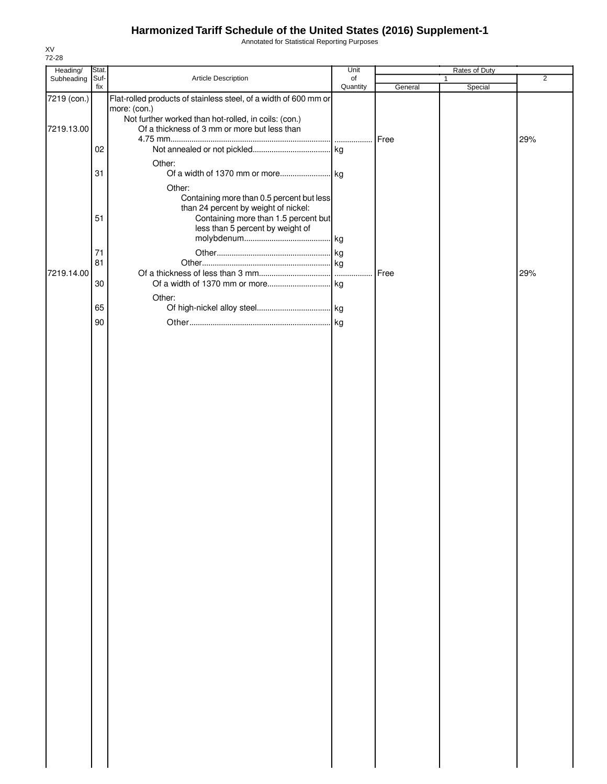Annotated for Statistical Reporting Purposes

| Heading/    | Stat.    |                                                                                                      | Unit     |         | Rates of Duty |                |
|-------------|----------|------------------------------------------------------------------------------------------------------|----------|---------|---------------|----------------|
| Subheading  | Suf-     | Article Description                                                                                  | of       |         | 1             | $\overline{2}$ |
| 7219 (con.) | fix      | Flat-rolled products of stainless steel, of a width of 600 mm or<br>more: (con.)                     | Quantity | General | Special       |                |
| 7219.13.00  |          | Not further worked than hot-rolled, in coils: (con.)<br>Of a thickness of 3 mm or more but less than |          |         |               |                |
|             | 02       |                                                                                                      |          | Free    |               | 29%            |
|             | 31       | Other:                                                                                               |          |         |               |                |
|             |          | Other:<br>Containing more than 0.5 percent but less<br>than 24 percent by weight of nickel:          |          |         |               |                |
|             | 51       | Containing more than 1.5 percent but<br>less than 5 percent by weight of                             |          |         |               |                |
|             | 71<br>81 |                                                                                                      |          |         |               |                |
| 7219.14.00  |          |                                                                                                      |          | Free    |               | 29%            |
|             | 30       | Other:                                                                                               |          |         |               |                |
|             | 65       |                                                                                                      |          |         |               |                |
|             | 90       |                                                                                                      |          |         |               |                |
|             |          |                                                                                                      |          |         |               |                |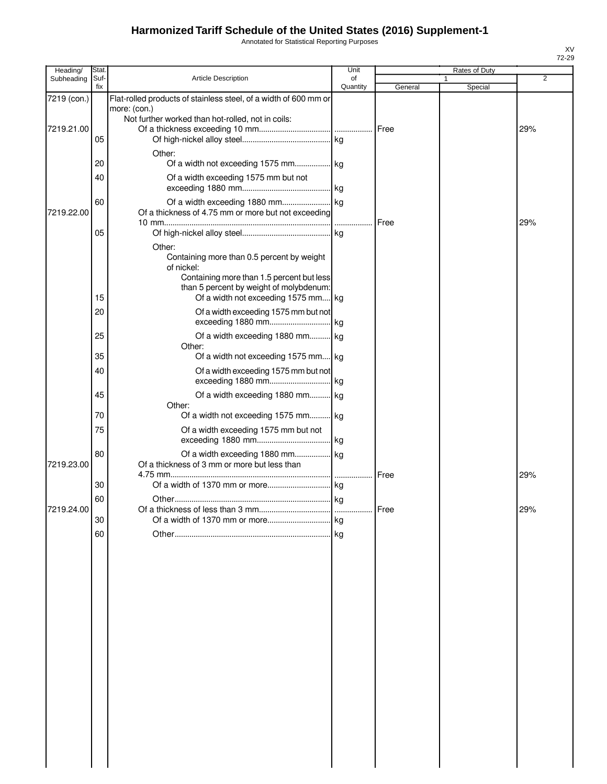Annotated for Statistical Reporting Purposes

| Heading/    | Stat        |                                                                                  | Unit     |         | Rates of Duty |     |
|-------------|-------------|----------------------------------------------------------------------------------|----------|---------|---------------|-----|
| Subheading  | Suf-<br>fix | Article Description                                                              | of       |         |               | 2   |
|             |             |                                                                                  | Quantity | General | Special       |     |
| 7219 (con.) |             | Flat-rolled products of stainless steel, of a width of 600 mm or<br>more: (con.) |          |         |               |     |
|             |             | Not further worked than hot-rolled, not in coils:                                |          |         |               |     |
| 7219.21.00  |             |                                                                                  |          |         |               | 29% |
|             | 05          |                                                                                  |          |         |               |     |
|             |             | Other:                                                                           |          |         |               |     |
|             | 20          | Of a width not exceeding 1575 mm kg                                              |          |         |               |     |
|             | 40          | Of a width exceeding 1575 mm but not                                             |          |         |               |     |
|             |             |                                                                                  |          |         |               |     |
|             |             |                                                                                  |          |         |               |     |
| 7219.22.00  | 60          | Of a thickness of 4.75 mm or more but not exceeding                              |          |         |               |     |
|             |             |                                                                                  |          | Free    |               | 29% |
|             | 05          |                                                                                  |          |         |               |     |
|             |             |                                                                                  |          |         |               |     |
|             |             | Other:<br>Containing more than 0.5 percent by weight                             |          |         |               |     |
|             |             | of nickel:                                                                       |          |         |               |     |
|             |             | Containing more than 1.5 percent but less                                        |          |         |               |     |
|             |             | than 5 percent by weight of molybdenum:                                          |          |         |               |     |
|             | 15          | Of a width not exceeding 1575 mm kg                                              |          |         |               |     |
|             | 20          | Of a width exceeding 1575 mm but not                                             |          |         |               |     |
|             |             |                                                                                  |          |         |               |     |
|             | 25          | Of a width exceeding 1880 mm kg                                                  |          |         |               |     |
|             |             | Other:                                                                           |          |         |               |     |
|             | 35          | Of a width not exceeding 1575 mm kg                                              |          |         |               |     |
|             | 40          |                                                                                  |          |         |               |     |
|             |             | Of a width exceeding 1575 mm but not                                             |          |         |               |     |
|             |             |                                                                                  |          |         |               |     |
|             | 45          | Of a width exceeding 1880 mm kg                                                  |          |         |               |     |
|             | 70          | Other:<br>Of a width not exceeding 1575 mm kg                                    |          |         |               |     |
|             |             |                                                                                  |          |         |               |     |
|             | 75          | Of a width exceeding 1575 mm but not                                             |          |         |               |     |
|             |             |                                                                                  |          |         |               |     |
|             | 80          | Of a width exceeding 1880 mm kg                                                  |          |         |               |     |
| 7219.23.00  |             | Of a thickness of 3 mm or more but less than                                     |          |         |               |     |
|             | 30          |                                                                                  |          | Free    |               | 29% |
|             |             |                                                                                  |          |         |               |     |
|             | 60          |                                                                                  |          |         |               |     |
| 7219.24.00  | 30          |                                                                                  |          |         |               | 29% |
|             |             |                                                                                  |          |         |               |     |
|             | 60          |                                                                                  |          |         |               |     |
|             |             |                                                                                  |          |         |               |     |
|             |             |                                                                                  |          |         |               |     |
|             |             |                                                                                  |          |         |               |     |
|             |             |                                                                                  |          |         |               |     |
|             |             |                                                                                  |          |         |               |     |
|             |             |                                                                                  |          |         |               |     |
|             |             |                                                                                  |          |         |               |     |
|             |             |                                                                                  |          |         |               |     |
|             |             |                                                                                  |          |         |               |     |
|             |             |                                                                                  |          |         |               |     |
|             |             |                                                                                  |          |         |               |     |
|             |             |                                                                                  |          |         |               |     |
|             |             |                                                                                  |          |         |               |     |
|             |             |                                                                                  |          |         |               |     |
|             |             |                                                                                  |          |         |               |     |
|             |             |                                                                                  |          |         |               |     |
|             |             |                                                                                  |          |         |               |     |
|             |             |                                                                                  |          |         |               |     |
|             |             |                                                                                  |          |         |               |     |
|             |             |                                                                                  |          |         |               |     |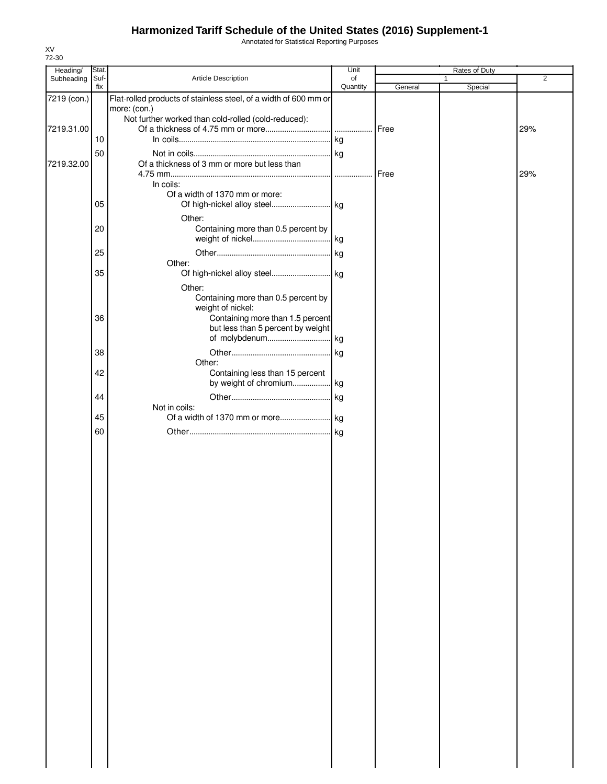Annotated for Statistical Reporting Purposes

| Heading/    | Stat.       |                                                                  | Unit           |         | Rates of Duty           |                |
|-------------|-------------|------------------------------------------------------------------|----------------|---------|-------------------------|----------------|
| Subheading  | Suf-<br>fix | <b>Article Description</b>                                       | of<br>Quantity | General | $\mathbf{1}$<br>Special | $\overline{2}$ |
| 7219 (con.) |             | Flat-rolled products of stainless steel, of a width of 600 mm or |                |         |                         |                |
|             |             | more: (con.)                                                     |                |         |                         |                |
|             |             | Not further worked than cold-rolled (cold-reduced):              |                |         |                         |                |
| 7219.31.00  | 10          |                                                                  |                | Free    |                         | 29%            |
|             |             |                                                                  |                |         |                         |                |
| 7219.32.00  | 50          | Of a thickness of 3 mm or more but less than                     |                |         |                         |                |
|             |             |                                                                  |                | Free    |                         | 29%            |
|             |             | In coils:                                                        |                |         |                         |                |
|             |             | Of a width of 1370 mm or more:                                   |                |         |                         |                |
|             | 05          |                                                                  |                |         |                         |                |
|             |             | Other:                                                           |                |         |                         |                |
|             | 20          | Containing more than 0.5 percent by                              |                |         |                         |                |
|             |             |                                                                  |                |         |                         |                |
|             | 25          |                                                                  |                |         |                         |                |
|             | 35          | Other:                                                           |                |         |                         |                |
|             |             |                                                                  |                |         |                         |                |
|             |             | Other:<br>Containing more than 0.5 percent by                    |                |         |                         |                |
|             |             | weight of nickel:                                                |                |         |                         |                |
|             | 36          | Containing more than 1.5 percent                                 |                |         |                         |                |
|             |             | but less than 5 percent by weight                                |                |         |                         |                |
|             |             |                                                                  |                |         |                         |                |
|             | 38          |                                                                  |                |         |                         |                |
|             |             | Other:                                                           |                |         |                         |                |
|             | 42          | Containing less than 15 percent<br>by weight of chromium kg      |                |         |                         |                |
|             | 44          |                                                                  |                |         |                         |                |
|             |             | Not in coils:                                                    |                |         |                         |                |
|             | 45          |                                                                  |                |         |                         |                |
|             | 60          |                                                                  |                |         |                         |                |
|             |             |                                                                  |                |         |                         |                |
|             |             |                                                                  |                |         |                         |                |
|             |             |                                                                  |                |         |                         |                |
|             |             |                                                                  |                |         |                         |                |
|             |             |                                                                  |                |         |                         |                |
|             |             |                                                                  |                |         |                         |                |
|             |             |                                                                  |                |         |                         |                |
|             |             |                                                                  |                |         |                         |                |
|             |             |                                                                  |                |         |                         |                |
|             |             |                                                                  |                |         |                         |                |
|             |             |                                                                  |                |         |                         |                |
|             |             |                                                                  |                |         |                         |                |
|             |             |                                                                  |                |         |                         |                |
|             |             |                                                                  |                |         |                         |                |
|             |             |                                                                  |                |         |                         |                |
|             |             |                                                                  |                |         |                         |                |
|             |             |                                                                  |                |         |                         |                |
|             |             |                                                                  |                |         |                         |                |
|             |             |                                                                  |                |         |                         |                |
|             |             |                                                                  |                |         |                         |                |
|             |             |                                                                  |                |         |                         |                |
|             |             |                                                                  |                |         |                         |                |
|             |             |                                                                  |                |         |                         |                |
|             |             |                                                                  |                |         |                         |                |
|             |             |                                                                  |                |         |                         |                |
|             |             |                                                                  |                |         |                         |                |
|             |             |                                                                  |                |         |                         |                |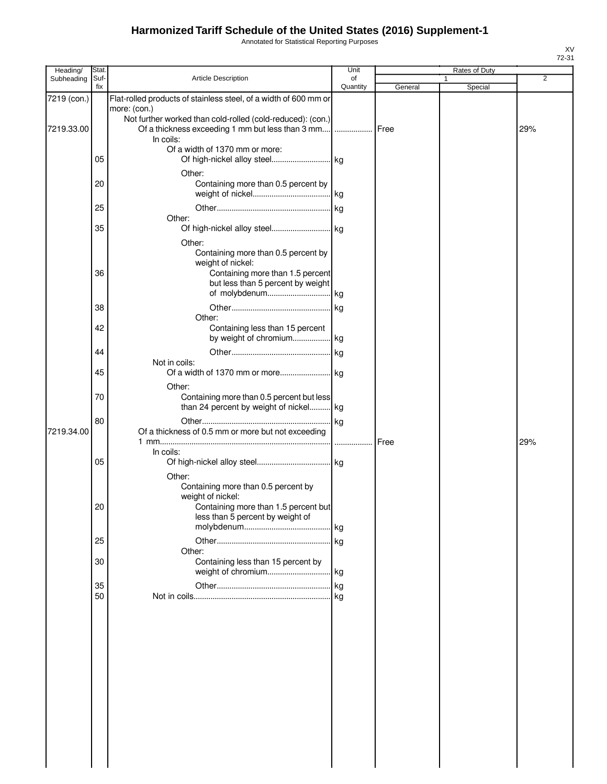Annotated for Statistical Reporting Purposes

| Heading/    | Stat.       |                                                                  | Unit           |         | Rates of Duty |     |
|-------------|-------------|------------------------------------------------------------------|----------------|---------|---------------|-----|
| Subheading  | Suf-<br>fix | Article Description                                              | of<br>Quantity | General | 1<br>Special  | 2   |
| 7219 (con.) |             | Flat-rolled products of stainless steel, of a width of 600 mm or |                |         |               |     |
|             |             | more: (con.)                                                     |                |         |               |     |
|             |             | Not further worked than cold-rolled (cold-reduced): (con.)       |                |         |               |     |
| 7219.33.00  |             | Of a thickness exceeding 1 mm but less than 3 mm                 | .              | Free    |               | 29% |
|             |             | In coils:<br>Of a width of 1370 mm or more:                      |                |         |               |     |
|             | 05          |                                                                  |                |         |               |     |
|             |             | Other:                                                           |                |         |               |     |
|             | 20          | Containing more than 0.5 percent by                              |                |         |               |     |
|             |             |                                                                  |                |         |               |     |
|             | 25          |                                                                  |                |         |               |     |
|             |             | Other:                                                           |                |         |               |     |
|             | 35          |                                                                  |                |         |               |     |
|             |             | Other:                                                           |                |         |               |     |
|             |             | Containing more than 0.5 percent by                              |                |         |               |     |
|             |             | weight of nickel:                                                |                |         |               |     |
|             | 36          | Containing more than 1.5 percent                                 |                |         |               |     |
|             |             | but less than 5 percent by weight                                |                |         |               |     |
|             |             |                                                                  |                |         |               |     |
|             | 38          | Other:                                                           |                |         |               |     |
|             | 42          | Containing less than 15 percent                                  |                |         |               |     |
|             |             |                                                                  |                |         |               |     |
|             | 44          |                                                                  |                |         |               |     |
|             |             | Not in coils:                                                    |                |         |               |     |
|             | 45          |                                                                  |                |         |               |     |
|             |             | Other:                                                           |                |         |               |     |
|             | 70          | Containing more than 0.5 percent but less                        |                |         |               |     |
|             |             | than 24 percent by weight of nickel kg                           |                |         |               |     |
|             | 80          |                                                                  |                |         |               |     |
| 7219.34.00  |             | Of a thickness of 0.5 mm or more but not exceeding               |                |         |               |     |
|             |             |                                                                  |                | Free    |               | 29% |
|             | 05          | In coils:                                                        |                |         |               |     |
|             |             | Other:                                                           |                |         |               |     |
|             |             | Containing more than 0.5 percent by                              |                |         |               |     |
|             |             | weight of nickel:                                                |                |         |               |     |
|             | 20          | Containing more than 1.5 percent but                             |                |         |               |     |
|             |             | less than 5 percent by weight of                                 |                |         |               |     |
|             |             |                                                                  |                |         |               |     |
|             | 25          |                                                                  |                |         |               |     |
|             | 30          | Other:<br>Containing less than 15 percent by                     |                |         |               |     |
|             |             |                                                                  |                |         |               |     |
|             | 35          |                                                                  |                |         |               |     |
|             | 50          |                                                                  |                |         |               |     |
|             |             |                                                                  |                |         |               |     |
|             |             |                                                                  |                |         |               |     |
|             |             |                                                                  |                |         |               |     |
|             |             |                                                                  |                |         |               |     |
|             |             |                                                                  |                |         |               |     |
|             |             |                                                                  |                |         |               |     |
|             |             |                                                                  |                |         |               |     |
|             |             |                                                                  |                |         |               |     |
|             |             |                                                                  |                |         |               |     |
|             |             |                                                                  |                |         |               |     |
|             |             |                                                                  |                |         |               |     |
|             |             |                                                                  |                |         |               |     |
|             |             |                                                                  |                |         |               |     |
|             |             |                                                                  |                |         |               |     |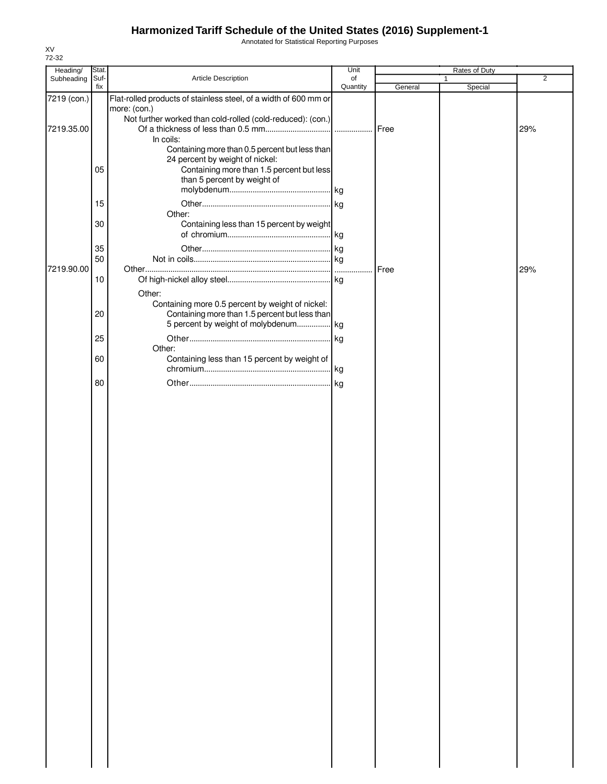Annotated for Statistical Reporting Purposes

| Heading/    | Stat.       |                                                                                                                                                      | Unit           |         | Rates of Duty           |                |
|-------------|-------------|------------------------------------------------------------------------------------------------------------------------------------------------------|----------------|---------|-------------------------|----------------|
| Subheading  | Suf-<br>fix | Article Description                                                                                                                                  | of<br>Quantity | General | $\mathbf{1}$<br>Special | $\overline{2}$ |
| 7219 (con.) |             | Flat-rolled products of stainless steel, of a width of 600 mm or<br>more: (con.)                                                                     |                |         |                         |                |
| 7219.35.00  |             | Not further worked than cold-rolled (cold-reduced): (con.)<br>In coils:<br>Containing more than 0.5 percent but less than                            |                | Free    |                         | 29%            |
|             | 05          | 24 percent by weight of nickel:<br>Containing more than 1.5 percent but less<br>than 5 percent by weight of                                          |                |         |                         |                |
|             | 15          | Other:                                                                                                                                               |                |         |                         |                |
|             | 30          | Containing less than 15 percent by weight                                                                                                            |                |         |                         |                |
|             | 35<br>50    |                                                                                                                                                      |                |         |                         |                |
| 7219.90.00  | 10          |                                                                                                                                                      |                | Free    |                         | 29%            |
|             | 20          | Other:<br>Containing more 0.5 percent by weight of nickel:<br>Containing more than 1.5 percent but less than<br>5 percent by weight of molybdenum kg |                |         |                         |                |
|             | 25          |                                                                                                                                                      | . kg           |         |                         |                |
|             | 60          | Other:<br>Containing less than 15 percent by weight of                                                                                               |                |         |                         |                |
|             | 80          |                                                                                                                                                      |                |         |                         |                |
|             |             |                                                                                                                                                      |                |         |                         |                |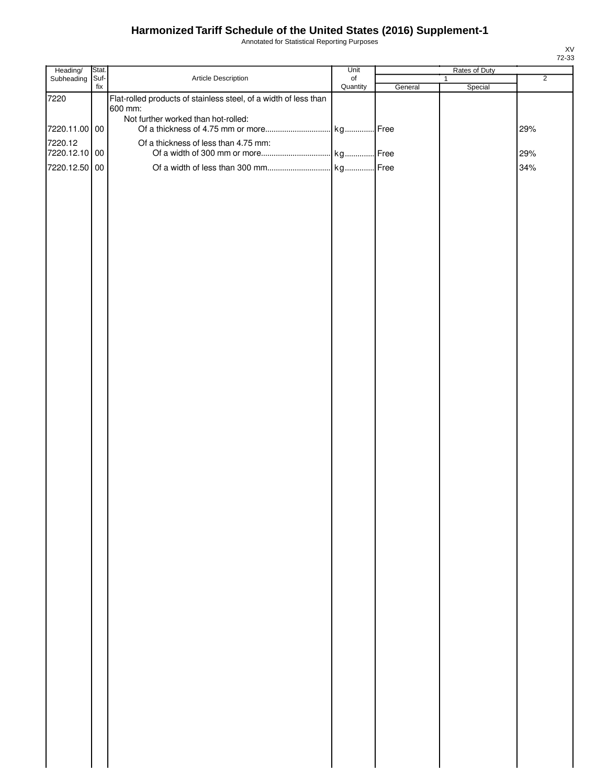Annotated for Statistical Reporting Purposes

| Heading/      | Stat.       |                                                                  | Unit                  |         | Rates of Duty           |                |
|---------------|-------------|------------------------------------------------------------------|-----------------------|---------|-------------------------|----------------|
| Subheading    | Suf-<br>fix | Article Description                                              | $\circ$ f<br>Quantity | General | $\mathbf{1}$<br>Special | $\overline{2}$ |
| 7220          |             | Flat-rolled products of stainless steel, of a width of less than |                       |         |                         |                |
|               |             | 600 mm:                                                          |                       |         |                         |                |
|               |             | Not further worked than hot-rolled:                              |                       |         |                         |                |
| 7220.11.00 00 |             |                                                                  |                       |         |                         | 29%            |
| 7220.12       |             | Of a thickness of less than 4.75 mm:                             |                       |         |                         |                |
| 7220.12.10 00 |             |                                                                  |                       |         |                         | 29%            |
| 7220.12.50 00 |             |                                                                  |                       |         |                         | 34%            |
|               |             |                                                                  |                       |         |                         |                |
|               |             |                                                                  |                       |         |                         |                |
|               |             |                                                                  |                       |         |                         |                |
|               |             |                                                                  |                       |         |                         |                |
|               |             |                                                                  |                       |         |                         |                |
|               |             |                                                                  |                       |         |                         |                |
|               |             |                                                                  |                       |         |                         |                |
|               |             |                                                                  |                       |         |                         |                |
|               |             |                                                                  |                       |         |                         |                |
|               |             |                                                                  |                       |         |                         |                |
|               |             |                                                                  |                       |         |                         |                |
|               |             |                                                                  |                       |         |                         |                |
|               |             |                                                                  |                       |         |                         |                |
|               |             |                                                                  |                       |         |                         |                |
|               |             |                                                                  |                       |         |                         |                |
|               |             |                                                                  |                       |         |                         |                |
|               |             |                                                                  |                       |         |                         |                |
|               |             |                                                                  |                       |         |                         |                |
|               |             |                                                                  |                       |         |                         |                |
|               |             |                                                                  |                       |         |                         |                |
|               |             |                                                                  |                       |         |                         |                |
|               |             |                                                                  |                       |         |                         |                |
|               |             |                                                                  |                       |         |                         |                |
|               |             |                                                                  |                       |         |                         |                |
|               |             |                                                                  |                       |         |                         |                |
|               |             |                                                                  |                       |         |                         |                |
|               |             |                                                                  |                       |         |                         |                |
|               |             |                                                                  |                       |         |                         |                |
|               |             |                                                                  |                       |         |                         |                |
|               |             |                                                                  |                       |         |                         |                |
|               |             |                                                                  |                       |         |                         |                |
|               |             |                                                                  |                       |         |                         |                |
|               |             |                                                                  |                       |         |                         |                |
|               |             |                                                                  |                       |         |                         |                |
|               |             |                                                                  |                       |         |                         |                |
|               |             |                                                                  |                       |         |                         |                |
|               |             |                                                                  |                       |         |                         |                |
|               |             |                                                                  |                       |         |                         |                |
|               |             |                                                                  |                       |         |                         |                |
|               |             |                                                                  |                       |         |                         |                |
|               |             |                                                                  |                       |         |                         |                |
|               |             |                                                                  |                       |         |                         |                |
|               |             |                                                                  |                       |         |                         |                |
|               |             |                                                                  |                       |         |                         |                |
|               |             |                                                                  |                       |         |                         |                |
|               |             |                                                                  |                       |         |                         |                |
|               |             |                                                                  |                       |         |                         |                |
|               |             |                                                                  |                       |         |                         |                |
|               |             |                                                                  |                       |         |                         |                |
|               |             |                                                                  |                       |         |                         |                |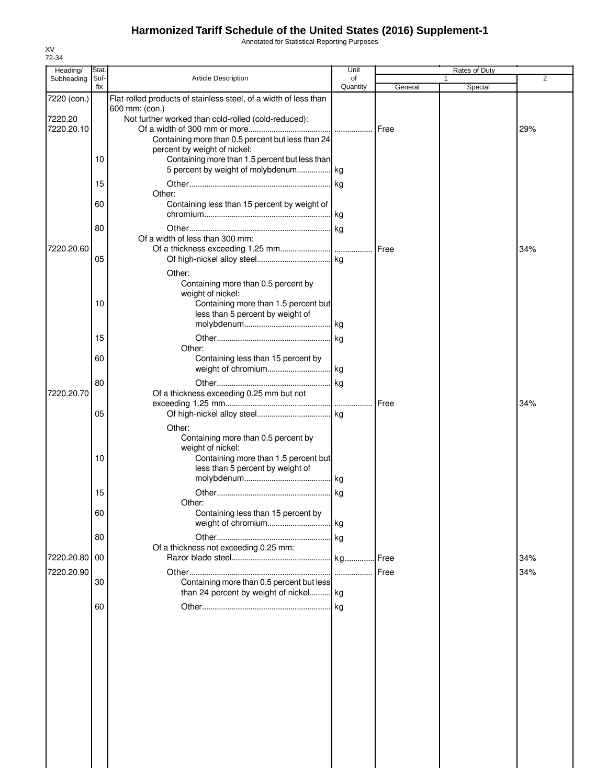Annotated for Statistical Reporting Purposes

| 72-34<br>Heading/ | Stat.       |                                                                                | Unit           |               | <b>Rates of Duty</b> |     |
|-------------------|-------------|--------------------------------------------------------------------------------|----------------|---------------|----------------------|-----|
| Subheading        | Suf-<br>fix | <b>Article Description</b>                                                     | of<br>Quantity | General       | Special              | 2   |
| 7220 (con.)       |             | Flat-rolled products of stainless steel, of a width of less than               |                |               |                      |     |
| 7220.20           |             | 600 mm: (con.)<br>Not further worked than cold-rolled (cold-reduced):          |                |               |                      |     |
| 7220.20.10        |             |                                                                                |                |               |                      | 29% |
|                   |             | Containing more than 0.5 percent but less than 24                              |                |               |                      |     |
|                   | 10          | percent by weight of nickel:<br>Containing more than 1.5 percent but less than |                |               |                      |     |
|                   |             | 5 percent by weight of molybdenum kg                                           |                |               |                      |     |
|                   | 15          |                                                                                |                |               |                      |     |
|                   |             | Other:                                                                         |                |               |                      |     |
|                   | 60          | Containing less than 15 percent by weight of                                   |                |               |                      |     |
|                   | 80          |                                                                                |                |               |                      |     |
|                   |             | Of a width of less than 300 mm:                                                |                |               |                      |     |
| 7220.20.60        |             |                                                                                |                |               |                      | 34% |
|                   | 05          |                                                                                |                |               |                      |     |
|                   |             | Other:                                                                         |                |               |                      |     |
|                   |             | Containing more than 0.5 percent by<br>weight of nickel:                       |                |               |                      |     |
|                   | 10          | Containing more than 1.5 percent but                                           |                |               |                      |     |
|                   |             | less than 5 percent by weight of                                               |                |               |                      |     |
|                   |             |                                                                                |                |               |                      |     |
|                   | 15          | Other:                                                                         |                |               |                      |     |
|                   | 60          | Containing less than 15 percent by                                             |                |               |                      |     |
|                   |             |                                                                                |                |               |                      |     |
|                   | 80          |                                                                                |                |               |                      |     |
| 7220.20.70        |             | Of a thickness exceeding 0.25 mm but not                                       |                | <b>IFree</b>  |                      | 34% |
|                   | 05          |                                                                                |                |               |                      |     |
|                   |             | Other:                                                                         |                |               |                      |     |
|                   |             | Containing more than 0.5 percent by                                            |                |               |                      |     |
|                   | 10          | weight of nickel:<br>Containing more than 1.5 percent but                      |                |               |                      |     |
|                   |             | less than 5 percent by weight of                                               |                |               |                      |     |
|                   |             |                                                                                |                |               |                      |     |
|                   | 15          |                                                                                |                |               |                      |     |
|                   | 60          | Other:<br>Containing less than 15 percent by                                   |                |               |                      |     |
|                   |             | weight of chromium                                                             | .lkg           |               |                      |     |
|                   | 80          |                                                                                | . kg           |               |                      |     |
| 7220.20.80        | 00          | Of a thickness not exceeding 0.25 mm:                                          |                | <b>I</b> Free |                      | 34% |
| 7220.20.90        |             |                                                                                |                | Free          |                      | 34% |
|                   | 30          | Containing more than 0.5 percent but less                                      |                |               |                      |     |
|                   |             | than 24 percent by weight of nickel kg                                         |                |               |                      |     |
|                   | 60          |                                                                                | . kg           |               |                      |     |
|                   |             |                                                                                |                |               |                      |     |
|                   |             |                                                                                |                |               |                      |     |
|                   |             |                                                                                |                |               |                      |     |
|                   |             |                                                                                |                |               |                      |     |
|                   |             |                                                                                |                |               |                      |     |
|                   |             |                                                                                |                |               |                      |     |
|                   |             |                                                                                |                |               |                      |     |
|                   |             |                                                                                |                |               |                      |     |
|                   |             |                                                                                |                |               |                      |     |
|                   |             |                                                                                |                |               |                      |     |
|                   |             |                                                                                |                |               |                      |     |

XV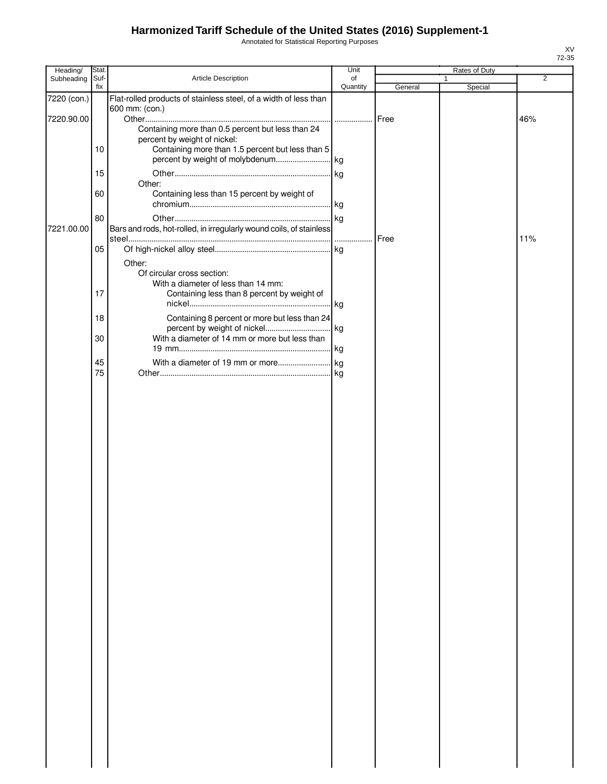Annotated for Statistical Reporting Purposes

| Heading/    | Stat. |                                                                                    | Unit     |         | Rates of Duty |     |
|-------------|-------|------------------------------------------------------------------------------------|----------|---------|---------------|-----|
| Subheading  | Suf-  | Article Description                                                                | of       |         | 1             | 2   |
|             | fix   |                                                                                    | Quantity | General | Special       |     |
| 7220 (con.) |       | Flat-rolled products of stainless steel, of a width of less than<br>600 mm: (con.) |          |         |               |     |
| 7220.90.00  |       |                                                                                    |          | Free    |               | 46% |
|             |       | Containing more than 0.5 percent but less than 24                                  |          |         |               |     |
|             |       | percent by weight of nickel:                                                       |          |         |               |     |
|             | 10    | Containing more than 1.5 percent but less than 5                                   |          |         |               |     |
|             |       |                                                                                    |          |         |               |     |
|             | 15    |                                                                                    |          |         |               |     |
|             |       | Other:                                                                             |          |         |               |     |
|             | 60    | Containing less than 15 percent by weight of                                       |          |         |               |     |
|             |       |                                                                                    |          |         |               |     |
|             | 80    |                                                                                    |          |         |               |     |
| 7221.00.00  |       | Bars and rods, hot-rolled, in irregularly wound coils, of stainless                |          |         |               |     |
|             |       |                                                                                    |          | Free    |               | 11% |
|             | 05    |                                                                                    |          |         |               |     |
|             |       | Other:                                                                             |          |         |               |     |
|             |       | Of circular cross section:                                                         |          |         |               |     |
|             | 17    | With a diameter of less than 14 mm:<br>Containing less than 8 percent by weight of |          |         |               |     |
|             |       |                                                                                    |          |         |               |     |
|             |       |                                                                                    |          |         |               |     |
|             | 18    | Containing 8 percent or more but less than 24                                      |          |         |               |     |
|             | 30    | With a diameter of 14 mm or more but less than                                     |          |         |               |     |
|             |       |                                                                                    |          |         |               |     |
|             | 45    |                                                                                    |          |         |               |     |
|             | 75    |                                                                                    |          |         |               |     |
|             |       |                                                                                    |          |         |               |     |
|             |       |                                                                                    |          |         |               |     |
|             |       |                                                                                    |          |         |               |     |
|             |       |                                                                                    |          |         |               |     |
|             |       |                                                                                    |          |         |               |     |
|             |       |                                                                                    |          |         |               |     |
|             |       |                                                                                    |          |         |               |     |
|             |       |                                                                                    |          |         |               |     |
|             |       |                                                                                    |          |         |               |     |
|             |       |                                                                                    |          |         |               |     |
|             |       |                                                                                    |          |         |               |     |
|             |       |                                                                                    |          |         |               |     |
|             |       |                                                                                    |          |         |               |     |
|             |       |                                                                                    |          |         |               |     |
|             |       |                                                                                    |          |         |               |     |
|             |       |                                                                                    |          |         |               |     |
|             |       |                                                                                    |          |         |               |     |
|             |       |                                                                                    |          |         |               |     |
|             |       |                                                                                    |          |         |               |     |
|             |       |                                                                                    |          |         |               |     |
|             |       |                                                                                    |          |         |               |     |
|             |       |                                                                                    |          |         |               |     |
|             |       |                                                                                    |          |         |               |     |
|             |       |                                                                                    |          |         |               |     |
|             |       |                                                                                    |          |         |               |     |
|             |       |                                                                                    |          |         |               |     |
|             |       |                                                                                    |          |         |               |     |
|             |       |                                                                                    |          |         |               |     |
|             |       |                                                                                    |          |         |               |     |
|             |       |                                                                                    |          |         |               |     |
|             |       |                                                                                    |          |         |               |     |
|             |       |                                                                                    |          |         |               |     |
|             |       |                                                                                    |          |         |               |     |
|             |       |                                                                                    |          |         |               |     |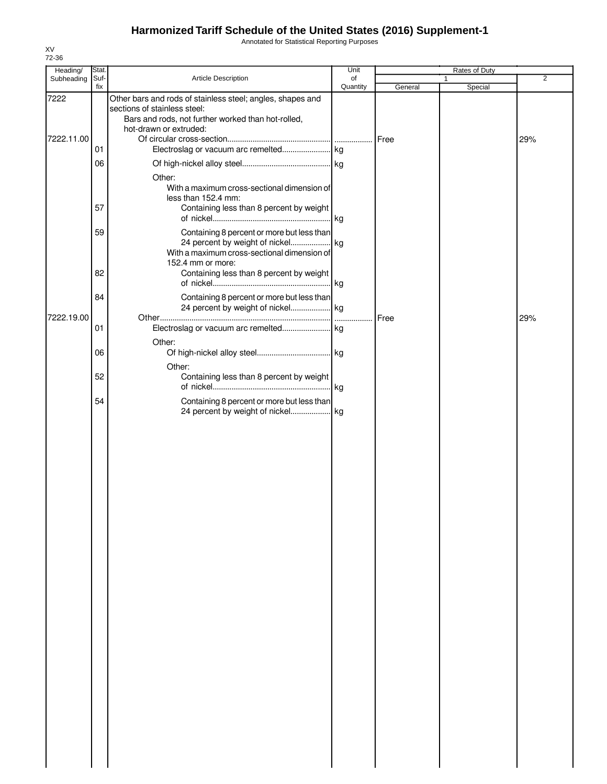Annotated for Statistical Reporting Purposes

| Heading/   | Stat.       |                                                                                                                                                            | Unit           |         | Rates of Duty |                |
|------------|-------------|------------------------------------------------------------------------------------------------------------------------------------------------------------|----------------|---------|---------------|----------------|
| Subheading | Suf-<br>fix | Article Description                                                                                                                                        | of<br>Quantity | General | Special       | $\overline{2}$ |
| 7222       |             | Other bars and rods of stainless steel; angles, shapes and<br>sections of stainless steel:<br>Bars and rods, not further worked than hot-rolled,           |                |         |               |                |
| 7222.11.00 | 01          | hot-drawn or extruded:                                                                                                                                     |                |         |               | 29%            |
|            | 06          |                                                                                                                                                            |                |         |               |                |
|            | 57          | Other:<br>With a maximum cross-sectional dimension of<br>less than 152.4 mm:<br>Containing less than 8 percent by weight                                   |                |         |               |                |
|            | 59<br>82    | Containing 8 percent or more but less than<br>With a maximum cross-sectional dimension of<br>152.4 mm or more:<br>Containing less than 8 percent by weight |                |         |               |                |
|            | 84          | Containing 8 percent or more but less than                                                                                                                 |                |         |               |                |
| 7222.19.00 |             | 24 percent by weight of nickel kg                                                                                                                          |                | Free    |               | 29%            |
|            | 01          | Other:                                                                                                                                                     |                |         |               |                |
|            | 06          | Other:                                                                                                                                                     |                |         |               |                |
|            | 52          | Containing less than 8 percent by weight                                                                                                                   | . kg           |         |               |                |
|            | 54          | Containing 8 percent or more but less than<br>24 percent by weight of nickel kg                                                                            |                |         |               |                |
|            |             |                                                                                                                                                            |                |         |               |                |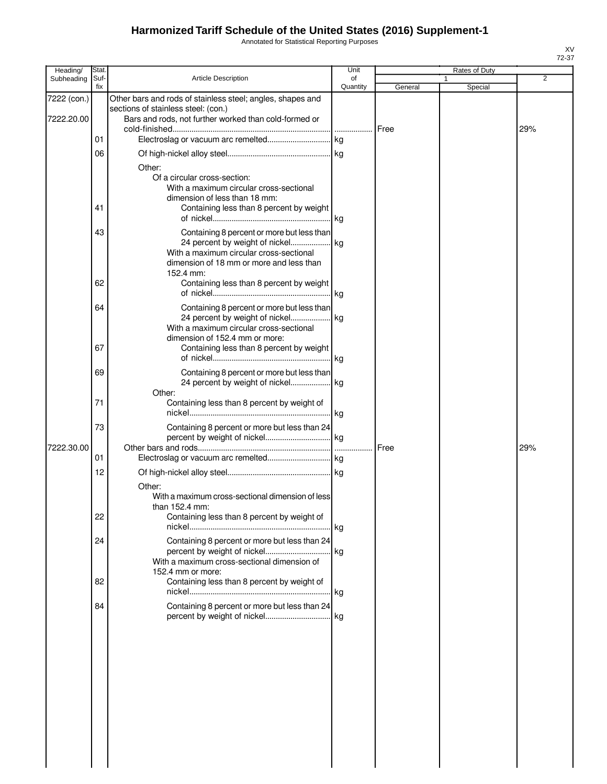Annotated for Statistical Reporting Purposes

| Heading/                  | <b>Stat</b> |                                                                                                                                                                                                                                 | Unit           |         | Rates of Duty |                |
|---------------------------|-------------|---------------------------------------------------------------------------------------------------------------------------------------------------------------------------------------------------------------------------------|----------------|---------|---------------|----------------|
| Subheading                | Suf-<br>fix | <b>Article Description</b>                                                                                                                                                                                                      | of<br>Quantity | General | Special       | $\overline{2}$ |
| 7222 (con.)<br>7222.20.00 |             | Other bars and rods of stainless steel; angles, shapes and<br>sections of stainless steel: (con.)<br>Bars and rods, not further worked than cold-formed or                                                                      |                |         |               |                |
|                           | 01          |                                                                                                                                                                                                                                 |                | Free    |               | 29%            |
|                           | 06          |                                                                                                                                                                                                                                 |                |         |               |                |
|                           |             | Other:<br>Of a circular cross-section:<br>With a maximum circular cross-sectional<br>dimension of less than 18 mm:                                                                                                              |                |         |               |                |
|                           | 41          | Containing less than 8 percent by weight                                                                                                                                                                                        |                |         |               |                |
|                           | 43<br>62    | Containing 8 percent or more but less than<br>24 percent by weight of nickel kg<br>With a maximum circular cross-sectional<br>dimension of 18 mm or more and less than<br>152.4 mm:<br>Containing less than 8 percent by weight |                |         |               |                |
|                           |             |                                                                                                                                                                                                                                 |                |         |               |                |
|                           | 64          | Containing 8 percent or more but less than<br>24 percent by weight of nickel kg<br>With a maximum circular cross-sectional<br>dimension of 152.4 mm or more:                                                                    |                |         |               |                |
|                           | 67          | Containing less than 8 percent by weight                                                                                                                                                                                        |                |         |               |                |
|                           | 69          | Containing 8 percent or more but less than<br>24 percent by weight of nickel kg                                                                                                                                                 |                |         |               |                |
|                           | 71          | Other:<br>Containing less than 8 percent by weight of                                                                                                                                                                           |                |         |               |                |
| 7222.30.00                | 73          | Containing 8 percent or more but less than 24                                                                                                                                                                                   |                | Free    |               | 29%            |
|                           | 01          |                                                                                                                                                                                                                                 |                |         |               |                |
|                           | 12          |                                                                                                                                                                                                                                 |                |         |               |                |
|                           | 22          | Other:<br>With a maximum cross-sectional dimension of less<br>than $152.4$ mm:<br>Containing less than 8 percent by weight of                                                                                                   |                |         |               |                |
|                           | 24          | Containing 8 percent or more but less than 24<br>With a maximum cross-sectional dimension of                                                                                                                                    |                |         |               |                |
|                           | 82          | 152.4 mm or more:<br>Containing less than 8 percent by weight of                                                                                                                                                                |                |         |               |                |
|                           | 84          | Containing 8 percent or more but less than 24                                                                                                                                                                                   |                |         |               |                |
|                           |             |                                                                                                                                                                                                                                 |                |         |               |                |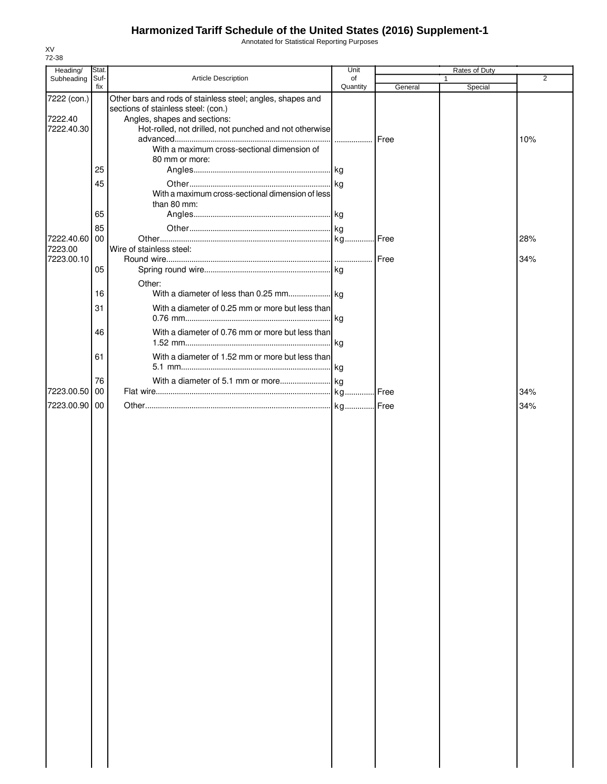Annotated for Statistical Reporting Purposes

| Heading/               | Stat.       |                                                                                                                                   | Unit           |              | Rates of Duty |     |
|------------------------|-------------|-----------------------------------------------------------------------------------------------------------------------------------|----------------|--------------|---------------|-----|
| Subheading             | Suf-<br>fix | <b>Article Description</b>                                                                                                        | of<br>Quantity | General      | Special       | 2   |
| 7222 (con.)<br>7222.40 |             | Other bars and rods of stainless steel; angles, shapes and<br>sections of stainless steel: (con.)<br>Angles, shapes and sections: |                |              |               |     |
| 7222.40.30             |             | Hot-rolled, not drilled, not punched and not otherwise                                                                            |                | <b>IFree</b> |               | 10% |
|                        | 25          | With a maximum cross-sectional dimension of<br>80 mm or more:                                                                     |                |              |               |     |
|                        | 45          |                                                                                                                                   |                |              |               |     |
|                        |             | With a maximum cross-sectional dimension of less<br>than 80 mm:                                                                   |                |              |               |     |
|                        | 65          |                                                                                                                                   |                |              |               |     |
| 7222.40.60 00          | 85          |                                                                                                                                   |                |              |               | 28% |
| 7223.00<br>7223.00.10  |             | Wire of stainless steel:                                                                                                          |                | Free         |               | 34% |
|                        | 05          |                                                                                                                                   |                |              |               |     |
|                        | 16          | Other:                                                                                                                            |                |              |               |     |
|                        | 31          | With a diameter of 0.25 mm or more but less than                                                                                  | .lkg           |              |               |     |
|                        | 46          | With a diameter of 0.76 mm or more but less than                                                                                  |                |              |               |     |
|                        | 61          | With a diameter of 1.52 mm or more but less than                                                                                  |                |              |               |     |
|                        | 76          |                                                                                                                                   |                |              |               |     |
| 7223.00.50             | 00          |                                                                                                                                   |                |              |               | 34% |
| 7223.00.90 00          |             |                                                                                                                                   |                |              |               | 34% |
|                        |             |                                                                                                                                   |                |              |               |     |
|                        |             |                                                                                                                                   |                |              |               |     |
|                        |             |                                                                                                                                   |                |              |               |     |
|                        |             |                                                                                                                                   |                |              |               |     |
|                        |             |                                                                                                                                   |                |              |               |     |
|                        |             |                                                                                                                                   |                |              |               |     |
|                        |             |                                                                                                                                   |                |              |               |     |
|                        |             |                                                                                                                                   |                |              |               |     |
|                        |             |                                                                                                                                   |                |              |               |     |
|                        |             |                                                                                                                                   |                |              |               |     |
|                        |             |                                                                                                                                   |                |              |               |     |
|                        |             |                                                                                                                                   |                |              |               |     |
|                        |             |                                                                                                                                   |                |              |               |     |
|                        |             |                                                                                                                                   |                |              |               |     |
|                        |             |                                                                                                                                   |                |              |               |     |
|                        |             |                                                                                                                                   |                |              |               |     |
|                        |             |                                                                                                                                   |                |              |               |     |
|                        |             |                                                                                                                                   |                |              |               |     |
|                        |             |                                                                                                                                   |                |              |               |     |
|                        |             |                                                                                                                                   |                |              |               |     |
|                        |             |                                                                                                                                   |                |              |               |     |
|                        |             |                                                                                                                                   |                |              |               |     |
|                        |             |                                                                                                                                   |                |              |               |     |
|                        |             |                                                                                                                                   |                |              |               |     |
|                        |             |                                                                                                                                   |                |              |               |     |
|                        |             |                                                                                                                                   |                |              |               |     |

XV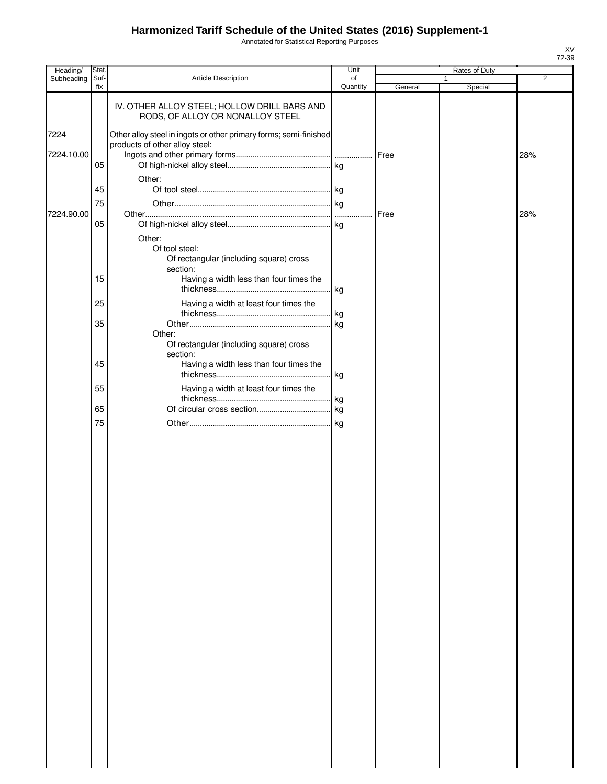Annotated for Statistical Reporting Purposes

| Heading/   | Stat.       |                                                                                                     | Unit           |         | Rates of Duty |                |
|------------|-------------|-----------------------------------------------------------------------------------------------------|----------------|---------|---------------|----------------|
| Subheading | Suf-<br>fix | Article Description                                                                                 | of<br>Quantity | General | 1<br>Special  | $\overline{2}$ |
|            |             | IV. OTHER ALLOY STEEL; HOLLOW DRILL BARS AND<br>RODS, OF ALLOY OR NONALLOY STEEL                    |                |         |               |                |
| 7224       |             | Other alloy steel in ingots or other primary forms; semi-finished<br>products of other alloy steel: |                |         |               |                |
| 7224.10.00 | 05          |                                                                                                     |                |         |               | 28%            |
|            | 45<br>75    | Other:                                                                                              |                |         |               |                |
| 7224.90.00 | 05          |                                                                                                     |                | Free    |               | 28%            |
|            |             | Other:<br>Of tool steel:<br>Of rectangular (including square) cross<br>section:                     |                |         |               |                |
|            | 15<br>25    | Having a width less than four times the                                                             | kg             |         |               |                |
|            |             | Having a width at least four times the                                                              | kg             |         |               |                |
|            | 35          | Other:<br>Of rectangular (including square) cross                                                   | kg             |         |               |                |
|            | 45          | section:<br>Having a width less than four times the                                                 | . kg           |         |               |                |
|            | 55          | Having a width at least four times the                                                              | . kg           |         |               |                |
|            | 65          |                                                                                                     |                |         |               |                |
|            | 75          |                                                                                                     | . kg           |         |               |                |
|            |             |                                                                                                     |                |         |               |                |
|            |             |                                                                                                     |                |         |               |                |
|            |             |                                                                                                     |                |         |               |                |
|            |             |                                                                                                     |                |         |               |                |
|            |             |                                                                                                     |                |         |               |                |
|            |             |                                                                                                     |                |         |               |                |
|            |             |                                                                                                     |                |         |               |                |
|            |             |                                                                                                     |                |         |               |                |
|            |             |                                                                                                     |                |         |               |                |
|            |             |                                                                                                     |                |         |               |                |
|            |             |                                                                                                     |                |         |               |                |
|            |             |                                                                                                     |                |         |               |                |
|            |             |                                                                                                     |                |         |               |                |
|            |             |                                                                                                     |                |         |               |                |
|            |             |                                                                                                     |                |         |               |                |
|            |             |                                                                                                     |                |         |               |                |
|            |             |                                                                                                     |                |         |               |                |
|            |             |                                                                                                     |                |         |               |                |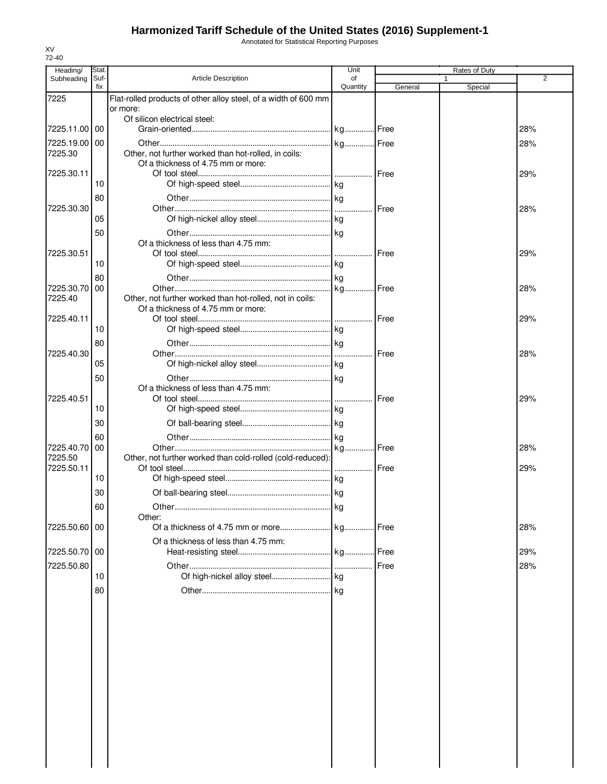Annotated for Statistical Reporting Purposes

| Heading/                 | Stat.       |                                                                 | Unit           |         | Rates of Duty |     |
|--------------------------|-------------|-----------------------------------------------------------------|----------------|---------|---------------|-----|
| Subheading               | Suf-<br>fix | <b>Article Description</b>                                      | of<br>Quantity | General | Special       | 2   |
| 7225                     |             | Flat-rolled products of other alloy steel, of a width of 600 mm |                |         |               |     |
|                          |             | or more:                                                        |                |         |               |     |
| 7225.11.00 00            |             | Of silicon electrical steel:                                    |                |         |               | 28% |
| 7225.19.00 00            |             |                                                                 |                |         |               | 28% |
| 7225.30                  |             | Other, not further worked than hot-rolled, in coils:            |                |         |               |     |
|                          |             | Of a thickness of 4.75 mm or more:                              |                |         |               |     |
| 7225.30.11               |             |                                                                 |                |         |               | 29% |
|                          | 10          |                                                                 |                |         |               |     |
| 7225.30.30               | 80          |                                                                 |                |         |               | 28% |
|                          | 05          |                                                                 |                |         |               |     |
|                          | 50          |                                                                 |                |         |               |     |
|                          |             | Of a thickness of less than 4.75 mm:                            |                |         |               |     |
| 7225.30.51               |             |                                                                 |                | Free    |               | 29% |
|                          | 10          |                                                                 |                |         |               |     |
|                          | 80          |                                                                 |                |         |               |     |
| 7225.30.70 00<br>7225.40 |             | Other, not further worked than hot-rolled, not in coils:        |                |         |               | 28% |
|                          |             | Of a thickness of 4.75 mm or more:                              |                |         |               |     |
| 7225.40.11               |             |                                                                 |                | Free    |               | 29% |
|                          | 10          |                                                                 |                |         |               |     |
|                          | 80          |                                                                 |                | Free    |               |     |
| 7225.40.30               | 05          |                                                                 |                |         |               | 28% |
|                          | 50          |                                                                 |                |         |               |     |
|                          |             | Of a thickness of less than 4.75 mm:                            |                |         |               |     |
| 7225.40.51               |             |                                                                 |                | Free    |               | 29% |
|                          | 10          |                                                                 |                |         |               |     |
|                          | 30          |                                                                 |                |         |               |     |
|                          | 60          |                                                                 |                |         |               |     |
| 7225.40.70<br>7225.50    | 00          | Other, not further worked than cold-rolled (cold-reduced):      |                | .I Free |               | 28% |
| 7225.50.11               |             |                                                                 |                |         |               | 29% |
|                          | 10          |                                                                 |                |         |               |     |
|                          | 30          |                                                                 |                |         |               |     |
|                          | 60          |                                                                 |                |         |               |     |
|                          |             | Other:                                                          |                |         |               |     |
| 7225.50.60 00            |             |                                                                 |                |         |               | 28% |
| 7225.50.70 00            |             | Of a thickness of less than 4.75 mm:                            |                |         |               |     |
|                          |             |                                                                 |                |         |               | 29% |
| 7225.50.80               | 10          |                                                                 |                | Free    |               | 28% |
|                          | 80          |                                                                 |                |         |               |     |
|                          |             |                                                                 |                |         |               |     |
|                          |             |                                                                 |                |         |               |     |
|                          |             |                                                                 |                |         |               |     |
|                          |             |                                                                 |                |         |               |     |
|                          |             |                                                                 |                |         |               |     |
|                          |             |                                                                 |                |         |               |     |
|                          |             |                                                                 |                |         |               |     |
|                          |             |                                                                 |                |         |               |     |
|                          |             |                                                                 |                |         |               |     |
|                          |             |                                                                 |                |         |               |     |
|                          |             |                                                                 |                |         |               |     |
|                          |             |                                                                 |                |         |               |     |
|                          |             |                                                                 |                |         |               |     |
|                          |             |                                                                 |                |         |               |     |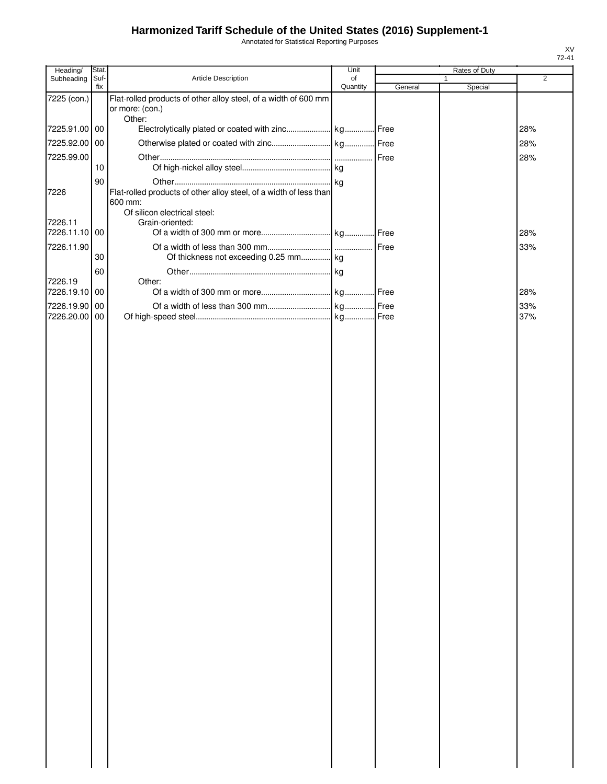Annotated for Statistical Reporting Purposes

| Heading/      | Stat. |                                                                                              | Unit     |         | Rates of Duty |                |
|---------------|-------|----------------------------------------------------------------------------------------------|----------|---------|---------------|----------------|
| Subheading    | Suf-  | Article Description                                                                          | of       |         |               | $\overline{2}$ |
|               | fix   |                                                                                              | Quantity | General | Special       |                |
| 7225 (con.)   |       | Flat-rolled products of other alloy steel, of a width of 600 mm<br>or more: (con.)<br>Other: |          |         |               |                |
| 7225.91.00 00 |       |                                                                                              |          |         |               | 28%            |
| 7225.92.00 00 |       |                                                                                              |          |         |               | 28%            |
|               |       |                                                                                              |          |         |               |                |
| 7225.99.00    |       |                                                                                              |          | Free    |               | 28%            |
|               | 10    |                                                                                              |          |         |               |                |
|               | 90    |                                                                                              |          |         |               |                |
| 7226          |       | Flat-rolled products of other alloy steel, of a width of less than<br>600 mm:                |          |         |               |                |
| 7226.11       |       | Of silicon electrical steel:<br>Grain-oriented:                                              |          |         |               |                |
| 7226.11.10    | 00    |                                                                                              |          |         |               | 28%            |
|               |       |                                                                                              |          |         |               |                |
| 7226.11.90    |       |                                                                                              |          | Free    |               | 33%            |
|               | 30    | Of thickness not exceeding 0.25 mm kg                                                        |          |         |               |                |
|               | 60    |                                                                                              |          |         |               |                |
| 7226.19       |       | Other:                                                                                       |          |         |               |                |
| 7226.19.10    | 00    |                                                                                              |          |         |               | 28%            |
| 7226.19.90    | 00    |                                                                                              |          | Free    |               | 33%            |
| 7226.20.00    | 00    |                                                                                              |          |         |               | 37%            |
|               |       |                                                                                              |          |         |               |                |
|               |       |                                                                                              |          |         |               |                |
|               |       |                                                                                              |          |         |               |                |
|               |       |                                                                                              |          |         |               |                |
|               |       |                                                                                              |          |         |               |                |
|               |       |                                                                                              |          |         |               |                |
|               |       |                                                                                              |          |         |               |                |
|               |       |                                                                                              |          |         |               |                |
|               |       |                                                                                              |          |         |               |                |
|               |       |                                                                                              |          |         |               |                |
|               |       |                                                                                              |          |         |               |                |
|               |       |                                                                                              |          |         |               |                |
|               |       |                                                                                              |          |         |               |                |
|               |       |                                                                                              |          |         |               |                |
|               |       |                                                                                              |          |         |               |                |
|               |       |                                                                                              |          |         |               |                |
|               |       |                                                                                              |          |         |               |                |
|               |       |                                                                                              |          |         |               |                |
|               |       |                                                                                              |          |         |               |                |
|               |       |                                                                                              |          |         |               |                |
|               |       |                                                                                              |          |         |               |                |
|               |       |                                                                                              |          |         |               |                |
|               |       |                                                                                              |          |         |               |                |
|               |       |                                                                                              |          |         |               |                |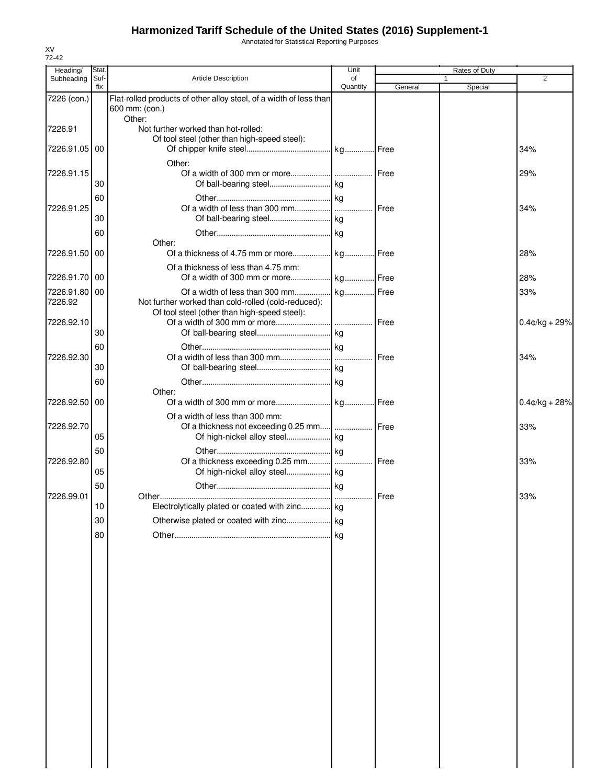Annotated for Statistical Reporting Purposes

| Subheading<br>7226 (con.)<br>7226.91<br>7226.91.05 00<br>7226.91.15 | Suf-<br>fix | <b>Article Description</b><br>Flat-rolled products of other alloy steel, of a width of less than<br>600 mm: (con.)<br>Other: | of<br>Quantity | General | $\mathbf{1}$<br>Special | 2                |
|---------------------------------------------------------------------|-------------|------------------------------------------------------------------------------------------------------------------------------|----------------|---------|-------------------------|------------------|
|                                                                     |             |                                                                                                                              |                |         |                         |                  |
|                                                                     |             |                                                                                                                              |                |         |                         |                  |
|                                                                     |             | Not further worked than hot-rolled:<br>Of tool steel (other than high-speed steel):                                          |                |         |                         |                  |
|                                                                     |             | Other:                                                                                                                       |                |         |                         | 34%              |
|                                                                     | 30          |                                                                                                                              |                |         |                         | 29%              |
|                                                                     | 60          |                                                                                                                              |                |         |                         |                  |
| 7226.91.25                                                          | 30          |                                                                                                                              |                | Free    |                         | 34%              |
|                                                                     | 60          | Other:                                                                                                                       |                |         |                         |                  |
| 7226.91.50 00                                                       |             |                                                                                                                              |                |         |                         | 28%              |
| 7226.91.70 00                                                       |             | Of a thickness of less than 4.75 mm:                                                                                         |                |         |                         | 28%              |
| 7226.91.80 00<br>7226.92                                            |             | Not further worked than cold-rolled (cold-reduced):<br>Of tool steel (other than high-speed steel):                          |                |         |                         | 33%              |
| 7226.92.10                                                          | 30          |                                                                                                                              |                |         |                         | $0.4$ ¢/kg + 29% |
| 7226.92.30                                                          | 60<br>30    |                                                                                                                              |                |         |                         | 34%              |
|                                                                     | 60          | Other:                                                                                                                       |                |         |                         |                  |
| 7226.92.50                                                          | 00          | Of a width of less than 300 mm:                                                                                              |                |         |                         | $0.4$ ¢/kg + 28% |
| 7226.92.70                                                          | 05          |                                                                                                                              |                |         |                         | 33%              |
| 7226.92.80                                                          | 50          | Of a thickness exceeding 0.25 mm                                                                                             |                | Free    |                         | 33%              |
|                                                                     | 05<br>50    |                                                                                                                              |                |         |                         |                  |
| 7226.99.01                                                          | 10          | Electrolytically plated or coated with zinc kg                                                                               |                | Free    |                         | 33%              |
|                                                                     | 30          |                                                                                                                              |                |         |                         |                  |
|                                                                     | 80          |                                                                                                                              |                |         |                         |                  |
|                                                                     |             |                                                                                                                              |                |         |                         |                  |
|                                                                     |             |                                                                                                                              |                |         |                         |                  |
|                                                                     |             |                                                                                                                              |                |         |                         |                  |
|                                                                     |             |                                                                                                                              |                |         |                         |                  |
|                                                                     |             |                                                                                                                              |                |         |                         |                  |
|                                                                     |             |                                                                                                                              |                |         |                         |                  |
|                                                                     |             |                                                                                                                              |                |         |                         |                  |
|                                                                     |             |                                                                                                                              |                |         |                         |                  |
|                                                                     |             |                                                                                                                              |                |         |                         |                  |

XV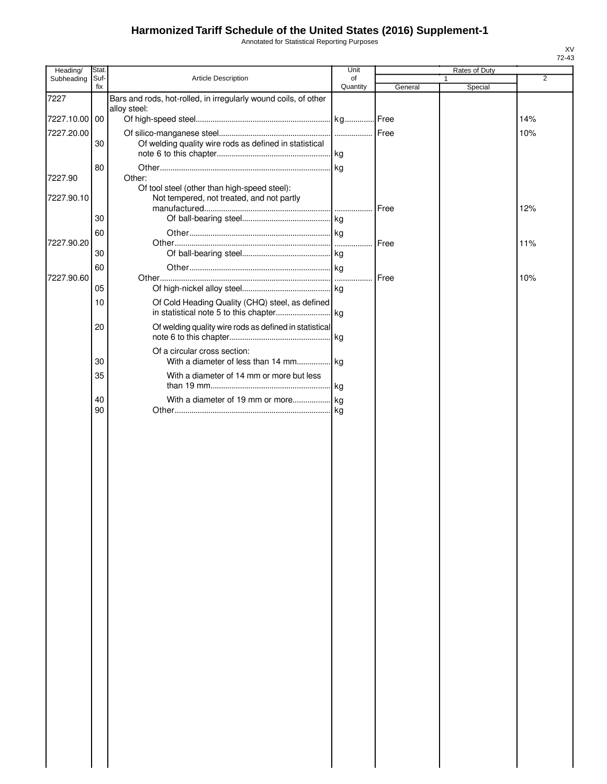Annotated for Statistical Reporting Purposes

| Heading/      | Stat.       |                                                                                           | Unit           |         | Rates of Duty |     |
|---------------|-------------|-------------------------------------------------------------------------------------------|----------------|---------|---------------|-----|
| Subheading    | Suf-<br>fix | Article Description                                                                       | of<br>Quantity | General | 1<br>Special  | 2   |
| 7227          |             | Bars and rods, hot-rolled, in irregularly wound coils, of other                           |                |         |               |     |
|               |             | alloy steel:                                                                              |                |         |               |     |
| 7227.10.00 00 |             |                                                                                           |                |         |               | 14% |
| 7227.20.00    |             |                                                                                           |                |         |               | 10% |
|               | 30          | Of welding quality wire rods as defined in statistical                                    |                |         |               |     |
|               |             |                                                                                           |                |         |               |     |
|               | 80          |                                                                                           |                |         |               |     |
| 7227.90       |             | Other:                                                                                    |                |         |               |     |
| 7227.90.10    |             | Of tool steel (other than high-speed steel):<br>Not tempered, not treated, and not partly |                | Free    |               | 12% |
|               | 30          |                                                                                           |                |         |               |     |
|               | 60          |                                                                                           |                |         |               |     |
| 7227.90.20    |             |                                                                                           | .              | Free    |               | 11% |
|               | 30          |                                                                                           |                |         |               |     |
|               | 60          |                                                                                           |                |         |               |     |
| 7227.90.60    |             |                                                                                           |                | Free    |               | 10% |
|               | 05          |                                                                                           |                |         |               |     |
|               | 10          | Of Cold Heading Quality (CHQ) steel, as defined                                           |                |         |               |     |
|               | 20          | Of welding quality wire rods as defined in statistical                                    |                |         |               |     |
|               |             |                                                                                           |                |         |               |     |
|               |             | Of a circular cross section:                                                              |                |         |               |     |
|               | 30          | With a diameter of less than 14 mm kg                                                     |                |         |               |     |
|               | 35          | With a diameter of 14 mm or more but less                                                 |                |         |               |     |
|               | 40<br>90    |                                                                                           |                |         |               |     |
|               |             |                                                                                           |                |         |               |     |
|               |             |                                                                                           |                |         |               |     |
|               |             |                                                                                           |                |         |               |     |
|               |             |                                                                                           |                |         |               |     |
|               |             |                                                                                           |                |         |               |     |
|               |             |                                                                                           |                |         |               |     |
|               |             |                                                                                           |                |         |               |     |
|               |             |                                                                                           |                |         |               |     |
|               |             |                                                                                           |                |         |               |     |
|               |             |                                                                                           |                |         |               |     |
|               |             |                                                                                           |                |         |               |     |
|               |             |                                                                                           |                |         |               |     |
|               |             |                                                                                           |                |         |               |     |
|               |             |                                                                                           |                |         |               |     |
|               |             |                                                                                           |                |         |               |     |
|               |             |                                                                                           |                |         |               |     |
|               |             |                                                                                           |                |         |               |     |
|               |             |                                                                                           |                |         |               |     |
|               |             |                                                                                           |                |         |               |     |
|               |             |                                                                                           |                |         |               |     |
|               |             |                                                                                           |                |         |               |     |
|               |             |                                                                                           |                |         |               |     |
|               |             |                                                                                           |                |         |               |     |
|               |             |                                                                                           |                |         |               |     |
|               |             |                                                                                           |                |         |               |     |
|               |             |                                                                                           |                |         |               |     |
|               |             |                                                                                           |                |         |               |     |
|               |             |                                                                                           |                |         |               |     |
|               |             |                                                                                           |                |         |               |     |
|               |             |                                                                                           |                |         |               |     |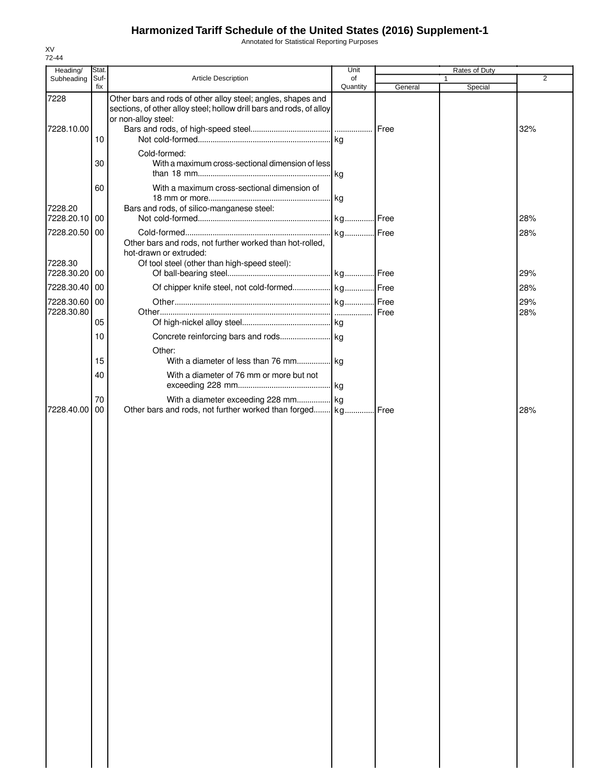Annotated for Statistical Reporting Purposes

| 72-44<br>Heading/                         | Stat.    |                                                                                                                                    | Unit      |         | Rates of Duty |                |
|-------------------------------------------|----------|------------------------------------------------------------------------------------------------------------------------------------|-----------|---------|---------------|----------------|
| Subheading                                | Suf-     | <b>Article Description</b>                                                                                                         | of        |         |               | $\overline{2}$ |
| 7228                                      | fix      | Other bars and rods of other alloy steel; angles, shapes and                                                                       | Quantity  | General | Special       |                |
| 7228.10.00                                | 10       | sections, of other alloy steel; hollow drill bars and rods, of alloy<br>or non-alloy steel:                                        |           | Free    |               | 32%            |
|                                           |          |                                                                                                                                    |           |         |               |                |
|                                           | 30       | Cold-formed:<br>With a maximum cross-sectional dimension of less                                                                   |           |         |               |                |
| 7228.20                                   | 60       | With a maximum cross-sectional dimension of<br>Bars and rods, of silico-manganese steel:                                           |           |         |               |                |
| 7228.20.10 00                             |          |                                                                                                                                    | . kg Free |         |               | 28%            |
| 7228.20.50 00<br>7228.30<br>7228.30.20 00 |          | Other bars and rods, not further worked than hot-rolled,<br>hot-drawn or extruded:<br>Of tool steel (other than high-speed steel): | kg Free   | Free    |               | 28%<br>29%     |
| 7228.30.40 00                             |          | Of chipper knife steel, not cold-formed kg Free                                                                                    |           |         |               | 28%            |
| 7228.30.60 00                             |          |                                                                                                                                    |           |         |               | 29%            |
| 7228.30.80                                |          |                                                                                                                                    |           | Free    |               | 28%            |
|                                           | 05       |                                                                                                                                    |           |         |               |                |
|                                           | 10       | Other:                                                                                                                             |           |         |               |                |
|                                           | 15       | With a diameter of less than 76 mm kg                                                                                              |           |         |               |                |
|                                           | 40       | With a diameter of 76 mm or more but not                                                                                           |           |         |               |                |
| 7228.40.00                                | 70<br>00 | With a diameter exceeding 228 mm kg<br>Other bars and rods, not further worked than forged kg                                      |           | Free    |               | 28%            |
|                                           |          |                                                                                                                                    |           |         |               |                |
|                                           |          |                                                                                                                                    |           |         |               |                |

XV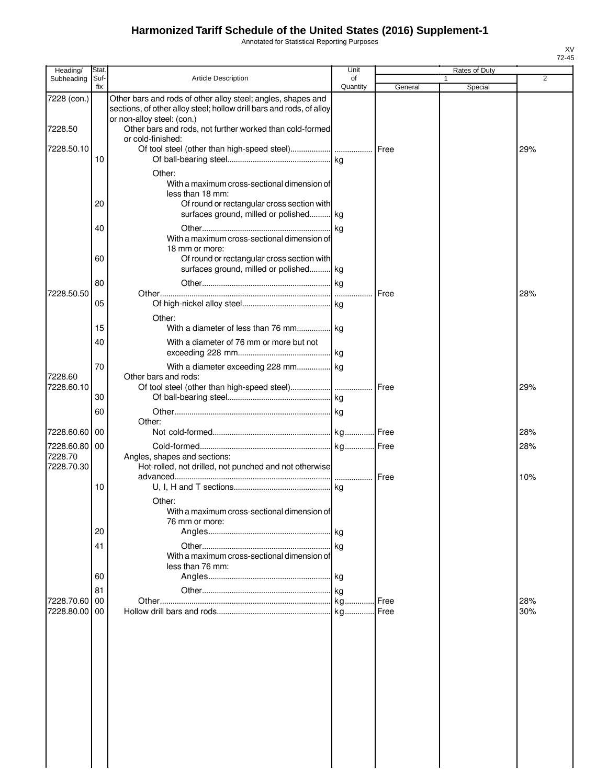Annotated for Statistical Reporting Purposes

| Heading/                               | Stat.       |                                                                                                                                      | Unit           |         |   | Rates of Duty |            |
|----------------------------------------|-------------|--------------------------------------------------------------------------------------------------------------------------------------|----------------|---------|---|---------------|------------|
| Subheading                             | Suf-<br>fix | <b>Article Description</b>                                                                                                           | of<br>Quantity | General | 1 | Special       | 2          |
| 7228 (con.)                            |             | Other bars and rods of other alloy steel; angles, shapes and<br>sections, of other alloy steel; hollow drill bars and rods, of alloy |                |         |   |               |            |
| 7228.50                                |             | or non-alloy steel: (con.)<br>Other bars and rods, not further worked than cold-formed<br>or cold-finished:                          |                |         |   |               |            |
| 7228.50.10                             | 10          |                                                                                                                                      |                |         |   |               | 29%        |
|                                        |             | Other:<br>With a maximum cross-sectional dimension of<br>less than 18 mm:                                                            |                |         |   |               |            |
|                                        | 20          | Of round or rectangular cross section with<br>surfaces ground, milled or polished kg                                                 |                |         |   |               |            |
|                                        | 40          | With a maximum cross-sectional dimension of<br>18 mm or more:                                                                        |                |         |   |               |            |
|                                        | 60          | Of round or rectangular cross section with<br>surfaces ground, milled or polished kg                                                 |                |         |   |               |            |
| 7228.50.50                             | 80          |                                                                                                                                      |                | Free    |   |               | 28%        |
|                                        | 05          | Other:                                                                                                                               |                |         |   |               |            |
|                                        | 15<br>40    | With a diameter of less than 76 mm kg<br>With a diameter of 76 mm or more but not                                                    |                |         |   |               |            |
|                                        | 70          | With a diameter exceeding 228 mm kg                                                                                                  |                |         |   |               |            |
| 7228.60<br>7228.60.10                  |             | Other bars and rods:                                                                                                                 |                | Free    |   |               | 29%        |
|                                        | 30<br>60    |                                                                                                                                      |                |         |   |               |            |
| 7228.60.60                             | 00          | Other:                                                                                                                               |                |         |   |               | 28%        |
| 7228.60.80 00<br>7228.70<br>7228.70.30 |             | Angles, shapes and sections:<br>Hot-rolled, not drilled, not punched and not otherwise                                               |                | Free    |   |               | 28%<br>10% |
|                                        | 10          | Other:<br>With a maximum cross-sectional dimension of                                                                                |                |         |   |               |            |
|                                        | 20          | 76 mm or more:                                                                                                                       |                |         |   |               |            |
|                                        | 41          | With a maximum cross-sectional dimension of<br>less than 76 mm:                                                                      |                |         |   |               |            |
|                                        | 60          |                                                                                                                                      |                |         |   |               |            |
| 7228.70.60                             | 81<br>00    |                                                                                                                                      |                | Free    |   |               | 28%        |
| 7228.80.00                             | 00          |                                                                                                                                      |                |         |   |               | 30%        |
|                                        |             |                                                                                                                                      |                |         |   |               |            |
|                                        |             |                                                                                                                                      |                |         |   |               |            |
|                                        |             |                                                                                                                                      |                |         |   |               |            |
|                                        |             |                                                                                                                                      |                |         |   |               |            |
|                                        |             |                                                                                                                                      |                |         |   |               |            |
|                                        |             |                                                                                                                                      |                |         |   |               |            |